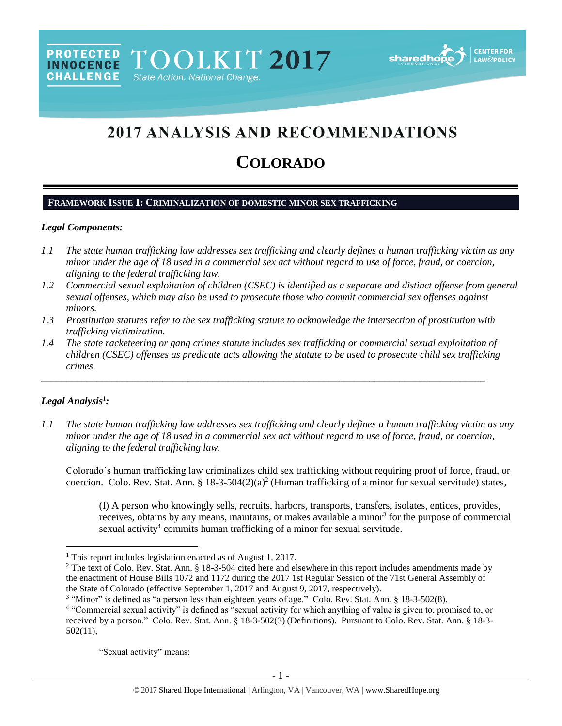# **2017 ANALYSIS AND RECOMMENDATIONS**

# **COLORADO**

## **FRAMEWORK ISSUE 1: CRIMINALIZATION OF DOMESTIC MINOR SEX TRAFFICKING**

## *Legal Components:*

- *1.1 The state human trafficking law addresses sex trafficking and clearly defines a human trafficking victim as any minor under the age of 18 used in a commercial sex act without regard to use of force, fraud, or coercion, aligning to the federal trafficking law.*
- *1.2 Commercial sexual exploitation of children (CSEC) is identified as a separate and distinct offense from general sexual offenses, which may also be used to prosecute those who commit commercial sex offenses against minors.*
- *1.3 Prostitution statutes refer to the sex trafficking statute to acknowledge the intersection of prostitution with trafficking victimization.*
- *1.4 The state racketeering or gang crimes statute includes sex trafficking or commercial sexual exploitation of children (CSEC) offenses as predicate acts allowing the statute to be used to prosecute child sex trafficking crimes.*

\_\_\_\_\_\_\_\_\_\_\_\_\_\_\_\_\_\_\_\_\_\_\_\_\_\_\_\_\_\_\_\_\_\_\_\_\_\_\_\_\_\_\_\_\_\_\_\_\_\_\_\_\_\_\_\_\_\_\_\_\_\_\_\_\_\_\_\_\_\_\_\_\_\_\_\_\_\_\_\_\_\_\_\_\_\_\_\_

## *Legal Analysis*<sup>1</sup> *:*

 $\overline{a}$ 

*1.1 The state human trafficking law addresses sex trafficking and clearly defines a human trafficking victim as any minor under the age of 18 used in a commercial sex act without regard to use of force, fraud, or coercion, aligning to the federal trafficking law.*

Colorado's human trafficking law criminalizes child sex trafficking without requiring proof of force, fraud, or coercion. Colo. Rev. Stat. Ann. § 18-3-504 $(2)(a)^2$  (Human trafficking of a minor for sexual servitude) states,

<span id="page-0-0"></span>(I) A person who knowingly sells, recruits, harbors, transports, transfers, isolates, entices, provides, receives, obtains by any means, maintains, or makes available a minor<sup>3</sup> for the purpose of commercial sexual activity<sup>4</sup> commits human trafficking of a minor for sexual servitude.

"Sexual activity" means:

<sup>&</sup>lt;sup>1</sup> This report includes legislation enacted as of August 1, 2017.

<sup>&</sup>lt;sup>2</sup> The text of Colo. Rev. Stat. Ann. § 18-3-504 cited here and elsewhere in this report includes amendments made by the enactment of House Bills 1072 and 1172 during the 2017 1st Regular Session of the 71st General Assembly of the State of Colorado (effective September 1, 2017 and August 9, 2017, respectively).

<sup>&</sup>lt;sup>3</sup> "Minor" is defined as "a person less than eighteen years of age." Colo. Rev. Stat. Ann. § 18-3-502(8).

<sup>&</sup>lt;sup>4</sup> "Commercial sexual activity" is defined as "sexual activity for which anything of value is given to, promised to, or received by a person." Colo. Rev. Stat. Ann. § 18-3-502(3) (Definitions). Pursuant to Colo. Rev. Stat. Ann. § 18-3- 502(11),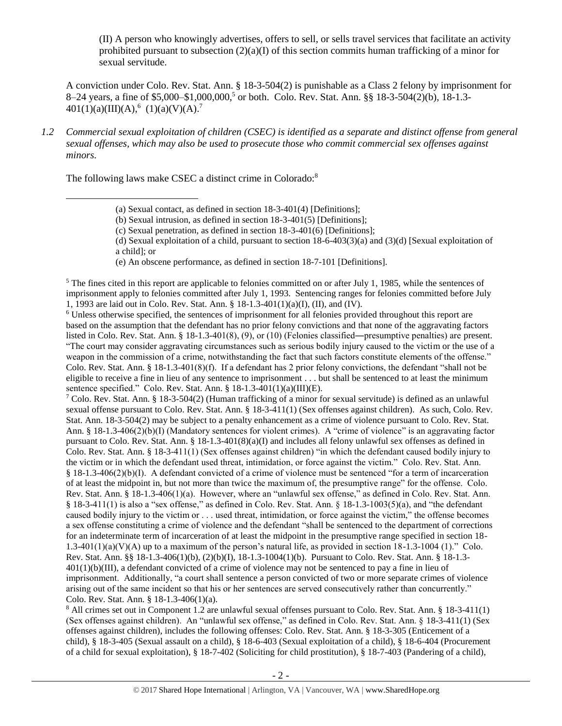<span id="page-1-1"></span><span id="page-1-0"></span>(II) A person who knowingly advertises, offers to sell, or sells travel services that facilitate an activity prohibited pursuant to subsection  $(2)(a)(I)$  of this section commits human trafficking of a minor for sexual servitude.

A conviction under Colo. Rev. Stat. Ann. § 18-3-504(2) is punishable as a Class 2 felony by imprisonment for 8–24 years, a fine of \$5,000–\$1,000,000, <sup>5</sup> or both. Colo. Rev. Stat. Ann. §§ 18-3-504(2)(b), 18-1.3-  $401(1)(a)(III)(A),<sup>6</sup> (1)(a)(V)(A).<sup>7</sup>$ 

*1.2 Commercial sexual exploitation of children (CSEC) is identified as a separate and distinct offense from general sexual offenses, which may also be used to prosecute those who commit commercial sex offenses against minors.*

The following laws make CSEC a distinct crime in Colorado:<sup>8</sup>

 $\overline{a}$ 

(d) Sexual exploitation of a child, pursuant to section  $18-6-403(3)(a)$  and  $(3)(d)$  [Sexual exploitation of a child]; or

(e) An obscene performance, as defined in section 18-7-101 [Definitions].

<sup>5</sup> The fines cited in this report are applicable to felonies committed on or after July 1, 1985, while the sentences of imprisonment apply to felonies committed after July 1, 1993. Sentencing ranges for felonies committed before July 1, 1993 are laid out in Colo. Rev. Stat. Ann. § 18-1.3-401(1)(a)(I), (II), and (IV).

<sup>6</sup> Unless otherwise specified, the sentences of imprisonment for all felonies provided throughout this report are based on the assumption that the defendant has no prior felony convictions and that none of the aggravating factors listed in Colo. Rev. Stat. Ann. § 18-1.3-401(8), (9), or (10) (Felonies classified―presumptive penalties) are present. "The court may consider aggravating circumstances such as serious bodily injury caused to the victim or the use of a weapon in the commission of a crime, notwithstanding the fact that such factors constitute elements of the offense." Colo. Rev. Stat. Ann. § 18-1.3-401(8)(f). If a defendant has 2 prior felony convictions, the defendant "shall not be eligible to receive a fine in lieu of any sentence to imprisonment . . . but shall be sentenced to at least the minimum sentence specified." Colo. Rev. Stat. Ann. § 18-1.3-401(1)(a)(III)(E).

<sup>7</sup> Colo. Rev. Stat. Ann. § 18-3-504(2) (Human trafficking of a minor for sexual servitude) is defined as an unlawful sexual offense pursuant to Colo. Rev. Stat. Ann. § 18-3-411(1) (Sex offenses against children). As such, Colo. Rev. Stat. Ann. 18-3-504(2) may be subject to a penalty enhancement as a crime of violence pursuant to Colo. Rev. Stat. Ann. § 18-1.3-406(2)(b)(I) (Mandatory sentences for violent crimes). A "crime of violence" is an aggravating factor pursuant to Colo. Rev. Stat. Ann. § 18-1.3-401(8)(a)(I) and includes all felony unlawful sex offenses as defined in Colo. Rev. Stat. Ann. § 18-3-411(1) (Sex offenses against children) "in which the defendant caused bodily injury to the victim or in which the defendant used threat, intimidation, or force against the victim." Colo. Rev. Stat. Ann. § 18-1.3-406(2)(b)(I). A defendant convicted of a crime of violence must be sentenced "for a term of incarceration of at least the midpoint in, but not more than twice the maximum of, the presumptive range" for the offense. Colo. Rev. Stat. Ann. § 18-1.3-406(1)(a). However, where an "unlawful sex offense," as defined in Colo. Rev. Stat. Ann. § 18-3-411(1) is also a "sex offense," as defined in Colo. Rev. Stat. Ann. § 18-1.3-1003(5)(a), and "the defendant caused bodily injury to the victim or . . . used threat, intimidation, or force against the victim," the offense becomes a sex offense constituting a crime of violence and the defendant "shall be sentenced to the department of corrections for an indeterminate term of incarceration of at least the midpoint in the presumptive range specified in section 18- 1.3-401(1)(a)(V)(A) up to a maximum of the person's natural life, as provided in section  $18-1.3-1004$  (1)." Colo. Rev. Stat. Ann. §§ 18-1.3-406(1)(b), (2)(b)(I), 18-1.3-1004(1)(b). Pursuant to Colo. Rev. Stat. Ann. § 18-1.3-  $401(1)(b)(III)$ , a defendant convicted of a crime of violence may not be sentenced to pay a fine in lieu of imprisonment. Additionally, "a court shall sentence a person convicted of two or more separate crimes of violence arising out of the same incident so that his or her sentences are served consecutively rather than concurrently." Colo. Rev. Stat. Ann. § 18-1.3-406(1)(a).

<sup>8</sup> All crimes set out in Component 1.2 are unlawful sexual offenses pursuant to Colo. Rev. Stat. Ann. § 18-3-411(1) (Sex offenses against children). An "unlawful sex offense," as defined in Colo. Rev. Stat. Ann. § 18-3-411(1) (Sex offenses against children), includes the following offenses: Colo. Rev. Stat. Ann. § 18-3-305 (Enticement of a child), § 18-3-405 (Sexual assault on a child), § 18-6-403 (Sexual exploitation of a child), § 18-6-404 (Procurement of a child for sexual exploitation), § 18-7-402 (Soliciting for child prostitution), § 18-7-403 (Pandering of a child),

<span id="page-1-2"></span><sup>(</sup>a) Sexual contact, as defined in section 18-3-401(4) [Definitions];

<sup>(</sup>b) Sexual intrusion, as defined in section 18-3-401(5) [Definitions];

<sup>(</sup>c) Sexual penetration, as defined in section 18-3-401(6) [Definitions];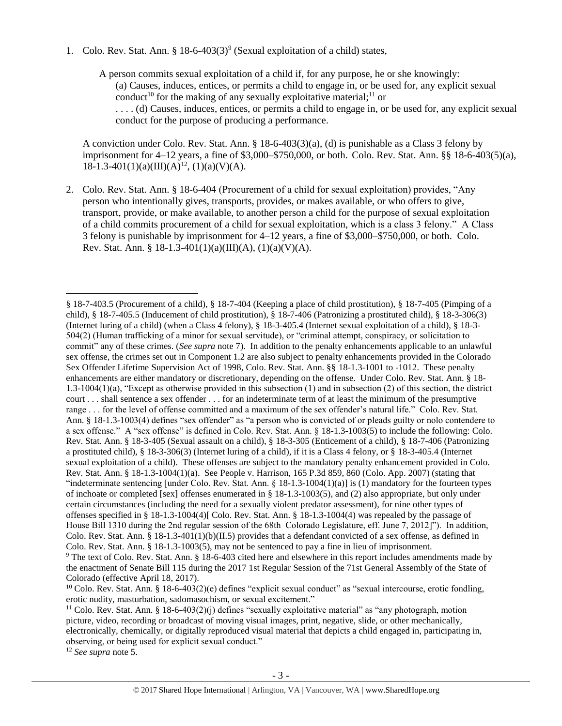1. Colo. Rev. Stat. Ann. §  $18-6-403(3)^9$  (Sexual exploitation of a child) states,

<span id="page-2-2"></span><span id="page-2-1"></span><span id="page-2-0"></span>A person commits sexual exploitation of a child if, for any purpose, he or she knowingly: (a) Causes, induces, entices, or permits a child to engage in, or be used for, any explicit sexual conduct<sup>10</sup> for the making of any sexually exploitative material;<sup>11</sup> or . . . . (d) Causes, induces, entices, or permits a child to engage in, or be used for, any explicit sexual conduct for the purpose of producing a performance.

A conviction under Colo. Rev. Stat. Ann. § 18-6-403(3)(a), (d) is punishable as a Class 3 felony by imprisonment for 4–12 years, a fine of \$3,000–\$750,000, or both. Colo. Rev. Stat. Ann. §§ 18-6-403(5)(a),  $18-1.3-401(1)(a)(III)(A)^{12}$ ,  $(1)(a)(V)(A)$ .

2. Colo. Rev. Stat. Ann. § 18-6-404 (Procurement of a child for sexual exploitation) provides, "Any person who intentionally gives, transports, provides, or makes available, or who offers to give, transport, provide, or make available, to another person a child for the purpose of sexual exploitation of a child commits procurement of a child for sexual exploitation, which is a class 3 felony." A Class 3 felony is punishable by imprisonment for 4–12 years, a fine of \$3,000–\$750,000, or both. Colo. Rev. Stat. Ann. § 18-1.3-401(1)(a)(III)(A), (1)(a)(V)(A).

the enactment of Senate Bill 115 during the 2017 1st Regular Session of the 71st General Assembly of the State of Colorado (effective April 18, 2017).

<sup>12</sup> *See supra* note [5.](#page-1-1)

<sup>§</sup> 18-7-403.5 (Procurement of a child), § 18-7-404 (Keeping a place of child prostitution), § 18-7-405 (Pimping of a child), § 18-7-405.5 (Inducement of child prostitution), § 18-7-406 (Patronizing a prostituted child), § 18-3-306(3) (Internet luring of a child) (when a Class 4 felony), § 18-3-405.4 (Internet sexual exploitation of a child), § 18-3- 504(2) (Human trafficking of a minor for sexual servitude), or "criminal attempt, conspiracy, or solicitation to commit" any of these crimes. (*See supra* not[e 7\)](#page-1-0). In addition to the penalty enhancements applicable to an unlawful sex offense, the crimes set out in Component 1.2 are also subject to penalty enhancements provided in the Colorado Sex Offender Lifetime Supervision Act of 1998, Colo. Rev. Stat. Ann. §§ 18-1.3-1001 to -1012. These penalty enhancements are either mandatory or discretionary, depending on the offense. Under Colo. Rev. Stat. Ann. § 18- 1.3-1004(1)(a), "Except as otherwise provided in this subsection (1) and in subsection (2) of this section, the district court . . . shall sentence a sex offender . . . for an indeterminate term of at least the minimum of the presumptive range . . . for the level of offense committed and a maximum of the sex offender's natural life." Colo. Rev. Stat. Ann. § 18-1.3-1003(4) defines "sex offender" as "a person who is convicted of or pleads guilty or nolo contendere to a sex offense." A "sex offense" is defined in Colo. Rev. Stat. Ann. § 18-1.3-1003(5) to include the following: Colo. Rev. Stat. Ann. § 18-3-405 (Sexual assault on a child), § 18-3-305 (Enticement of a child), § 18-7-406 (Patronizing a prostituted child), § 18-3-306(3) (Internet luring of a child), if it is a Class 4 felony, or § 18-3-405.4 (Internet sexual exploitation of a child). These offenses are subject to the mandatory penalty enhancement provided in Colo. Rev. Stat. Ann. § 18-1.3-1004(1)(a). See People v. Harrison, 165 P.3d 859, 860 (Colo. App. 2007) (stating that "indeterminate sentencing [under Colo. Rev. Stat. Ann.  $\S 18-1.3-1004(1)(a)$ ] is (1) mandatory for the fourteen types of inchoate or completed [sex] offenses enumerated in § 18-1.3-1003(5), and (2) also appropriate, but only under certain circumstances (including the need for a sexually violent predator assessment), for nine other types of offenses specified in § 18-1.3-1004(4)[ Colo. Rev. Stat. Ann. § 18-1.3-1004(4) was repealed by the passage of House Bill 1310 during the 2nd regular session of the 68th Colorado Legislature, eff. June 7, 2012]"). In addition, Colo. Rev. Stat. Ann. § 18-1.3-401(1)(b)(II.5) provides that a defendant convicted of a sex offense, as defined in Colo. Rev. Stat. Ann. § 18-1.3-1003(5), may not be sentenced to pay a fine in lieu of imprisonment. <sup>9</sup> The text of Colo. Rev. Stat. Ann. § 18-6-403 cited here and elsewhere in this report includes amendments made by

<sup>&</sup>lt;sup>10</sup> Colo. Rev. Stat. Ann. § 18-6-403(2)(e) defines "explicit sexual conduct" as "sexual intercourse, erotic fondling, erotic nudity, masturbation, sadomasochism, or sexual excitement."

<sup>11</sup> Colo. Rev. Stat. Ann. § 18-6-403(2)(j) defines "sexually exploitative material" as "any photograph, motion picture, video, recording or broadcast of moving visual images, print, negative, slide, or other mechanically, electronically, chemically, or digitally reproduced visual material that depicts a child engaged in, participating in, observing, or being used for explicit sexual conduct."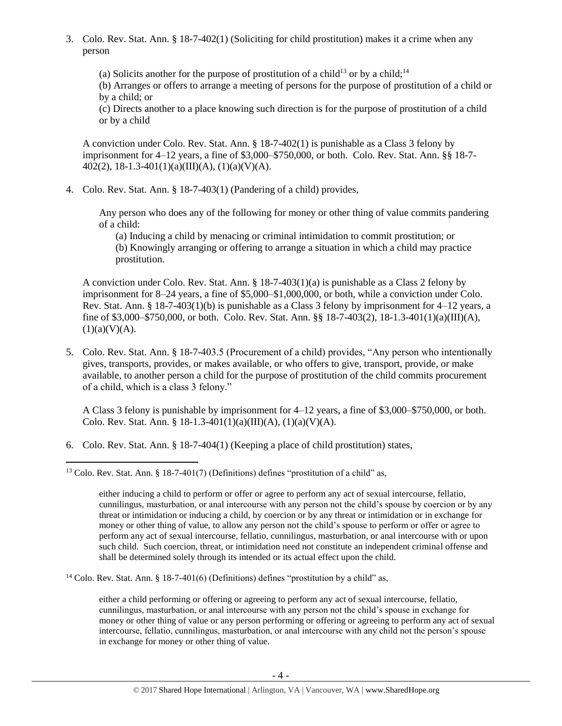3. Colo. Rev. Stat. Ann. § 18-7-402(1) (Soliciting for child prostitution) makes it a crime when any person

<span id="page-3-1"></span><span id="page-3-0"></span>(a) Solicits another for the purpose of prostitution of a child<sup>13</sup> or by a child;<sup>14</sup>

(b) Arranges or offers to arrange a meeting of persons for the purpose of prostitution of a child or by a child; or

(c) Directs another to a place knowing such direction is for the purpose of prostitution of a child or by a child

A conviction under Colo. Rev. Stat. Ann. § 18-7-402(1) is punishable as a Class 3 felony by imprisonment for 4–12 years, a fine of \$3,000–\$750,000, or both. Colo. Rev. Stat. Ann. §§ 18-7-  $402(2)$ , 18-1.3-401(1)(a)(III)(A), (1)(a)(V)(A).

4. Colo. Rev. Stat. Ann. § 18-7-403(1) (Pandering of a child) provides,

Any person who does any of the following for money or other thing of value commits pandering of a child:

(a) Inducing a child by menacing or criminal intimidation to commit prostitution; or (b) Knowingly arranging or offering to arrange a situation in which a child may practice prostitution.

A conviction under Colo. Rev. Stat. Ann. § 18-7-403(1)(a) is punishable as a Class 2 felony by imprisonment for 8–24 years, a fine of \$5,000–\$1,000,000, or both, while a conviction under Colo. Rev. Stat. Ann. § 18-7-403(1)(b) is punishable as a Class 3 felony by imprisonment for 4–12 years, a fine of \$3,000–\$750,000, or both. Colo. Rev. Stat. Ann. §§ 18-7-403(2), 18-1.3-401(1)(a)(III)(A),  $(1)(a)(V)(A).$ 

5. Colo. Rev. Stat. Ann. § 18-7-403.5 (Procurement of a child) provides, "Any person who intentionally gives, transports, provides, or makes available, or who offers to give, transport, provide, or make available, to another person a child for the purpose of prostitution of the child commits procurement of a child, which is a class 3 felony."

A Class 3 felony is punishable by imprisonment for 4–12 years, a fine of \$3,000–\$750,000, or both. Colo. Rev. Stat. Ann. § 18-1.3-401(1)(a)(III)(A), (1)(a)(V)(A).

6. Colo. Rev. Stat. Ann. § 18-7-404(1) (Keeping a place of child prostitution) states,

<sup>14</sup> Colo. Rev. Stat. Ann. § 18-7-401(6) (Definitions) defines "prostitution by a child" as,

either a child performing or offering or agreeing to perform any act of sexual intercourse, fellatio, cunnilingus, masturbation, or anal intercourse with any person not the child's spouse in exchange for money or other thing of value or any person performing or offering or agreeing to perform any act of sexual intercourse, fellatio, cunnilingus, masturbation, or anal intercourse with any child not the person's spouse in exchange for money or other thing of value.

 $\overline{\phantom{a}}$ <sup>13</sup> Colo. Rev. Stat. Ann. § 18-7-401(7) (Definitions) defines "prostitution of a child" as,

either inducing a child to perform or offer or agree to perform any act of sexual intercourse, fellatio, cunnilingus, masturbation, or anal intercourse with any person not the child's spouse by coercion or by any threat or intimidation or inducing a child, by coercion or by any threat or intimidation or in exchange for money or other thing of value, to allow any person not the child's spouse to perform or offer or agree to perform any act of sexual intercourse, fellatio, cunnilingus, masturbation, or anal intercourse with or upon such child. Such coercion, threat, or intimidation need not constitute an independent criminal offense and shall be determined solely through its intended or its actual effect upon the child.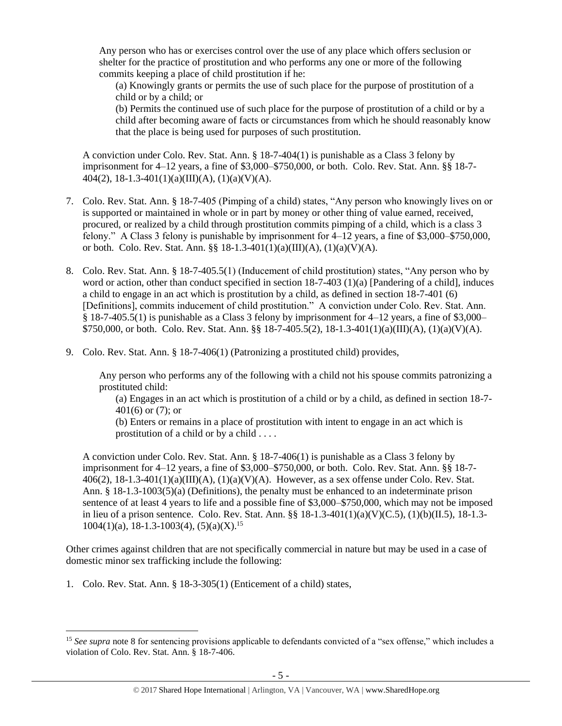Any person who has or exercises control over the use of any place which offers seclusion or shelter for the practice of prostitution and who performs any one or more of the following commits keeping a place of child prostitution if he:

(a) Knowingly grants or permits the use of such place for the purpose of prostitution of a child or by a child; or

(b) Permits the continued use of such place for the purpose of prostitution of a child or by a child after becoming aware of facts or circumstances from which he should reasonably know that the place is being used for purposes of such prostitution.

A conviction under Colo. Rev. Stat. Ann. § 18-7-404(1) is punishable as a Class 3 felony by imprisonment for 4–12 years, a fine of \$3,000–\$750,000, or both. Colo. Rev. Stat. Ann. §§ 18-7- 404(2), 18-1.3-401(1)(a)(III)(A), (1)(a)(V)(A).

- 7. Colo. Rev. Stat. Ann. § 18-7-405 (Pimping of a child) states, "Any person who knowingly lives on or is supported or maintained in whole or in part by money or other thing of value earned, received, procured, or realized by a child through prostitution commits pimping of a child, which is a class 3 felony." A Class 3 felony is punishable by imprisonment for 4–12 years, a fine of \$3,000–\$750,000, or both. Colo. Rev. Stat. Ann. §§ 18-1.3-401(1)(a)(III)(A), (1)(a)(V)(A).
- 8. Colo. Rev. Stat. Ann. § 18-7-405.5(1) (Inducement of child prostitution) states, "Any person who by word or action, other than conduct specified in section 18-7-403 (1)(a) [Pandering of a child], induces a child to engage in an act which is prostitution by a child, as defined in section 18-7-401 (6) [Definitions], commits inducement of child prostitution." A conviction under Colo. Rev. Stat. Ann. § 18-7-405.5(1) is punishable as a Class 3 felony by imprisonment for 4–12 years, a fine of \$3,000– \$750,000, or both. Colo. Rev. Stat. Ann. §§ 18-7-405.5(2), 18-1.3-401(1)(a)(III)(A), (1)(a)(V)(A).
- 9. Colo. Rev. Stat. Ann. § 18-7-406(1) (Patronizing a prostituted child) provides,

Any person who performs any of the following with a child not his spouse commits patronizing a prostituted child:

(a) Engages in an act which is prostitution of a child or by a child, as defined in section 18-7- 401(6) or (7); or

(b) Enters or remains in a place of prostitution with intent to engage in an act which is prostitution of a child or by a child . . . .

A conviction under Colo. Rev. Stat. Ann. § 18-7-406(1) is punishable as a Class 3 felony by imprisonment for 4–12 years, a fine of \$3,000–\$750,000, or both. Colo. Rev. Stat. Ann. §§ 18-7- 406(2),  $18-1.3-401(1)(a)(III)(A)$ ,  $(1)(a)(V)(A)$ . However, as a sex offense under Colo. Rev. Stat. Ann. § 18-1.3-1003(5)(a) (Definitions), the penalty must be enhanced to an indeterminate prison sentence of at least 4 years to life and a possible fine of \$3,000–\$750,000, which may not be imposed in lieu of a prison sentence. Colo. Rev. Stat. Ann. §§ 18-1.3-401(1)(a)(V)(C.5), (1)(b)(II.5), 18-1.3-  $1004(1)(a)$ , 18-1.3-1003(4), (5)(a)(X).<sup>15</sup>

Other crimes against children that are not specifically commercial in nature but may be used in a case of domestic minor sex trafficking include the following:

1. Colo. Rev. Stat. Ann. § 18-3-305(1) (Enticement of a child) states,

<sup>&</sup>lt;sup>15</sup> See supra note [8](#page-1-2) for sentencing provisions applicable to defendants convicted of a "sex offense," which includes a violation of Colo. Rev. Stat. Ann. § 18-7-406.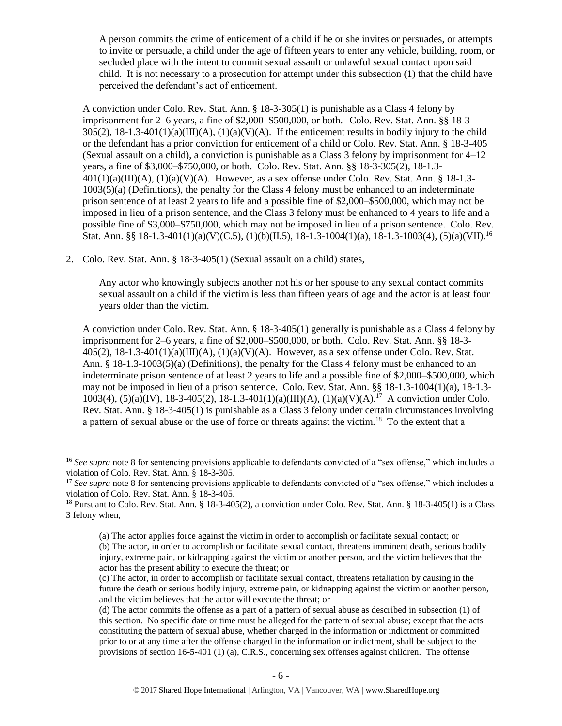A person commits the crime of enticement of a child if he or she invites or persuades, or attempts to invite or persuade, a child under the age of fifteen years to enter any vehicle, building, room, or secluded place with the intent to commit sexual assault or unlawful sexual contact upon said child. It is not necessary to a prosecution for attempt under this subsection (1) that the child have perceived the defendant's act of enticement.

A conviction under Colo. Rev. Stat. Ann. § 18-3-305(1) is punishable as a Class 4 felony by imprisonment for 2–6 years, a fine of \$2,000–\$500,000, or both. Colo. Rev. Stat. Ann. §§ 18-3-  $305(2)$ ,  $18-1.3-401(1)(a)(III)(A)$ ,  $(1)(a)(V)(A)$ . If the enticement results in bodily injury to the child or the defendant has a prior conviction for enticement of a child or Colo. Rev. Stat. Ann. § 18-3-405 (Sexual assault on a child), a conviction is punishable as a Class 3 felony by imprisonment for 4–12 years, a fine of \$3,000–\$750,000, or both. Colo. Rev. Stat. Ann. §§ 18-3-305(2), 18-1.3-  $401(1)(a)(III)(A), (1)(a)(V)(A)$ . However, as a sex offense under Colo. Rev. Stat. Ann. § 18-1.3-1003(5)(a) (Definitions), the penalty for the Class 4 felony must be enhanced to an indeterminate prison sentence of at least 2 years to life and a possible fine of \$2,000–\$500,000, which may not be imposed in lieu of a prison sentence, and the Class 3 felony must be enhanced to 4 years to life and a possible fine of \$3,000–\$750,000, which may not be imposed in lieu of a prison sentence. Colo. Rev. Stat. Ann. §§ 18-1.3-401(1)(a)(V)(C.5), (1)(b)(II.5), 18-1.3-1004(1)(a), 18-1.3-1003(4), (5)(a)(VII).<sup>16</sup>

2. Colo. Rev. Stat. Ann. § 18-3-405(1) (Sexual assault on a child) states,

 $\overline{\phantom{a}}$ 

Any actor who knowingly subjects another not his or her spouse to any sexual contact commits sexual assault on a child if the victim is less than fifteen years of age and the actor is at least four years older than the victim.

A conviction under Colo. Rev. Stat. Ann. § 18-3-405(1) generally is punishable as a Class 4 felony by imprisonment for 2–6 years, a fine of \$2,000–\$500,000, or both. Colo. Rev. Stat. Ann. §§ 18-3-  $405(2)$ ,  $18-1.3-401(1)(a)(III)(A)$ ,  $(1)(a)(V)(A)$ . However, as a sex offense under Colo. Rev. Stat. Ann. § 18-1.3-1003(5)(a) (Definitions), the penalty for the Class 4 felony must be enhanced to an indeterminate prison sentence of at least 2 years to life and a possible fine of \$2,000–\$500,000, which may not be imposed in lieu of a prison sentence. Colo. Rev. Stat. Ann. §§ 18-1.3-1004(1)(a), 18-1.3- 1003(4), (5)(a)(IV), 18-3-405(2), 18-1.3-401(1)(a)(III)(A), (1)(a)(V)(A).<sup>17</sup> A conviction under Colo. Rev. Stat. Ann. § 18-3-405(1) is punishable as a Class 3 felony under certain circumstances involving a pattern of sexual abuse or the use of force or threats against the victim.<sup>18</sup> To the extent that a

<sup>&</sup>lt;sup>16</sup> See supra note [8](#page-1-2) for sentencing provisions applicable to defendants convicted of a "sex offense," which includes a violation of Colo. Rev. Stat. Ann. § 18-3-305.

<sup>&</sup>lt;sup>17</sup> See supra note [8](#page-1-2) for sentencing provisions applicable to defendants convicted of a "sex offense," which includes a violation of Colo. Rev. Stat. Ann. § 18-3-405.

<sup>&</sup>lt;sup>18</sup> Pursuant to Colo. Rev. Stat. Ann. § 18-3-405(2), a conviction under Colo. Rev. Stat. Ann. § 18-3-405(1) is a Class 3 felony when,

<sup>(</sup>a) The actor applies force against the victim in order to accomplish or facilitate sexual contact; or (b) The actor, in order to accomplish or facilitate sexual contact, threatens imminent death, serious bodily injury, extreme pain, or kidnapping against the victim or another person, and the victim believes that the actor has the present ability to execute the threat; or

<sup>(</sup>c) The actor, in order to accomplish or facilitate sexual contact, threatens retaliation by causing in the future the death or serious bodily injury, extreme pain, or kidnapping against the victim or another person, and the victim believes that the actor will execute the threat; or

<sup>(</sup>d) The actor commits the offense as a part of a pattern of sexual abuse as described in subsection (1) of this section. No specific date or time must be alleged for the pattern of sexual abuse; except that the acts constituting the pattern of sexual abuse, whether charged in the information or indictment or committed prior to or at any time after the offense charged in the information or indictment, shall be subject to the provisions of section 16-5-401 (1) (a), C.R.S., concerning sex offenses against children. The offense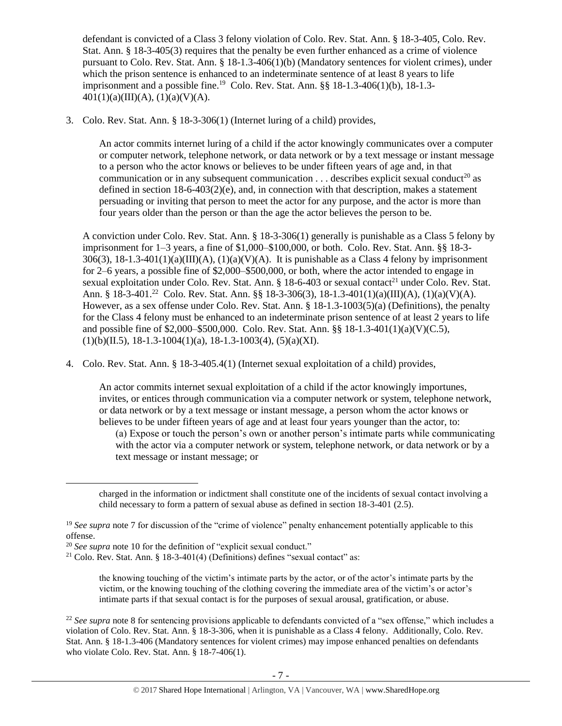defendant is convicted of a Class 3 felony violation of Colo. Rev. Stat. Ann. § 18-3-405, Colo. Rev. Stat. Ann. § 18-3-405(3) requires that the penalty be even further enhanced as a crime of violence pursuant to Colo. Rev. Stat. Ann. § 18-1.3-406(1)(b) (Mandatory sentences for violent crimes), under which the prison sentence is enhanced to an indeterminate sentence of at least 8 years to life imprisonment and a possible fine.<sup>19</sup> Colo. Rev. Stat. Ann. §§ 18-1.3-406(1)(b), 18-1.3-401(1)(a)(III)(A), (1)(a)(V)(A).

3. Colo. Rev. Stat. Ann. § 18-3-306(1) (Internet luring of a child) provides,

An actor commits internet luring of a child if the actor knowingly communicates over a computer or computer network, telephone network, or data network or by a text message or instant message to a person who the actor knows or believes to be under fifteen years of age and, in that communication or in any subsequent communication  $\dots$  describes explicit sexual conduct<sup>20</sup> as defined in section  $18-6-403(2)(e)$ , and, in connection with that description, makes a statement persuading or inviting that person to meet the actor for any purpose, and the actor is more than four years older than the person or than the age the actor believes the person to be.

A conviction under Colo. Rev. Stat. Ann. § 18-3-306(1) generally is punishable as a Class 5 felony by imprisonment for 1–3 years, a fine of \$1,000–\$100,000, or both. Colo. Rev. Stat. Ann. §§ 18-3-  $306(3)$ ,  $18-1.3-401(1)(a)(III)(A)$ ,  $(1)(a)(V)(A)$ . It is punishable as a Class 4 felony by imprisonment for 2–6 years, a possible fine of \$2,000–\$500,000, or both, where the actor intended to engage in sexual exploitation under Colo. Rev. Stat. Ann. § 18-6-403 or sexual contact<sup>21</sup> under Colo. Rev. Stat. Ann. § 18-3-401.<sup>22</sup> Colo. Rev. Stat. Ann. §§ 18-3-306(3), 18-1.3-401(1)(a)(III)(A), (1)(a)(V)(A). However, as a sex offense under Colo. Rev. Stat. Ann. § 18-1.3-1003(5)(a) (Definitions), the penalty for the Class 4 felony must be enhanced to an indeterminate prison sentence of at least 2 years to life and possible fine of \$2,000–\$500,000. Colo. Rev. Stat. Ann. §§ 18-1.3-401(1)(a)(V)(C.5),  $(1)(b)(II.5), 18-1.3-1004(1)(a), 18-1.3-1003(4), (5)(a)(XI).$ 

4. Colo. Rev. Stat. Ann. § 18-3-405.4(1) (Internet sexual exploitation of a child) provides,

An actor commits internet sexual exploitation of a child if the actor knowingly importunes, invites, or entices through communication via a computer network or system, telephone network, or data network or by a text message or instant message, a person whom the actor knows or believes to be under fifteen years of age and at least four years younger than the actor, to:

(a) Expose or touch the person's own or another person's intimate parts while communicating with the actor via a computer network or system, telephone network, or data network or by a text message or instant message; or

 $\overline{a}$ 

the knowing touching of the victim's intimate parts by the actor, or of the actor's intimate parts by the victim, or the knowing touching of the clothing covering the immediate area of the victim's or actor's intimate parts if that sexual contact is for the purposes of sexual arousal, gratification, or abuse.

<sup>22</sup> See supra note [8](#page-1-2) for sentencing provisions applicable to defendants convicted of a "sex offense," which includes a violation of Colo. Rev. Stat. Ann. § 18-3-306, when it is punishable as a Class 4 felony. Additionally, Colo. Rev. Stat. Ann. § 18-1.3-406 (Mandatory sentences for violent crimes) may impose enhanced penalties on defendants who violate Colo. Rev. Stat. Ann. § 18-7-406(1).

charged in the information or indictment shall constitute one of the incidents of sexual contact involving a child necessary to form a pattern of sexual abuse as defined in section 18-3-401 (2.5).

<sup>&</sup>lt;sup>19</sup> See supra note [7](#page-1-0) for discussion of the "crime of violence" penalty enhancement potentially applicable to this offense.

<sup>20</sup> *See supra* note [10](#page-2-0) for the definition of "explicit sexual conduct."

 $21$  Colo. Rev. Stat. Ann. § 18-3-401(4) (Definitions) defines "sexual contact" as: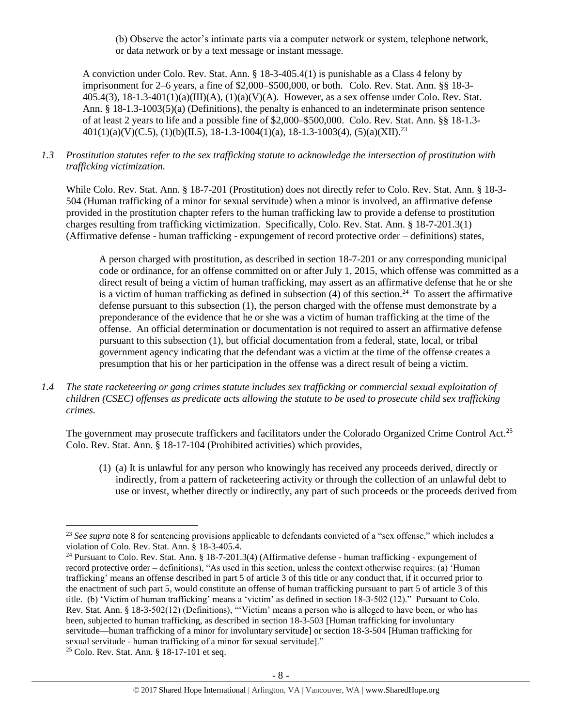(b) Observe the actor's intimate parts via a computer network or system, telephone network, or data network or by a text message or instant message.

A conviction under Colo. Rev. Stat. Ann. § 18-3-405.4(1) is punishable as a Class 4 felony by imprisonment for 2–6 years, a fine of \$2,000–\$500,000, or both. Colo. Rev. Stat. Ann. §§ 18-3- 405.4(3), 18-1.3-401(1)(a)(III)(A), (1)(a)(V)(A). However, as a sex offense under Colo. Rev. Stat. Ann. § 18-1.3-1003(5)(a) (Definitions), the penalty is enhanced to an indeterminate prison sentence of at least 2 years to life and a possible fine of \$2,000–\$500,000. Colo. Rev. Stat. Ann. §§ 18-1.3-  $401(1)(a)(V)(C.5), (1)(b)(II.5), 18-1.3-1004(1)(a), 18-1.3-1003(4), (5)(a)(XII).^{23}$ 

## *1.3 Prostitution statutes refer to the sex trafficking statute to acknowledge the intersection of prostitution with trafficking victimization.*

While Colo. Rev. Stat. Ann. § 18-7-201 (Prostitution) does not directly refer to Colo. Rev. Stat. Ann. § 18-3-504 (Human trafficking of a minor for sexual servitude) when a minor is involved, an affirmative defense provided in the prostitution chapter refers to the human trafficking law to provide a defense to prostitution charges resulting from trafficking victimization. Specifically, Colo. Rev. Stat. Ann. § 18-7-201.3(1) (Affirmative defense - human trafficking - expungement of record protective order – definitions) states,

A person charged with prostitution, as described in section 18-7-201 or any corresponding municipal code or ordinance, for an offense committed on or after July 1, 2015, which offense was committed as a direct result of being a victim of human trafficking, may assert as an affirmative defense that he or she is a victim of human trafficking as defined in subsection  $(4)$  of this section.<sup>24</sup> To assert the affirmative defense pursuant to this subsection (1), the person charged with the offense must demonstrate by a preponderance of the evidence that he or she was a victim of human trafficking at the time of the offense. An official determination or documentation is not required to assert an affirmative defense pursuant to this subsection (1), but official documentation from a federal, state, local, or tribal government agency indicating that the defendant was a victim at the time of the offense creates a presumption that his or her participation in the offense was a direct result of being a victim.

*1.4 The state racketeering or gang crimes statute includes sex trafficking or commercial sexual exploitation of children (CSEC) offenses as predicate acts allowing the statute to be used to prosecute child sex trafficking crimes.* 

The government may prosecute traffickers and facilitators under the Colorado Organized Crime Control Act.<sup>25</sup> Colo. Rev. Stat. Ann. § 18-17-104 (Prohibited activities) which provides,

(1) (a) It is unlawful for any person who knowingly has received any proceeds derived, directly or indirectly, from a pattern of racketeering activity or through the collection of an unlawful debt to use or invest, whether directly or indirectly, any part of such proceeds or the proceeds derived from

 $\overline{\phantom{a}}$ <sup>23</sup> See supra note [8](#page-1-2) for sentencing provisions applicable to defendants convicted of a "sex offense," which includes a violation of Colo. Rev. Stat. Ann. § 18-3-405.4.

<sup>&</sup>lt;sup>24</sup> Pursuant to Colo. Rev. Stat. Ann. § 18-7-201.3(4) (Affirmative defense - human trafficking - expungement of record protective order – definitions), "As used in this section, unless the context otherwise requires: (a) 'Human trafficking' means an offense described in part 5 of article 3 of this title or any conduct that, if it occurred prior to the enactment of such part 5, would constitute an offense of human trafficking pursuant to part 5 of article 3 of this title. (b) 'Victim of human trafficking' means a 'victim' as defined in section 18-3-502 (12)." Pursuant to Colo. Rev. Stat. Ann. § 18-3-502(12) (Definitions), "'Victim' means a person who is alleged to have been, or who has been, subjected to human trafficking, as described in section 18-3-503 [Human trafficking for involuntary servitude—human trafficking of a minor for involuntary servitude] or section 18-3-504 [Human trafficking for sexual servitude - human trafficking of a minor for sexual servitude]."

<sup>25</sup> Colo. Rev. Stat. Ann. § 18-17-101 et seq.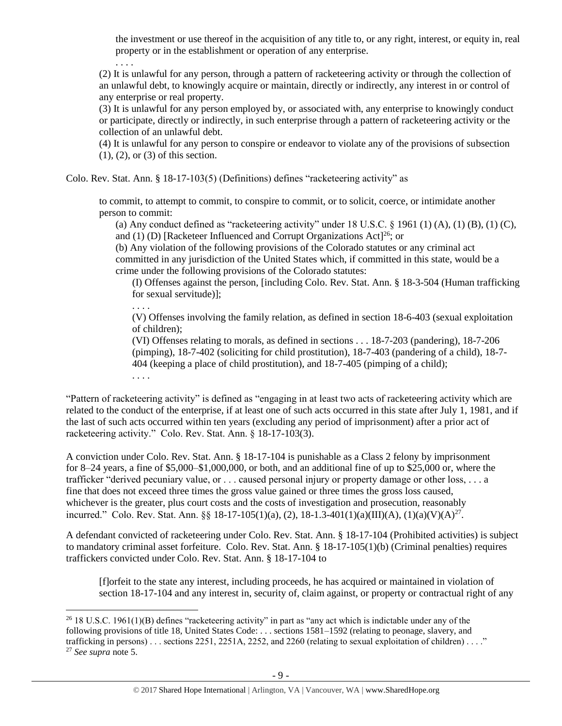the investment or use thereof in the acquisition of any title to, or any right, interest, or equity in, real property or in the establishment or operation of any enterprise.

(2) It is unlawful for any person, through a pattern of racketeering activity or through the collection of an unlawful debt, to knowingly acquire or maintain, directly or indirectly, any interest in or control of any enterprise or real property.

(3) It is unlawful for any person employed by, or associated with, any enterprise to knowingly conduct or participate, directly or indirectly, in such enterprise through a pattern of racketeering activity or the collection of an unlawful debt.

(4) It is unlawful for any person to conspire or endeavor to violate any of the provisions of subsection (1), (2), or (3) of this section.

Colo. Rev. Stat. Ann. § 18-17-103(5) (Definitions) defines "racketeering activity" as

to commit, to attempt to commit, to conspire to commit, or to solicit, coerce, or intimidate another person to commit:

(a) Any conduct defined as "racketeering activity" under 18 U.S.C.  $\S$  1961 (1) (A), (1) (B), (1) (C), and (1) (D) [Racketeer Influenced and Corrupt Organizations Act]<sup>26</sup>; or

(b) Any violation of the following provisions of the Colorado statutes or any criminal act committed in any jurisdiction of the United States which, if committed in this state, would be a crime under the following provisions of the Colorado statutes:

(I) Offenses against the person, [including Colo. Rev. Stat. Ann. § 18-3-504 (Human trafficking for sexual servitude)];

. . . . (V) Offenses involving the family relation, as defined in section 18-6-403 (sexual exploitation of children);

(VI) Offenses relating to morals, as defined in sections . . . 18-7-203 (pandering), 18-7-206 (pimping), 18-7-402 (soliciting for child prostitution), 18-7-403 (pandering of a child), 18-7- 404 (keeping a place of child prostitution), and 18-7-405 (pimping of a child);

. . . .

 $\overline{a}$ 

. . . .

"Pattern of racketeering activity" is defined as "engaging in at least two acts of racketeering activity which are related to the conduct of the enterprise, if at least one of such acts occurred in this state after July 1, 1981, and if the last of such acts occurred within ten years (excluding any period of imprisonment) after a prior act of racketeering activity." Colo. Rev. Stat. Ann. § 18-17-103(3).

A conviction under Colo. Rev. Stat. Ann. § 18-17-104 is punishable as a Class 2 felony by imprisonment for 8–24 years, a fine of \$5,000–\$1,000,000, or both, and an additional fine of up to \$25,000 or, where the trafficker "derived pecuniary value, or . . . caused personal injury or property damage or other loss, . . . a fine that does not exceed three times the gross value gained or three times the gross loss caused, whichever is the greater, plus court costs and the costs of investigation and prosecution, reasonably incurred." Colo. Rev. Stat. Ann. §§ 18-17-105(1)(a), (2), 18-1.3-401(1)(a)(III)(A), (1)(a)(V)(A)<sup>27</sup>.

A defendant convicted of racketeering under Colo. Rev. Stat. Ann. § 18-17-104 (Prohibited activities) is subject to mandatory criminal asset forfeiture. Colo. Rev. Stat. Ann. § 18-17-105(1)(b) (Criminal penalties) requires traffickers convicted under Colo. Rev. Stat. Ann. § 18-17-104 to

[f]orfeit to the state any interest, including proceeds, he has acquired or maintained in violation of section 18-17-104 and any interest in, security of, claim against, or property or contractual right of any

 $26$  18 U.S.C. 1961(1)(B) defines "racketeering activity" in part as "any act which is indictable under any of the following provisions of title 18, United States Code: . . . sections 1581–1592 (relating to peonage, slavery, and trafficking in persons)... sections 2251, 2251A, 2252, and 2260 (relating to sexual exploitation of children)...." <sup>27</sup> *See supra* note [5.](#page-1-1)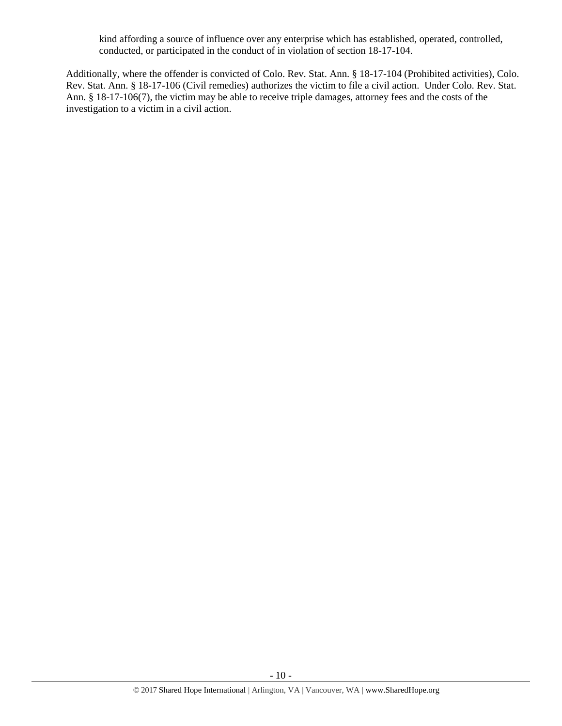kind affording a source of influence over any enterprise which has established, operated, controlled, conducted, or participated in the conduct of in violation of section 18-17-104.

Additionally, where the offender is convicted of Colo. Rev. Stat. Ann. § 18-17-104 (Prohibited activities), Colo. Rev. Stat. Ann. § 18-17-106 (Civil remedies) authorizes the victim to file a civil action. Under Colo. Rev. Stat. Ann. § 18-17-106(7), the victim may be able to receive triple damages, attorney fees and the costs of the investigation to a victim in a civil action.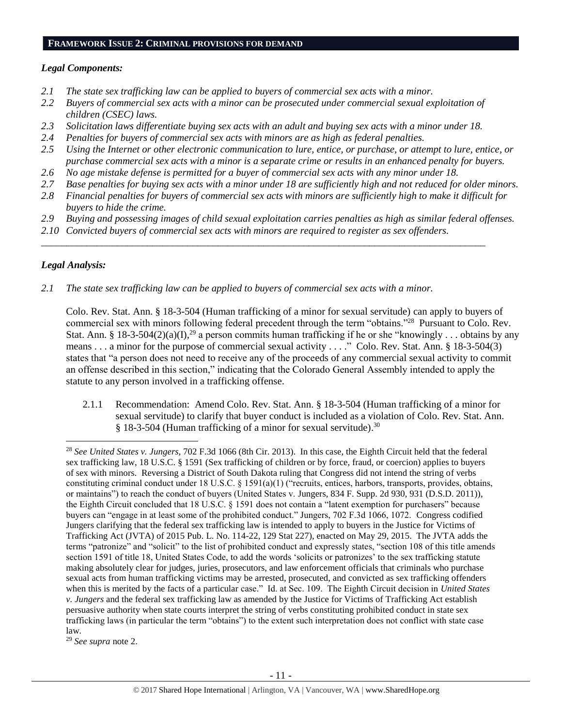#### **FRAMEWORK ISSUE 2: CRIMINAL PROVISIONS FOR DEMAND**

## *Legal Components:*

- *2.1 The state sex trafficking law can be applied to buyers of commercial sex acts with a minor.*
- *2.2 Buyers of commercial sex acts with a minor can be prosecuted under commercial sexual exploitation of children (CSEC) laws.*
- *2.3 Solicitation laws differentiate buying sex acts with an adult and buying sex acts with a minor under 18.*
- *2.4 Penalties for buyers of commercial sex acts with minors are as high as federal penalties.*
- *2.5 Using the Internet or other electronic communication to lure, entice, or purchase, or attempt to lure, entice, or purchase commercial sex acts with a minor is a separate crime or results in an enhanced penalty for buyers.*
- *2.6 No age mistake defense is permitted for a buyer of commercial sex acts with any minor under 18.*
- *2.7 Base penalties for buying sex acts with a minor under 18 are sufficiently high and not reduced for older minors.*
- *2.8 Financial penalties for buyers of commercial sex acts with minors are sufficiently high to make it difficult for buyers to hide the crime.*
- *2.9 Buying and possessing images of child sexual exploitation carries penalties as high as similar federal offenses.*

\_\_\_\_\_\_\_\_\_\_\_\_\_\_\_\_\_\_\_\_\_\_\_\_\_\_\_\_\_\_\_\_\_\_\_\_\_\_\_\_\_\_\_\_\_\_\_\_\_\_\_\_\_\_\_\_\_\_\_\_\_\_\_\_\_\_\_\_\_\_\_\_\_\_\_\_\_\_\_\_\_\_\_\_\_\_\_\_

*2.10 Convicted buyers of commercial sex acts with minors are required to register as sex offenders.* 

# *Legal Analysis:*

 $\overline{\phantom{a}}$ 

*2.1 The state sex trafficking law can be applied to buyers of commercial sex acts with a minor.*

Colo. Rev. Stat. Ann. § 18-3-504 (Human trafficking of a minor for sexual servitude) can apply to buyers of commercial sex with minors following federal precedent through the term "obtains."<sup>28</sup> Pursuant to Colo. Rev. Stat. Ann. § 18-3-504(2)(a)(I),<sup>29</sup> a person commits human trafficking if he or she "knowingly . . . obtains by any means . . . a minor for the purpose of commercial sexual activity . . . ." Colo. Rev. Stat. Ann. § 18-3-504(3) states that "a person does not need to receive any of the proceeds of any commercial sexual activity to commit an offense described in this section," indicating that the Colorado General Assembly intended to apply the statute to any person involved in a trafficking offense.

2.1.1 Recommendation: Amend Colo. Rev. Stat. Ann. § 18-3-504 (Human trafficking of a minor for sexual servitude) to clarify that buyer conduct is included as a violation of Colo. Rev. Stat. Ann. § 18-3-504 (Human trafficking of a minor for sexual servitude).<sup>30</sup>

<sup>29</sup> *See supra* note [2.](#page-0-0)

<sup>28</sup> *See United States v. Jungers*, 702 F.3d 1066 (8th Cir. 2013). In this case, the Eighth Circuit held that the federal sex trafficking law, 18 U.S.C. § 1591 (Sex trafficking of children or by force, fraud, or coercion) applies to buyers of sex with minors. Reversing a District of South Dakota ruling that Congress did not intend the string of verbs constituting criminal conduct under 18 U.S.C. § 1591(a)(1) ("recruits, entices, harbors, transports, provides, obtains, or maintains") to reach the conduct of buyers (United States v. Jungers, 834 F. Supp. 2d 930, 931 (D.S.D. 2011)), the Eighth Circuit concluded that 18 U.S.C. § 1591 does not contain a "latent exemption for purchasers" because buyers can "engage in at least some of the prohibited conduct." Jungers, 702 F.3d 1066, 1072. Congress codified Jungers clarifying that the federal sex trafficking law is intended to apply to buyers in the Justice for Victims of Trafficking Act (JVTA) of 2015 Pub. L. No. 114-22, 129 Stat 227), enacted on May 29, 2015. The JVTA adds the terms "patronize" and "solicit" to the list of prohibited conduct and expressly states, "section 108 of this title amends section 1591 of title 18, United States Code, to add the words 'solicits or patronizes' to the sex trafficking statute making absolutely clear for judges, juries, prosecutors, and law enforcement officials that criminals who purchase sexual acts from human trafficking victims may be arrested, prosecuted, and convicted as sex trafficking offenders when this is merited by the facts of a particular case." Id. at Sec. 109. The Eighth Circuit decision in *United States v. Jungers* and the federal sex trafficking law as amended by the Justice for Victims of Trafficking Act establish persuasive authority when state courts interpret the string of verbs constituting prohibited conduct in state sex trafficking laws (in particular the term "obtains") to the extent such interpretation does not conflict with state case law.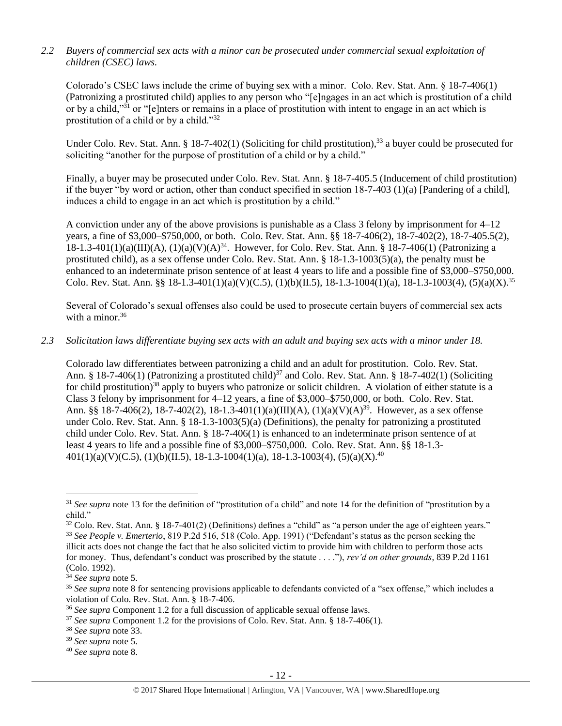# *2.2 Buyers of commercial sex acts with a minor can be prosecuted under commercial sexual exploitation of children (CSEC) laws.*

Colorado's CSEC laws include the crime of buying sex with a minor. Colo. Rev. Stat. Ann. § 18-7-406(1) (Patronizing a prostituted child) applies to any person who "[e]ngages in an act which is prostitution of a child or by a child,"<sup>31</sup> or "[e]nters or remains in a place of prostitution with intent to engage in an act which is prostitution of a child or by a child."32

<span id="page-11-0"></span>Under Colo. Rev. Stat. Ann. § 18-7-402(1) (Soliciting for child prostitution),  $33$  a buyer could be prosecuted for soliciting "another for the purpose of prostitution of a child or by a child."

Finally, a buyer may be prosecuted under Colo. Rev. Stat. Ann. § 18-7-405.5 (Inducement of child prostitution) if the buyer "by word or action, other than conduct specified in section 18-7-403 (1)(a) [Pandering of a child], induces a child to engage in an act which is prostitution by a child."

A conviction under any of the above provisions is punishable as a Class 3 felony by imprisonment for 4–12 years, a fine of \$3,000–\$750,000, or both. Colo. Rev. Stat. Ann. §§ 18-7-406(2), 18-7-402(2), 18-7-405.5(2),  $18-1.3-401(1)(a)(III)(A)$ ,  $(1)(a)(V)(A)^{34}$ . However, for Colo. Rev. Stat. Ann. § 18-7-406(1) (Patronizing a prostituted child), as a sex offense under Colo. Rev. Stat. Ann. § 18-1.3-1003(5)(a), the penalty must be enhanced to an indeterminate prison sentence of at least 4 years to life and a possible fine of \$3,000–\$750,000. Colo. Rev. Stat. Ann. §§ 18-1.3-401(1)(a)(V)(C.5), (1)(b)(II.5), 18-1.3-1004(1)(a), 18-1.3-1003(4), (5)(a)(X).<sup>35</sup>

Several of Colorado's sexual offenses also could be used to prosecute certain buyers of commercial sex acts with a minor. $36$ 

# *2.3 Solicitation laws differentiate buying sex acts with an adult and buying sex acts with a minor under 18.*

Colorado law differentiates between patronizing a child and an adult for prostitution. Colo. Rev. Stat. Ann. § 18-7-406(1) (Patronizing a prostituted child)<sup>37</sup> and Colo. Rev. Stat. Ann. § 18-7-402(1) (Soliciting for child prostitution)<sup>38</sup> apply to buyers who patronize or solicit children. A violation of either statute is a Class 3 felony by imprisonment for 4–12 years, a fine of \$3,000–\$750,000, or both. Colo. Rev. Stat. Ann. §§ 18-7-406(2), 18-7-402(2), 18-1.3-401(1)(a)(III)(A), (1)(a)(V)(A)<sup>39</sup>. However, as a sex offense under Colo. Rev. Stat. Ann. § 18-1.3-1003(5)(a) (Definitions), the penalty for patronizing a prostituted child under Colo. Rev. Stat. Ann. § 18-7-406(1) is enhanced to an indeterminate prison sentence of at least 4 years to life and a possible fine of \$3,000–\$750,000. Colo. Rev. Stat. Ann. §§ 18-1.3-  $401(1)(a)(V)(C.5), (1)(b)(II.5), 18-1.3-1004(1)(a), 18-1.3-1003(4), (5)(a)(X).<sup>40</sup>$ 

<sup>&</sup>lt;sup>31</sup> See supra note [13](#page-3-0) for the definition of "prostitution of a child" and note [14](#page-3-1) for the definition of "prostitution by a child."

<sup>&</sup>lt;sup>32</sup> Colo. Rev. Stat. Ann. § 18-7-401(2) (Definitions) defines a "child" as "a person under the age of eighteen years." <sup>33</sup> *See People v. Emerterio*, 819 P.2d 516, 518 (Colo. App. 1991) ("Defendant's status as the person seeking the illicit acts does not change the fact that he also solicited victim to provide him with children to perform those acts for money. Thus, defendant's conduct was proscribed by the statute . . . ."), *rev'd on other grounds*, 839 P.2d 1161

<sup>(</sup>Colo. 1992). <sup>34</sup> *See supra* note [5.](#page-1-1)

<sup>35</sup> *See supra* note [8](#page-1-2) for sentencing provisions applicable to defendants convicted of a "sex offense," which includes a violation of Colo. Rev. Stat. Ann. § 18-7-406.

<sup>36</sup> *See supra* Component 1.2 for a full discussion of applicable sexual offense laws.

<sup>37</sup> *See supra* Component 1.2 for the provisions of Colo. Rev. Stat. Ann. § 18-7-406(1).

<sup>38</sup> *See supra* note [33.](#page-11-0)

<sup>39</sup> *See supra* note [5.](#page-1-1)

<sup>40</sup> *See supra* note [8.](#page-1-2)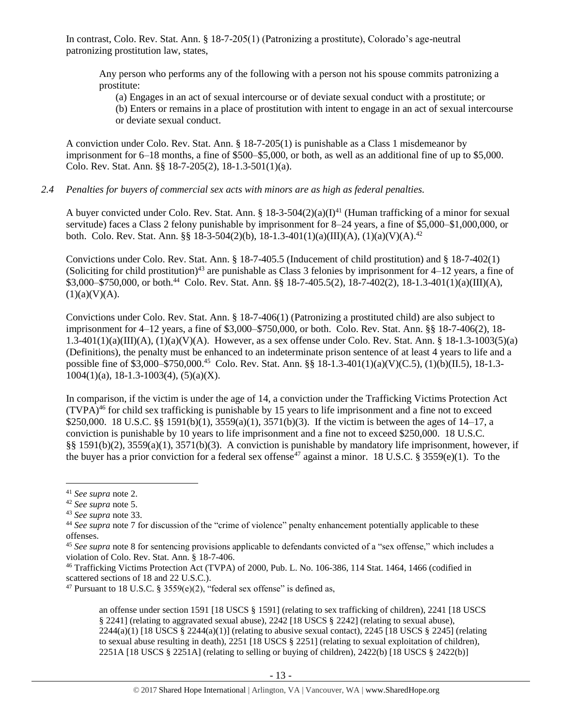In contrast, Colo. Rev. Stat. Ann. § 18-7-205(1) (Patronizing a prostitute), Colorado's age-neutral patronizing prostitution law, states,

Any person who performs any of the following with a person not his spouse commits patronizing a prostitute:

(a) Engages in an act of sexual intercourse or of deviate sexual conduct with a prostitute; or (b) Enters or remains in a place of prostitution with intent to engage in an act of sexual intercourse or deviate sexual conduct.

A conviction under Colo. Rev. Stat. Ann. § 18-7-205(1) is punishable as a Class 1 misdemeanor by imprisonment for 6–18 months, a fine of \$500–\$5,000, or both, as well as an additional fine of up to \$5,000. Colo. Rev. Stat. Ann. §§ 18-7-205(2), 18-1.3-501(1)(a).

## *2.4 Penalties for buyers of commercial sex acts with minors are as high as federal penalties.*

A buyer convicted under Colo. Rev. Stat. Ann. §  $18-3-504(2)(a)(1)^{41}$  (Human trafficking of a minor for sexual servitude) faces a Class 2 felony punishable by imprisonment for 8–24 years, a fine of \$5,000–\$1,000,000, or both. Colo. Rev. Stat. Ann. §§ 18-3-504(2)(b), 18-1.3-401(1)(a)(III)(A), (1)(a)(V)(A).<sup>42</sup>

Convictions under Colo. Rev. Stat. Ann. § 18-7-405.5 (Inducement of child prostitution) and § 18-7-402(1) (Soliciting for child prostitution)<sup>43</sup> are punishable as Class 3 felonies by imprisonment for  $4-12$  years, a fine of  $$3,000-\$750,000$ , or both.<sup>44</sup> Colo. Rev. Stat. Ann. §§ 18-7-405.5(2), 18-7-402(2), 18-1.3-401(1)(a)(III)(A),  $(1)(a)(V)(A)$ .

Convictions under Colo. Rev. Stat. Ann. § 18-7-406(1) (Patronizing a prostituted child) are also subject to imprisonment for 4–12 years, a fine of \$3,000–\$750,000, or both. Colo. Rev. Stat. Ann. §§ 18-7-406(2), 18- 1.3-401(1)(a)(III)(A), (1)(a)(V)(A). However, as a sex offense under Colo. Rev. Stat. Ann. § 18-1.3-1003(5)(a) (Definitions), the penalty must be enhanced to an indeterminate prison sentence of at least 4 years to life and a possible fine of \$3,000–\$750,000.<sup>45</sup> Colo. Rev. Stat. Ann. §§ 18-1.3-401(1)(a)(V)(C.5), (1)(b)(II.5), 18-1.3- $1004(1)(a)$ , 18-1.3-1003(4), (5)(a)(X).

<span id="page-12-0"></span>In comparison, if the victim is under the age of 14, a conviction under the Trafficking Victims Protection Act  $(TVPA)^{46}$  for child sex trafficking is punishable by 15 years to life imprisonment and a fine not to exceed \$250,000. 18 U.S.C. §§ 1591(b)(1), 3559(a)(1), 3571(b)(3). If the victim is between the ages of 14–17, a conviction is punishable by 10 years to life imprisonment and a fine not to exceed \$250,000. 18 U.S.C. §§ 1591(b)(2), 3559(a)(1), 3571(b)(3). A conviction is punishable by mandatory life imprisonment, however, if the buyer has a prior conviction for a federal sex offense<sup>47</sup> against a minor. 18 U.S.C. § 3559(e)(1). To the

<span id="page-12-1"></span> $\overline{a}$ 

an offense under section 1591 [18 USCS § 1591] (relating to sex trafficking of children), 2241 [18 USCS § 2241] (relating to aggravated sexual abuse), 2242 [18 USCS § 2242] (relating to sexual abuse), 2244(a)(1) [18 USCS § 2244(a)(1)] (relating to abusive sexual contact), 2245 [18 USCS § 2245] (relating to sexual abuse resulting in death), 2251 [18 USCS § 2251] (relating to sexual exploitation of children), 2251A [18 USCS § 2251A] (relating to selling or buying of children), 2422(b) [18 USCS § 2422(b)]

<sup>41</sup> *See supra* note [2.](#page-0-0)

<sup>42</sup> *See supra* note [5.](#page-1-1)

<sup>43</sup> *See supra* note [33.](#page-11-0)

<sup>44</sup> *See supra* note [7](#page-1-0) for discussion of the "crime of violence" penalty enhancement potentially applicable to these offenses.

<sup>45</sup> *See supra* note [8](#page-1-2) for sentencing provisions applicable to defendants convicted of a "sex offense," which includes a violation of Colo. Rev. Stat. Ann. § 18-7-406.

<sup>46</sup> Trafficking Victims Protection Act (TVPA) of 2000, Pub. L. No. 106-386, 114 Stat. 1464, 1466 (codified in scattered sections of 18 and 22 U.S.C.).

<sup>&</sup>lt;sup>47</sup> Pursuant to 18 U.S.C. § 3559(e)(2), "federal sex offense" is defined as,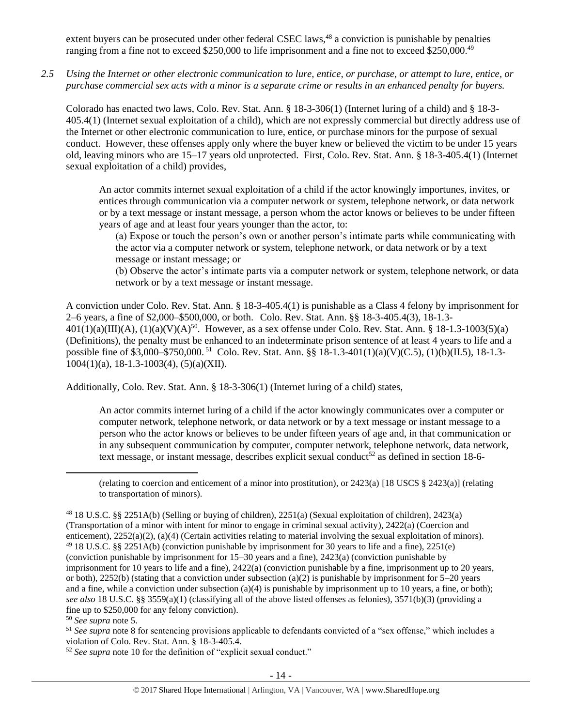extent buyers can be prosecuted under other federal CSEC laws,<sup>48</sup> a conviction is punishable by penalties ranging from a fine not to exceed \$250,000 to life imprisonment and a fine not to exceed \$250,000.<sup>49</sup>

*2.5 Using the Internet or other electronic communication to lure, entice, or purchase, or attempt to lure, entice, or purchase commercial sex acts with a minor is a separate crime or results in an enhanced penalty for buyers.*

Colorado has enacted two laws, Colo. Rev. Stat. Ann. § 18-3-306(1) (Internet luring of a child) and § 18-3- 405.4(1) (Internet sexual exploitation of a child), which are not expressly commercial but directly address use of the Internet or other electronic communication to lure, entice, or purchase minors for the purpose of sexual conduct. However, these offenses apply only where the buyer knew or believed the victim to be under 15 years old, leaving minors who are 15–17 years old unprotected. First, Colo. Rev. Stat. Ann. § 18-3-405.4(1) (Internet sexual exploitation of a child) provides,

An actor commits internet sexual exploitation of a child if the actor knowingly importunes, invites, or entices through communication via a computer network or system, telephone network, or data network or by a text message or instant message, a person whom the actor knows or believes to be under fifteen years of age and at least four years younger than the actor, to:

(a) Expose or touch the person's own or another person's intimate parts while communicating with the actor via a computer network or system, telephone network, or data network or by a text message or instant message; or

(b) Observe the actor's intimate parts via a computer network or system, telephone network, or data network or by a text message or instant message.

A conviction under Colo. Rev. Stat. Ann. § 18-3-405.4(1) is punishable as a Class 4 felony by imprisonment for 2–6 years, a fine of \$2,000–\$500,000, or both. Colo. Rev. Stat. Ann. §§ 18-3-405.4(3), 18-1.3-  $401(1)(a)(III)(A)$ ,  $(1)(a)(V)(A)^{50}$ . However, as a sex offense under Colo. Rev. Stat. Ann. § 18-1.3-1003(5)(a) (Definitions), the penalty must be enhanced to an indeterminate prison sentence of at least 4 years to life and a possible fine of \$3,000–\$750,000.<sup>51</sup> Colo. Rev. Stat. Ann. §§ 18-1.3-401(1)(a)(V)(C.5), (1)(b)(II.5), 18-1.3- $1004(1)(a)$ , 18-1.3-1003(4), (5)(a)(XII).

Additionally, Colo. Rev. Stat. Ann. § 18-3-306(1) (Internet luring of a child) states,

An actor commits internet luring of a child if the actor knowingly communicates over a computer or computer network, telephone network, or data network or by a text message or instant message to a person who the actor knows or believes to be under fifteen years of age and, in that communication or in any subsequent communication by computer, computer network, telephone network, data network, text message, or instant message, describes explicit sexual conduct<sup>52</sup> as defined in [section 18-6-](https://www.lexis.com/research/buttonTFLink?_m=0545d54bb3ab2fe03ee287d34806e7bd&_xfercite=%3ccite%20cc%3d%22USA%22%3e%3c%21%5bCDATA%5bC.R.S.%2018-3-306%5d%5d%3e%3c%2fcite%3e&_butType=4&_butStat=0&_butNum=2&_butInline=1&_butinfo=COCODE%2018-6-403&_fmtstr=FULL&docnum=1&_startdoc=1&wchp=dGLbVzB-zSkAb&_md5=937d1f974c5b2e4c88bf5b6e2c34877b)

(relating to coercion and enticement of a minor into prostitution), or 2423(a) [18 USCS § 2423(a)] (relating to transportation of minors).

<sup>50</sup> *See supra* note [5.](#page-1-1)

l

<sup>51</sup> See supra note [8](#page-1-2) for sentencing provisions applicable to defendants convicted of a "sex offense," which includes a violation of Colo. Rev. Stat. Ann. § 18-3-405.4.

<sup>52</sup> *See supra* note [10](#page-2-0) for the definition of "explicit sexual conduct."

<sup>48</sup> 18 U.S.C. §§ 2251A(b) (Selling or buying of children), 2251(a) (Sexual exploitation of children), 2423(a) (Transportation of a minor with intent for minor to engage in criminal sexual activity), 2422(a) (Coercion and enticement), 2252(a)(2), (a)(4) (Certain activities relating to material involving the sexual exploitation of minors). <sup>49</sup> 18 U.S.C. §§ 2251A(b) (conviction punishable by imprisonment for 30 years to life and a fine), 2251(e) (conviction punishable by imprisonment for 15–30 years and a fine), 2423(a) (conviction punishable by imprisonment for 10 years to life and a fine), 2422(a) (conviction punishable by a fine, imprisonment up to 20 years, or both), 2252(b) (stating that a conviction under subsection (a)(2) is punishable by imprisonment for  $5-20$  years and a fine, while a conviction under subsection (a)(4) is punishable by imprisonment up to 10 years, a fine, or both); *see also* 18 U.S.C. §§ 3559(a)(1) (classifying all of the above listed offenses as felonies), 3571(b)(3) (providing a fine up to \$250,000 for any felony conviction).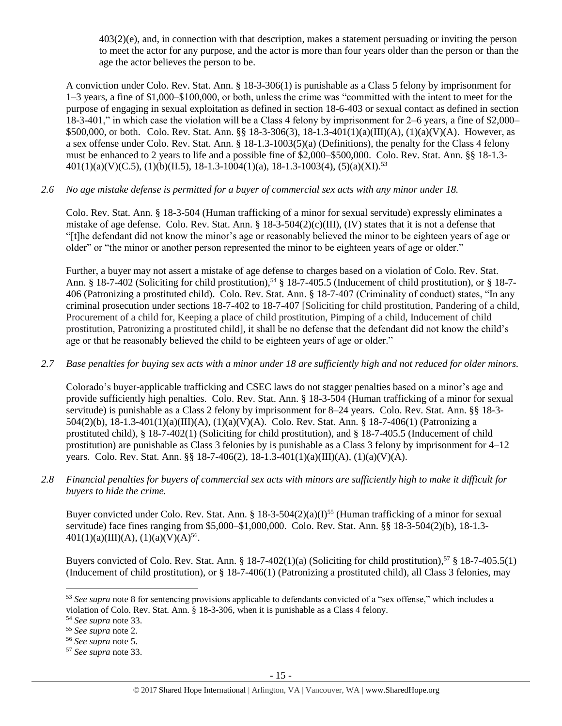[403\(2\)\(e\),](https://www.lexis.com/research/buttonTFLink?_m=0545d54bb3ab2fe03ee287d34806e7bd&_xfercite=%3ccite%20cc%3d%22USA%22%3e%3c%21%5bCDATA%5bC.R.S.%2018-3-306%5d%5d%3e%3c%2fcite%3e&_butType=4&_butStat=0&_butNum=2&_butInline=1&_butinfo=COCODE%2018-6-403&_fmtstr=FULL&docnum=1&_startdoc=1&wchp=dGLbVzB-zSkAb&_md5=937d1f974c5b2e4c88bf5b6e2c34877b) and, in connection with that description, makes a statement persuading or inviting the person to meet the actor for any purpose, and the actor is more than four years older than the person or than the age the actor believes the person to be.

A conviction under Colo. Rev. Stat. Ann. § 18-3-306(1) is punishable as a Class 5 felony by imprisonment for 1–3 years, a fine of \$1,000–\$100,000, or both, unless the crime was "committed with the intent to meet for the purpose of engaging in sexual exploitation as defined in section 18-6-403 or sexual contact as defined in section 18-3-401," in which case the violation will be a Class 4 felony by imprisonment for 2–6 years, a fine of \$2,000– \$500,000, or both. Colo. Rev. Stat. Ann. §§ 18-3-306(3), 18-1.3-401(1)(a)(III)(A), (1)(a)(V)(A). However, as a sex offense under Colo. Rev. Stat. Ann. § 18-1.3-1003(5)(a) (Definitions), the penalty for the Class 4 felony must be enhanced to 2 years to life and a possible fine of \$2,000–\$500,000. Colo. Rev. Stat. Ann. §§ 18-1.3-  $401(1)(a)(V)(C.5), (1)(b)(II.5), 18-1.3-1004(1)(a), 18-1.3-1003(4), (5)(a)(XI).$ <sup>53</sup>

# *2.6 No age mistake defense is permitted for a buyer of commercial sex acts with any minor under 18.*

Colo. Rev. Stat. Ann. § 18-3-504 (Human trafficking of a minor for sexual servitude) expressly eliminates a mistake of age defense. Colo. Rev. Stat. Ann.  $\S 18{\text -}3{\text -}504(2)(c)(III)$ , (IV) states that it is not a defense that "[t]he defendant did not know the minor's age or reasonably believed the minor to be eighteen years of age or older" or "the minor or another person represented the minor to be eighteen years of age or older."

Further, a buyer may not assert a mistake of age defense to charges based on a violation of Colo. Rev. Stat. Ann. § 18-7-402 (Soliciting for child prostitution),<sup>54</sup> § 18-7-405.5 (Inducement of child prostitution), or § 18-7-406 (Patronizing a prostituted child). Colo. Rev. Stat. Ann. § 18-7-407 (Criminality of conduct) states, "In any criminal prosecution under sections 18-7-402 to 18-7-407 [Soliciting for child prostitution, Pandering of a child, Procurement of a child for, Keeping a place of child prostitution, Pimping of a child, Inducement of child prostitution, Patronizing a prostituted child], it shall be no defense that the defendant did not know the child's age or that he reasonably believed the child to be eighteen years of age or older."

# *2.7 Base penalties for buying sex acts with a minor under 18 are sufficiently high and not reduced for older minors.*

Colorado's buyer-applicable trafficking and CSEC laws do not stagger penalties based on a minor's age and provide sufficiently high penalties. Colo. Rev. Stat. Ann. § 18-3-504 (Human trafficking of a minor for sexual servitude) is punishable as a Class 2 felony by imprisonment for 8–24 years. Colo. Rev. Stat. Ann. §§ 18-3- 504(2)(b), 18-1.3-401(1)(a)(III)(A), (1)(a)(V)(A). Colo. Rev. Stat. Ann. § 18-7-406(1) (Patronizing a prostituted child), § 18-7-402(1) (Soliciting for child prostitution), and § 18-7-405.5 (Inducement of child prostitution) are punishable as Class 3 felonies by is punishable as a Class 3 felony by imprisonment for 4–12 years. Colo. Rev. Stat. Ann. §§ 18-7-406(2), 18-1.3-401(1)(a)(III)(A), (1)(a)(V)(A).

*2.8 Financial penalties for buyers of commercial sex acts with minors are sufficiently high to make it difficult for buyers to hide the crime.* 

Buyer convicted under Colo. Rev. Stat. Ann. § 18-3-504(2)(a)(I)<sup>55</sup> (Human trafficking of a minor for sexual servitude) face fines ranging from \$5,000–\$1,000,000. Colo. Rev. Stat. Ann. §§ 18-3-504(2)(b), 18-1.3-  $401(1)(a)(III)(A), (1)(a)(V)(A)<sup>56</sup>.$ 

Buyers convicted of Colo. Rev. Stat. Ann. § 18-7-402(1)(a) (Soliciting for child prostitution),<sup>57</sup> § 18-7-405.5(1) (Inducement of child prostitution), or § 18-7-406(1) (Patronizing a prostituted child), all Class 3 felonies, may

<sup>53</sup> *See supra* note [8](#page-1-2) for sentencing provisions applicable to defendants convicted of a "sex offense," which includes a violation of Colo. Rev. Stat. Ann. § 18-3-306, when it is punishable as a Class 4 felony.

<sup>54</sup> *See supra* note [33.](#page-11-0)

<sup>55</sup> *See supra* note [2.](#page-0-0)

<sup>56</sup> *See supra* note [5.](#page-1-1)

<sup>57</sup> *See supra* note [33.](#page-11-0)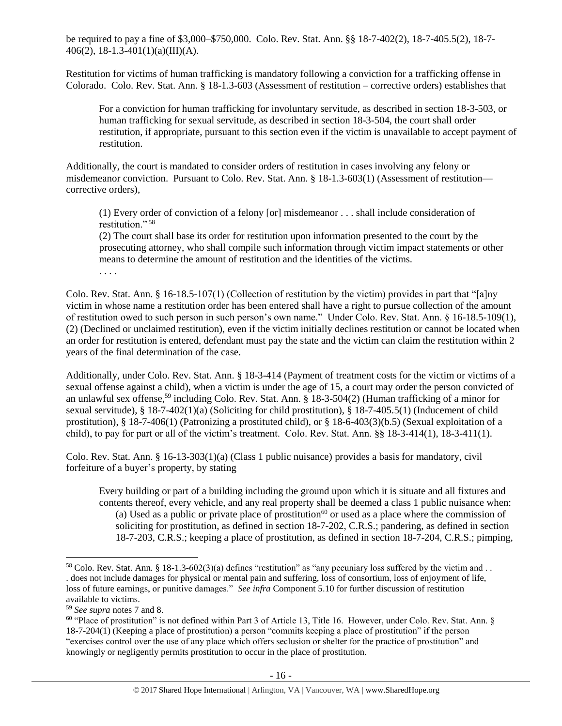be required to pay a fine of \$3,000–\$750,000. Colo. Rev. Stat. Ann. §§ 18-7-402(2), 18-7-405.5(2), 18-7- 406(2), 18-1.3-401(1)(a)(III)(A).

Restitution for victims of human trafficking is mandatory following a conviction for a trafficking offense in Colorado. Colo. Rev. Stat. Ann. § 18-1.3-603 (Assessment of restitution – corrective orders) establishes that

For a conviction for human trafficking for involuntary servitude, as described in section 18-3-503, or human trafficking for sexual servitude, as described in section 18-3-504, the court shall order restitution, if appropriate, pursuant to this section even if the victim is unavailable to accept payment of restitution.

Additionally, the court is mandated to consider orders of restitution in cases involving any felony or misdemeanor conviction. Pursuant to Colo. Rev. Stat. Ann. § 18-1.3-603(1) (Assessment of restitution corrective orders),

<span id="page-15-0"></span>(1) Every order of conviction of a felony [or] misdemeanor . . . shall include consideration of restitution."<sup>58</sup>

(2) The court shall base its order for restitution upon information presented to the court by the prosecuting attorney, who shall compile such information through victim impact statements or other means to determine the amount of restitution and the identities of the victims.

. . . .

Colo. Rev. Stat. Ann. § 16-18.5-107(1) (Collection of restitution by the victim) provides in part that "[a]ny victim in whose name a restitution order has been entered shall have a right to pursue collection of the amount of restitution owed to such person in such person's own name." Under Colo. Rev. Stat. Ann. § 16-18.5-109(1), (2) (Declined or unclaimed restitution), even if the victim initially declines restitution or cannot be located when an order for restitution is entered, defendant must pay the state and the victim can claim the restitution within 2 years of the final determination of the case.

Additionally, under Colo. Rev. Stat. Ann. § 18-3-414 (Payment of treatment costs for the victim or victims of a sexual offense against a child), when a victim is under the age of 15, a court may order the person convicted of an unlawful sex offense,<sup>59</sup> including Colo. Rev. Stat. Ann. § 18-3-504(2) (Human trafficking of a minor for sexual servitude), § 18-7-402(1)(a) (Soliciting for child prostitution), § 18-7-405.5(1) (Inducement of child prostitution), § 18-7-406(1) (Patronizing a prostituted child), or § 18-6-403(3)(b.5) (Sexual exploitation of a child), to pay for part or all of the victim's treatment. Colo. Rev. Stat. Ann. §§ 18-3-414(1), 18-3-411(1).

Colo. Rev. Stat. Ann. § 16-13-303(1)(a) (Class 1 public nuisance) provides a basis for mandatory, civil forfeiture of a buyer's property, by stating

Every building or part of a building including the ground upon which it is situate and all fixtures and contents thereof, every vehicle, and any real property shall be deemed a class 1 public nuisance when: (a) Used as a public or private place of prostitution<sup>60</sup> or used as a place where the commission of soliciting for prostitution, as defined in section 18-7-202, C.R.S.; pandering, as defined in section 18-7-203, C.R.S.; keeping a place of prostitution, as defined in section 18-7-204, C.R.S.; pimping,

<sup>&</sup>lt;sup>58</sup> Colo. Rev. Stat. Ann. § 18-1.3-602(3)(a) defines "restitution" as "any pecuniary loss suffered by the victim and . . . does not include damages for physical or mental pain and suffering, loss of consortium, loss of enjoyment of life, loss of future earnings, or punitive damages." *See infra* Component 5.10 for further discussion of restitution available to victims.

<sup>59</sup> *See supra* notes [7](#page-1-0) an[d 8.](#page-1-2)

<sup>&</sup>lt;sup>60</sup> "Place of prostitution" is not defined within Part 3 of Article 13, Title 16. However, under Colo. Rev. Stat. Ann. § 18-7-204(1) (Keeping a place of prostitution) a person "commits keeping a place of prostitution" if the person "exercises control over the use of any place which offers seclusion or shelter for the practice of prostitution" and knowingly or negligently permits prostitution to occur in the place of prostitution.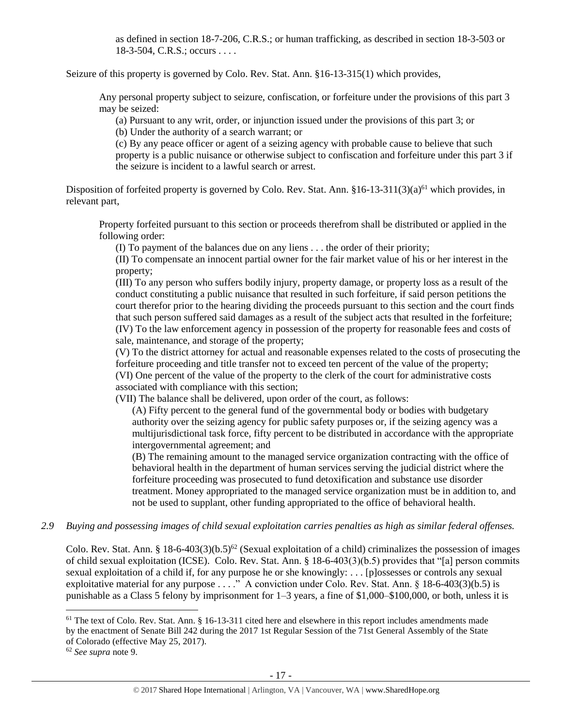as defined in section 18-7-206, C.R.S.; or human trafficking, as described in section 18-3-503 or 18-3-504, C.R.S.; occurs . . . .

Seizure of this property is governed by Colo. Rev. Stat. Ann. §16-13-315(1) which provides,

Any personal property subject to seizure, confiscation, or forfeiture under the provisions of this part 3 may be seized:

(a) Pursuant to any writ, order, or injunction issued under the provisions of this part 3; or

(b) Under the authority of a search warrant; or

<span id="page-16-0"></span>(c) By any peace officer or agent of a seizing agency with probable cause to believe that such property is a public nuisance or otherwise subject to confiscation and forfeiture under this part 3 if the seizure is incident to a lawful search or arrest.

Disposition of forfeited property is governed by Colo. Rev. Stat. Ann.  $\S 16$ -13-311(3)(a)<sup>61</sup> which provides, in relevant part,

Property forfeited pursuant to this section or proceeds therefrom shall be distributed or applied in the following order:

(I) To payment of the balances due on any liens . . . the order of their priority;

(II) To compensate an innocent partial owner for the fair market value of his or her interest in the property;

(III) To any person who suffers bodily injury, property damage, or property loss as a result of the conduct constituting a public nuisance that resulted in such forfeiture, if said person petitions the court therefor prior to the hearing dividing the proceeds pursuant to this section and the court finds that such person suffered said damages as a result of the subject acts that resulted in the forfeiture; (IV) To the law enforcement agency in possession of the property for reasonable fees and costs of sale, maintenance, and storage of the property;

(V) To the district attorney for actual and reasonable expenses related to the costs of prosecuting the forfeiture proceeding and title transfer not to exceed ten percent of the value of the property; (VI) One percent of the value of the property to the clerk of the court for administrative costs associated with compliance with this section;

(VII) The balance shall be delivered, upon order of the court, as follows:

(A) Fifty percent to the general fund of the governmental body or bodies with budgetary authority over the seizing agency for public safety purposes or, if the seizing agency was a multijurisdictional task force, fifty percent to be distributed in accordance with the appropriate intergovernmental agreement; and

(B) The remaining amount to the managed service organization contracting with the office of behavioral health in the department of human services serving the judicial district where the forfeiture proceeding was prosecuted to fund detoxification and substance use disorder treatment. Money appropriated to the managed service organization must be in addition to, and not be used to supplant, other funding appropriated to the office of behavioral health.

*2.9 Buying and possessing images of child sexual exploitation carries penalties as high as similar federal offenses.*

Colo. Rev. Stat. Ann. § 18-6-403(3)(b.5)<sup>62</sup> (Sexual exploitation of a child) criminalizes the possession of images of child sexual exploitation (ICSE). Colo. Rev. Stat. Ann. § 18-6-403(3)(b.5) provides that "[a] person commits sexual exploitation of a child if, for any purpose he or she knowingly: . . . [p]ossesses or controls any sexual exploitative material for any purpose . . . ." A conviction under Colo. Rev. Stat. Ann. § 18-6-403(3)(b.5) is punishable as a Class 5 felony by imprisonment for 1–3 years, a fine of \$1,000–\$100,000, or both, unless it is

 $61$  The text of Colo. Rev. Stat. Ann. § 16-13-311 cited here and elsewhere in this report includes amendments made by the enactment of Senate Bill 242 during the 2017 1st Regular Session of the 71st General Assembly of the State of Colorado (effective May 25, 2017).

<sup>62</sup> *See supra* note [9.](#page-2-1)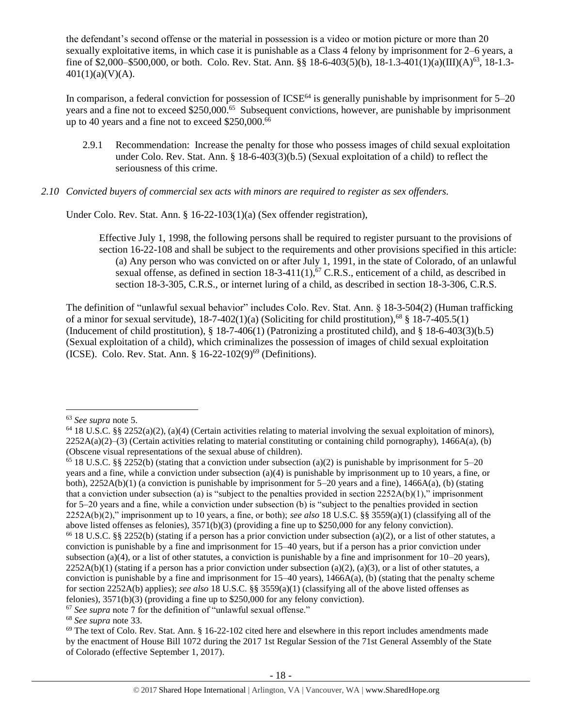the defendant's second offense or the material in possession is a video or motion picture or more than 20 sexually exploitative items, in which case it is punishable as a Class 4 felony by imprisonment for 2–6 years, a fine of \$2,000–\$500,000, or both. Colo. Rev. Stat. Ann. §§ 18-6-403(5)(b), 18-1.3-401(1)(a)(III)(A)<sup>63</sup>, 18-1.3-  $401(1)(a)(V)(A)$ .

In comparison, a federal conviction for possession of  $ICSE<sup>64</sup>$  is generally punishable by imprisonment for  $5-20$ years and a fine not to exceed \$250,000.<sup>65</sup> Subsequent convictions, however, are punishable by imprisonment up to 40 years and a fine not to exceed  $$250,000$ .<sup>66</sup>

2.9.1 Recommendation: Increase the penalty for those who possess images of child sexual exploitation under Colo. Rev. Stat. Ann. § 18-6-403(3)(b.5) (Sexual exploitation of a child) to reflect the seriousness of this crime.

## *2.10 Convicted buyers of commercial sex acts with minors are required to register as sex offenders.*

Under Colo. Rev. Stat. Ann. § 16-22-103(1)(a) (Sex offender registration),

<span id="page-17-0"></span>Effective July 1, 1998, the following persons shall be required to register pursuant to the provisions of section 16-22-108 and shall be subject to the requirements and other provisions specified in this article: (a) Any person who was convicted on or after July 1, 1991, in the state of Colorado, of an unlawful sexual offense, as defined in section 18-3-411(1),  $67$  C.R.S., enticement of a child, as described in section 18-3-305, C.R.S., or internet luring of a child, as described in section 18-3-306, C.R.S.

The definition of "unlawful sexual behavior" includes Colo. Rev. Stat. Ann. § 18-3-504(2) (Human trafficking of a minor for sexual servitude),  $18-7-402(1)(a)$  (Soliciting for child prostitution),<sup>68</sup> §  $18-7-405.5(1)$ (Inducement of child prostitution), § 18-7-406(1) (Patronizing a prostituted child), and § 18-6-403(3)(b.5) (Sexual exploitation of a child), which criminalizes the possession of images of child sexual exploitation (ICSE). Colo. Rev. Stat. Ann. § 16-22-102(9)<sup>69</sup> (Definitions).

l

<sup>63</sup> *See supra* note [5.](#page-1-1)

 $64$  18 U.S.C. §§ 2252(a)(2), (a)(4) (Certain activities relating to material involving the sexual exploitation of minors),  $2252A(a)(2)$ –(3) (Certain activities relating to material constituting or containing child pornography), 1466A(a), (b) (Obscene visual representations of the sexual abuse of children).

<sup>&</sup>lt;sup>65</sup> 18 U.S.C. §§ 2252(b) (stating that a conviction under subsection (a)(2) is punishable by imprisonment for 5–20 years and a fine, while a conviction under subsection (a)(4) is punishable by imprisonment up to 10 years, a fine, or both),  $2252A(b)(1)$  (a conviction is punishable by imprisonment for  $5-20$  years and a fine),  $1466A(a)$ , (b) (stating that a conviction under subsection (a) is "subject to the penalties provided in section  $2252A(b)(1)$ ," imprisonment for 5–20 years and a fine, while a conviction under subsection (b) is "subject to the penalties provided in section 2252A(b)(2)," imprisonment up to 10 years, a fine, or both); *see also* 18 U.S.C. §§ 3559(a)(1) (classifying all of the above listed offenses as felonies), 3571(b)(3) (providing a fine up to \$250,000 for any felony conviction).

<sup>&</sup>lt;sup>66</sup> 18 U.S.C. §§ 2252(b) (stating if a person has a prior conviction under subsection (a)(2), or a list of other statutes, a conviction is punishable by a fine and imprisonment for 15–40 years, but if a person has a prior conviction under subsection (a)(4), or a list of other statutes, a conviction is punishable by a fine and imprisonment for  $10-20$  years),  $2252A(b)(1)$  (stating if a person has a prior conviction under subsection (a)(2), (a)(3), or a list of other statutes, a conviction is punishable by a fine and imprisonment for  $15-40$  years),  $1466A(a)$ , (b) (stating that the penalty scheme for section 2252A(b) applies); *see also* 18 U.S.C. §§ 3559(a)(1) (classifying all of the above listed offenses as felonies), 3571(b)(3) (providing a fine up to \$250,000 for any felony conviction).

<sup>67</sup> *See supra* note 7 for the definition of "unlawful sexual offense."

<sup>68</sup> *See supra* note [33.](#page-11-0)

 $69$  The text of Colo. Rev. Stat. Ann. § 16-22-102 cited here and elsewhere in this report includes amendments made by the enactment of House Bill 1072 during the 2017 1st Regular Session of the 71st General Assembly of the State of Colorado (effective September 1, 2017).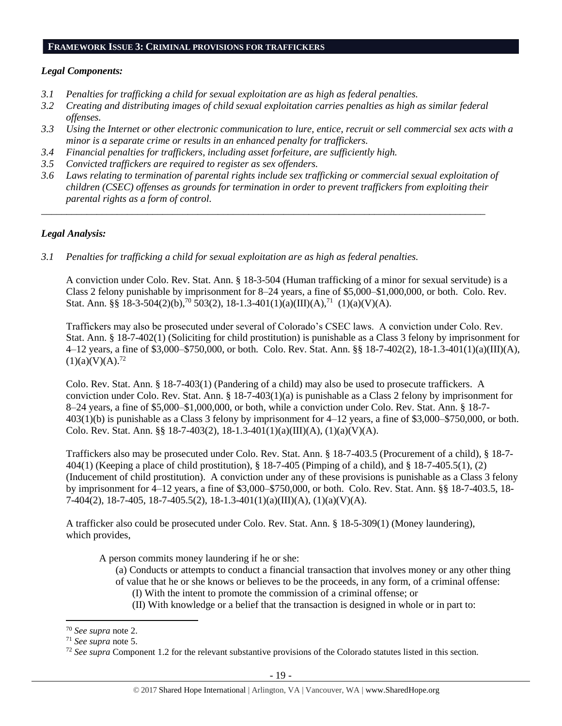## **FRAMEWORK ISSUE 3: CRIMINAL PROVISIONS FOR TRAFFICKERS**

## *Legal Components:*

- *3.1 Penalties for trafficking a child for sexual exploitation are as high as federal penalties.*
- *3.2 Creating and distributing images of child sexual exploitation carries penalties as high as similar federal offenses.*
- *3.3 Using the Internet or other electronic communication to lure, entice, recruit or sell commercial sex acts with a minor is a separate crime or results in an enhanced penalty for traffickers.*
- *3.4 Financial penalties for traffickers, including asset forfeiture, are sufficiently high.*
- *3.5 Convicted traffickers are required to register as sex offenders.*
- *3.6 Laws relating to termination of parental rights include sex trafficking or commercial sexual exploitation of children (CSEC) offenses as grounds for termination in order to prevent traffickers from exploiting their parental rights as a form of control.*

*\_\_\_\_\_\_\_\_\_\_\_\_\_\_\_\_\_\_\_\_\_\_\_\_\_\_\_\_\_\_\_\_\_\_\_\_\_\_\_\_\_\_\_\_\_\_\_\_\_\_\_\_\_\_\_\_\_\_\_\_\_\_\_\_\_\_\_\_\_\_\_\_\_\_\_\_\_\_\_\_\_\_\_\_\_\_\_\_*

# *Legal Analysis:*

*3.1 Penalties for trafficking a child for sexual exploitation are as high as federal penalties.* 

A conviction under Colo. Rev. Stat. Ann. § 18-3-504 (Human trafficking of a minor for sexual servitude) is a Class 2 felony punishable by imprisonment for 8–24 years, a fine of \$5,000–\$1,000,000, or both. Colo. Rev. Stat. Ann. §§ 18-3-504(2)(b),<sup>70</sup> 503(2), 18-1.3-401(1)(a)(III)(A),<sup>71</sup> (1)(a)(V)(A).

Traffickers may also be prosecuted under several of Colorado's CSEC laws. A conviction under Colo. Rev. Stat. Ann. § 18-7-402(1) (Soliciting for child prostitution) is punishable as a Class 3 felony by imprisonment for 4–12 years, a fine of \$3,000–\$750,000, or both. Colo. Rev. Stat. Ann. §§ 18-7-402(2), 18-1.3-401(1)(a)(III)(A),  $(1)(a)(V)(A).^{72}$ 

Colo. Rev. Stat. Ann. § 18-7-403(1) (Pandering of a child) may also be used to prosecute traffickers. A conviction under Colo. Rev. Stat. Ann. § 18-7-403(1)(a) is punishable as a Class 2 felony by imprisonment for 8–24 years, a fine of \$5,000–\$1,000,000, or both, while a conviction under Colo. Rev. Stat. Ann. § 18-7- 403(1)(b) is punishable as a Class 3 felony by imprisonment for 4–12 years, a fine of \$3,000–\$750,000, or both. Colo. Rev. Stat. Ann. §§ 18-7-403(2), 18-1.3-401(1)(a)(III)(A), (1)(a)(V)(A).

Traffickers also may be prosecuted under Colo. Rev. Stat. Ann. § 18-7-403.5 (Procurement of a child), § 18-7- 404(1) (Keeping a place of child prostitution), § 18-7-405 (Pimping of a child), and § 18-7-405.5(1), (2) (Inducement of child prostitution). A conviction under any of these provisions is punishable as a Class 3 felony by imprisonment for 4–12 years, a fine of \$3,000–\$750,000, or both. Colo. Rev. Stat. Ann. §§ 18-7-403.5, 18- 7-404(2), 18-7-405, 18-7-405.5(2), 18-1.3-401(1)(a)(III)(A), (1)(a)(V)(A).

A trafficker also could be prosecuted under Colo. Rev. Stat. Ann. § 18-5-309(1) (Money laundering), which provides,

A person commits money laundering if he or she:

- (a) Conducts or attempts to conduct a financial transaction that involves money or any other thing of value that he or she knows or believes to be the proceeds, in any form, of a criminal offense:
	- (I) With the intent to promote the commission of a criminal offense; or
	- (II) With knowledge or a belief that the transaction is designed in whole or in part to:

<sup>70</sup> *See supra* note [2.](#page-0-0)

<sup>71</sup> *See supra* note [5.](#page-1-1)

<sup>72</sup> *See supra* Component 1.2 for the relevant substantive provisions of the Colorado statutes listed in this section.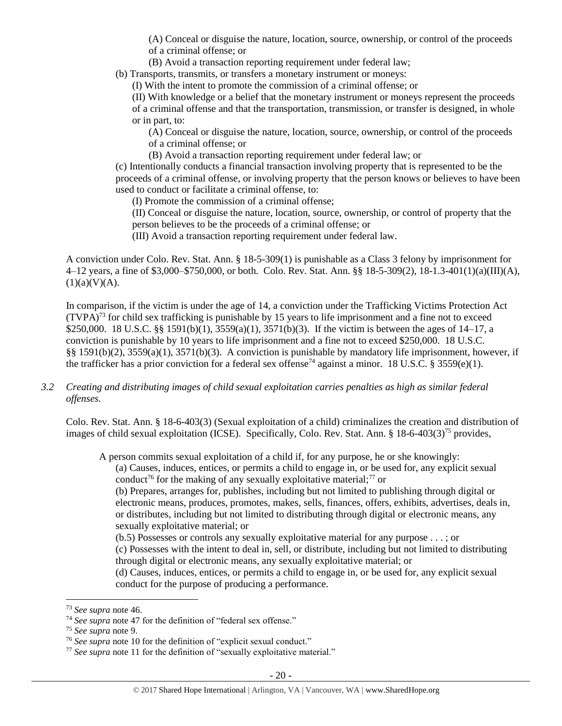(A) Conceal or disguise the nature, location, source, ownership, or control of the proceeds of a criminal offense; or

(B) Avoid a transaction reporting requirement under federal law;

(b) Transports, transmits, or transfers a monetary instrument or moneys:

(I) With the intent to promote the commission of a criminal offense; or

(II) With knowledge or a belief that the monetary instrument or moneys represent the proceeds of a criminal offense and that the transportation, transmission, or transfer is designed, in whole or in part, to:

(A) Conceal or disguise the nature, location, source, ownership, or control of the proceeds of a criminal offense; or

(B) Avoid a transaction reporting requirement under federal law; or

(c) Intentionally conducts a financial transaction involving property that is represented to be the proceeds of a criminal offense, or involving property that the person knows or believes to have been used to conduct or facilitate a criminal offense, to:

(I) Promote the commission of a criminal offense;

(II) Conceal or disguise the nature, location, source, ownership, or control of property that the person believes to be the proceeds of a criminal offense; or

(III) Avoid a transaction reporting requirement under federal law.

A conviction under Colo. Rev. Stat. Ann. § 18-5-309(1) is punishable as a Class 3 felony by imprisonment for 4–12 years, a fine of \$3,000–\$750,000, or both. Colo. Rev. Stat. Ann. §§ 18-5-309(2), 18-1.3-401(1)(a)(III)(A),  $(1)(a)(V)(A).$ 

In comparison, if the victim is under the age of 14, a conviction under the Trafficking Victims Protection Act  $(TVPA)<sup>73</sup>$  for child sex trafficking is punishable by 15 years to life imprisonment and a fine not to exceed \$250,000. 18 U.S.C. §§ 1591(b)(1), 3559(a)(1), 3571(b)(3). If the victim is between the ages of 14–17, a conviction is punishable by 10 years to life imprisonment and a fine not to exceed \$250,000. 18 U.S.C. §§ 1591(b)(2), 3559(a)(1), 3571(b)(3). A conviction is punishable by mandatory life imprisonment, however, if the trafficker has a prior conviction for a federal sex offense<sup>74</sup> against a minor. 18 U.S.C. § 3559(e)(1).

## *3.2 Creating and distributing images of child sexual exploitation carries penalties as high as similar federal offenses.*

Colo. Rev. Stat. Ann. § 18-6-403(3) (Sexual exploitation of a child) criminalizes the creation and distribution of images of child sexual exploitation (ICSE). Specifically, Colo. Rev. Stat. Ann. § 18-6-403(3)<sup>75</sup> provides,

A person commits sexual exploitation of a child if, for any purpose, he or she knowingly:

(a) Causes, induces, entices, or permits a child to engage in, or be used for, any explicit sexual conduct<sup>76</sup> for the making of any sexually exploitative material;<sup>77</sup> or

(b) Prepares, arranges for, publishes, including but not limited to publishing through digital or electronic means, produces, promotes, makes, sells, finances, offers, exhibits, advertises, deals in, or distributes, including but not limited to distributing through digital or electronic means, any sexually exploitative material; or

(b.5) Possesses or controls any sexually exploitative material for any purpose . . . ; or

(c) Possesses with the intent to deal in, sell, or distribute, including but not limited to distributing through digital or electronic means, any sexually exploitative material; or

(d) Causes, induces, entices, or permits a child to engage in, or be used for, any explicit sexual conduct for the purpose of producing a performance.

l

<sup>73</sup> *See supra* note [46.](#page-12-0) 

<sup>74</sup> *See supra* note [47](#page-12-1) for the definition of "federal sex offense."

<sup>75</sup> *See supra* note [9.](#page-2-1)

<sup>76</sup> *See supra* note [10](#page-2-0) for the definition of "explicit sexual conduct."

<sup>&</sup>lt;sup>77</sup> See supra note [11](#page-2-2) for the definition of "sexually exploitative material."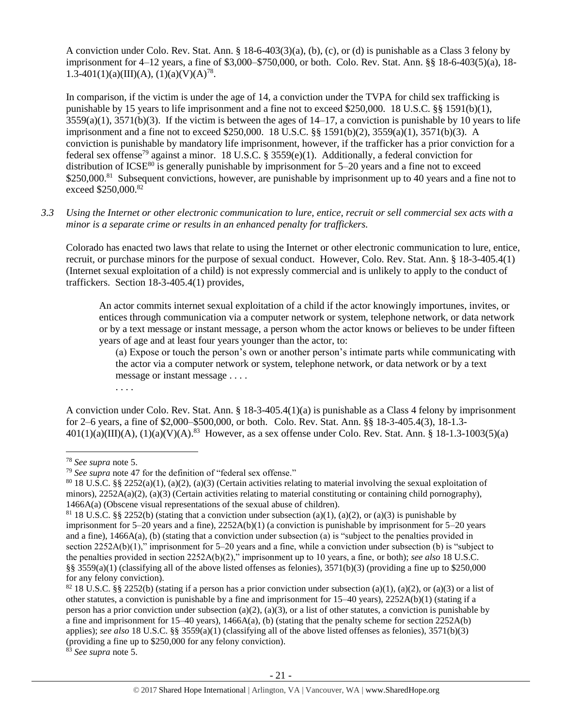A conviction under Colo. Rev. Stat. Ann. § 18-6-403(3)(a), (b), (c), or (d) is punishable as a Class 3 felony by imprisonment for 4–12 years, a fine of \$3,000–\$750,000, or both. Colo. Rev. Stat. Ann. §§ 18-6-403(5)(a), 18- 1.3-401(1)(a)(III)(A), (1)(a)(V)(A)<sup>78</sup>.

In comparison, if the victim is under the age of 14, a conviction under the TVPA for child sex trafficking is punishable by 15 years to life imprisonment and a fine not to exceed \$250,000. 18 U.S.C. §§ 1591(b)(1),  $3559(a)(1)$ ,  $3571(b)(3)$ . If the victim is between the ages of  $14-17$ , a conviction is punishable by 10 years to life imprisonment and a fine not to exceed \$250,000. 18 U.S.C. §§ 1591(b)(2), 3559(a)(1), 3571(b)(3). A conviction is punishable by mandatory life imprisonment, however, if the trafficker has a prior conviction for a federal sex offense<sup>79</sup> against a minor. 18 U.S.C. § 3559(e)(1). Additionally, a federal conviction for distribution of ICSE<sup>80</sup> is generally punishable by imprisonment for  $5-20$  years and a fine not to exceed \$250,000.<sup>81</sup> Subsequent convictions, however, are punishable by imprisonment up to 40 years and a fine not to exceed \$250,000.82

*3.3 Using the Internet or other electronic communication to lure, entice, recruit or sell commercial sex acts with a minor is a separate crime or results in an enhanced penalty for traffickers.*

Colorado has enacted two laws that relate to using the Internet or other electronic communication to lure, entice, recruit, or purchase minors for the purpose of sexual conduct. However, Colo. Rev. Stat. Ann. § 18-3-405.4(1) (Internet sexual exploitation of a child) is not expressly commercial and is unlikely to apply to the conduct of traffickers. Section 18-3-405.4(1) provides,

An actor commits internet sexual exploitation of a child if the actor knowingly importunes, invites, or entices through communication via a computer network or system, telephone network, or data network or by a text message or instant message, a person whom the actor knows or believes to be under fifteen years of age and at least four years younger than the actor, to:

(a) Expose or touch the person's own or another person's intimate parts while communicating with the actor via a computer network or system, telephone network, or data network or by a text message or instant message . . . .

A conviction under Colo. Rev. Stat. Ann. § 18-3-405.4(1)(a) is punishable as a Class 4 felony by imprisonment for 2–6 years, a fine of \$2,000–\$500,000, or both. Colo. Rev. Stat. Ann. §§ 18-3-405.4(3), 18-1.3-  $401(1)(a)(III)(A), (1)(a)(V)(A).^{83}$  However, as a sex offense under Colo. Rev. Stat. Ann. § 18-1.3-1003(5)(a)

 $\overline{\phantom{a}}$ 

. . . .

<sup>78</sup> *See supra* note [5.](#page-1-1)

<sup>79</sup> *See supra* note [47](#page-12-1) for the definition of "federal sex offense."

<sup>80</sup> 18 U.S.C. §§ 2252(a)(1), (a)(2), (a)(3) (Certain activities relating to material involving the sexual exploitation of minors),  $2252A(a)(2)$ , (a)(3) (Certain activities relating to material constituting or containing child pornography), 1466A(a) (Obscene visual representations of the sexual abuse of children).

<sup>&</sup>lt;sup>81</sup> 18 U.S.C. §§ 2252(b) (stating that a conviction under subsection (a)(1), (a)(2), or (a)(3) is punishable by imprisonment for 5–20 years and a fine), 2252A(b)(1) (a conviction is punishable by imprisonment for 5–20 years and a fine), 1466A(a), (b) (stating that a conviction under subsection (a) is "subject to the penalties provided in section 2252A(b)(1)," imprisonment for 5–20 years and a fine, while a conviction under subsection (b) is "subject to the penalties provided in section 2252A(b)(2)," imprisonment up to 10 years, a fine, or both); *see also* 18 U.S.C. §§ 3559(a)(1) (classifying all of the above listed offenses as felonies),  $3571(b)(3)$  (providing a fine up to \$250,000 for any felony conviction).

<sup>&</sup>lt;sup>82</sup> 18 U.S.C. §§ 2252(b) (stating if a person has a prior conviction under subsection (a)(1), (a)(2), or (a)(3) or a list of other statutes, a conviction is punishable by a fine and imprisonment for 15–40 years), 2252A(b)(1) (stating if a person has a prior conviction under subsection (a)(2), (a)(3), or a list of other statutes, a conviction is punishable by a fine and imprisonment for 15–40 years), 1466A(a), (b) (stating that the penalty scheme for section 2252A(b) applies); *see also* 18 U.S.C. §§ 3559(a)(1) (classifying all of the above listed offenses as felonies), 3571(b)(3) (providing a fine up to \$250,000 for any felony conviction).

<sup>83</sup> *See supra* note [5.](#page-1-1)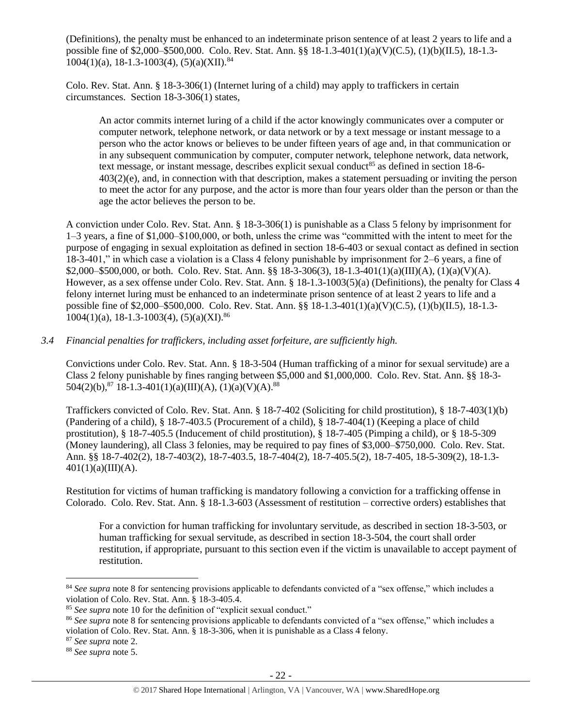(Definitions), the penalty must be enhanced to an indeterminate prison sentence of at least 2 years to life and a possible fine of \$2,000–\$500,000. Colo. Rev. Stat. Ann. §§ 18-1.3-401(1)(a)(V)(C.5), (1)(b)(II.5), 18-1.3-  $1004(1)(a)$ , 18-1.3-1003(4), (5)(a)(XII).<sup>84</sup>

Colo. Rev. Stat. Ann. § 18-3-306(1) (Internet luring of a child) may apply to traffickers in certain circumstances. Section 18-3-306(1) states,

An actor commits internet luring of a child if the actor knowingly communicates over a computer or computer network, telephone network, or data network or by a text message or instant message to a person who the actor knows or believes to be under fifteen years of age and, in that communication or in any subsequent communication by computer, computer network, telephone network, data network, text message, or instant message, describes explicit sexual conduct<sup>85</sup> as defined in section  $18-6-$ 403(2)(e), and, in connection with that description, makes a statement persuading or inviting the person to meet the actor for any purpose, and the actor is more than four years older than the person or than the age the actor believes the person to be.

A conviction under Colo. Rev. Stat. Ann. § 18-3-306(1) is punishable as a Class 5 felony by imprisonment for 1–3 years, a fine of \$1,000–\$100,000, or both, unless the crime was "committed with the intent to meet for the purpose of engaging in sexual exploitation as defined in section 18-6-403 or sexual contact as defined in section 18-3-401," in which case a violation is a Class 4 felony punishable by imprisonment for 2–6 years, a fine of \$2,000–\$500,000, or both. Colo. Rev. Stat. Ann. §§ 18-3-306(3), 18-1.3-401(1)(a)(III)(A), (1)(a)(V)(A). However, as a sex offense under Colo. Rev. Stat. Ann. § 18-1.3-1003(5)(a) (Definitions), the penalty for Class 4 felony internet luring must be enhanced to an indeterminate prison sentence of at least 2 years to life and a possible fine of \$2,000–\$500,000. Colo. Rev. Stat. Ann. §§ 18-1.3-401(1)(a)(V)(C.5), (1)(b)(II.5), 18-1.3-  $1004(1)(a)$ , 18-1.3-1003(4), (5)(a)(XI).<sup>86</sup>

## *3.4 Financial penalties for traffickers, including asset forfeiture, are sufficiently high.*

Convictions under Colo. Rev. Stat. Ann. § 18-3-504 (Human trafficking of a minor for sexual servitude) are a Class 2 felony punishable by fines ranging between \$5,000 and \$1,000,000. Colo. Rev. Stat. Ann. §§ 18-3-  $504(2)(b)$ ,  $87$  18-1.3-401(1)(a)(III)(A), (1)(a)(V)(A).  $88$ 

Traffickers convicted of Colo. Rev. Stat. Ann. § 18-7-402 (Soliciting for child prostitution), § 18-7-403(1)(b) (Pandering of a child), § 18-7-403.5 (Procurement of a child), § 18-7-404(1) (Keeping a place of child prostitution), § 18-7-405.5 (Inducement of child prostitution), § 18-7-405 (Pimping a child), or § 18-5-309 (Money laundering), all Class 3 felonies, may be required to pay fines of \$3,000–\$750,000. Colo. Rev. Stat. Ann. §§ 18-7-402(2), 18-7-403(2), 18-7-403.5, 18-7-404(2), 18-7-405.5(2), 18-7-405, 18-5-309(2), 18-1.3-  $401(1)(a)(III)(A).$ 

Restitution for victims of human trafficking is mandatory following a conviction for a trafficking offense in Colorado. Colo. Rev. Stat. Ann. § 18-1.3-603 (Assessment of restitution – corrective orders) establishes that

For a conviction for human trafficking for involuntary servitude, as described in section 18-3-503, or human trafficking for sexual servitude, as described in section 18-3-504, the court shall order restitution, if appropriate, pursuant to this section even if the victim is unavailable to accept payment of restitution.

<sup>&</sup>lt;sup>84</sup> See supra note [8](#page-1-2) for sentencing provisions applicable to defendants convicted of a "sex offense," which includes a violation of Colo. Rev. Stat. Ann. § 18-3-405.4.

<sup>85</sup> *See supra* note [10](#page-2-0) for the definition of "explicit sexual conduct."

<sup>&</sup>lt;sup>86</sup> See supra note [8](#page-1-2) for sentencing provisions applicable to defendants convicted of a "sex offense," which includes a violation of Colo. Rev. Stat. Ann. § 18-3-306, when it is punishable as a Class 4 felony.

<sup>87</sup> *See supra* note [2.](#page-0-0)

<sup>88</sup> *See supra* note [5.](#page-1-1)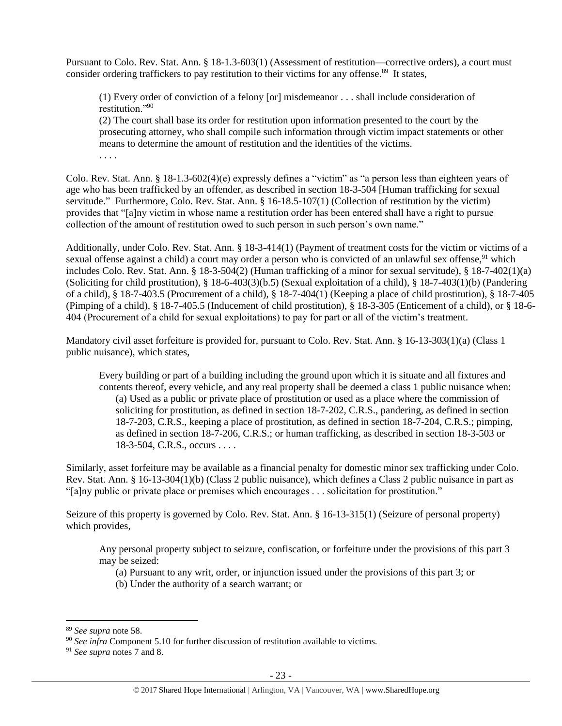Pursuant to Colo. Rev. Stat. Ann. § 18-1.3-603(1) (Assessment of restitution—corrective orders), a court must consider ordering traffickers to pay restitution to their victims for any offense.<sup>89</sup> It states,

(1) Every order of conviction of a felony [or] misdemeanor . . . shall include consideration of restitution."<sup>90</sup>

(2) The court shall base its order for restitution upon information presented to the court by the prosecuting attorney, who shall compile such information through victim impact statements or other means to determine the amount of restitution and the identities of the victims. . . . .

Colo. Rev. Stat. Ann. § 18-1.3-602(4)(e) expressly defines a "victim" as "a person less than eighteen years of age who has been trafficked by an offender, as described in section 18-3-504 [Human trafficking for sexual servitude." Furthermore, Colo. Rev. Stat. Ann. § 16-18.5-107(1) (Collection of restitution by the victim) provides that "[a]ny victim in whose name a restitution order has been entered shall have a right to pursue collection of the amount of restitution owed to such person in such person's own name."

Additionally, under Colo. Rev. Stat. Ann. § 18-3-414(1) (Payment of treatment costs for the victim or victims of a sexual offense against a child) a court may order a person who is convicted of an unlawful sex offense,<sup>91</sup> which includes Colo. Rev. Stat. Ann. § 18-3-504(2) (Human trafficking of a minor for sexual servitude), § 18-7-402(1)(a) (Soliciting for child prostitution), § 18-6-403(3)(b.5) (Sexual exploitation of a child), § 18-7-403(1)(b) (Pandering of a child), § 18-7-403.5 (Procurement of a child), § 18-7-404(1) (Keeping a place of child prostitution), § 18-7-405 (Pimping of a child), § 18-7-405.5 (Inducement of child prostitution), § 18-3-305 (Enticement of a child), or § 18-6- 404 (Procurement of a child for sexual exploitations) to pay for part or all of the victim's treatment.

Mandatory civil asset forfeiture is provided for, pursuant to Colo. Rev. Stat. Ann. § 16-13-303(1)(a) (Class 1 public nuisance), which states,

Every building or part of a building including the ground upon which it is situate and all fixtures and contents thereof, every vehicle, and any real property shall be deemed a class 1 public nuisance when: (a) Used as a public or private place of prostitution or used as a place where the commission of soliciting for prostitution, as defined in section 18-7-202, C.R.S., pandering, as defined in section 18-7-203, C.R.S., keeping a place of prostitution, as defined in section 18-7-204, C.R.S.; pimping, as defined in section 18-7-206, C.R.S.; or human trafficking, as described in section 18-3-503 or 18-3-504, C.R.S., occurs . . . .

Similarly, asset forfeiture may be available as a financial penalty for domestic minor sex trafficking under Colo. Rev. Stat. Ann. § 16-13-304(1)(b) (Class 2 public nuisance), which defines a Class 2 public nuisance in part as "[a]ny public or private place or premises which encourages . . . solicitation for prostitution."

Seizure of this property is governed by Colo. Rev. Stat. Ann. § 16-13-315(1) (Seizure of personal property) which provides,

Any personal property subject to seizure, confiscation, or forfeiture under the provisions of this part 3 may be seized:

(a) Pursuant to any writ, order, or injunction issued under the provisions of this part 3; or

(b) Under the authority of a search warrant; or

<sup>89</sup> *See supra* note [58.](#page-15-0)

<sup>90</sup> *See infra* Component 5.10 for further discussion of restitution available to victims.

<sup>91</sup> *See supra* notes [7](#page-1-0) an[d 8.](#page-1-2)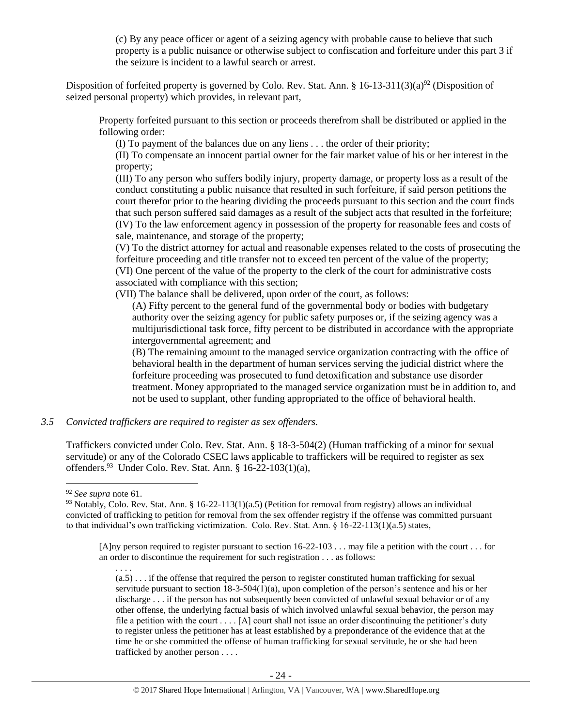(c) By any peace officer or agent of a seizing agency with probable cause to believe that such property is a public nuisance or otherwise subject to confiscation and forfeiture under this part 3 if the seizure is incident to a lawful search or arrest.

Disposition of forfeited property is governed by Colo. Rev. Stat. Ann. § 16-13-311(3)(a)<sup>92</sup> (Disposition of seized personal property) which provides, in relevant part,

Property forfeited pursuant to this section or proceeds therefrom shall be distributed or applied in the following order:

(I) To payment of the balances due on any liens . . . the order of their priority;

(II) To compensate an innocent partial owner for the fair market value of his or her interest in the property;

(III) To any person who suffers bodily injury, property damage, or property loss as a result of the conduct constituting a public nuisance that resulted in such forfeiture, if said person petitions the court therefor prior to the hearing dividing the proceeds pursuant to this section and the court finds that such person suffered said damages as a result of the subject acts that resulted in the forfeiture; (IV) To the law enforcement agency in possession of the property for reasonable fees and costs of sale, maintenance, and storage of the property;

(V) To the district attorney for actual and reasonable expenses related to the costs of prosecuting the forfeiture proceeding and title transfer not to exceed ten percent of the value of the property; (VI) One percent of the value of the property to the clerk of the court for administrative costs associated with compliance with this section;

(VII) The balance shall be delivered, upon order of the court, as follows:

(A) Fifty percent to the general fund of the governmental body or bodies with budgetary authority over the seizing agency for public safety purposes or, if the seizing agency was a multijurisdictional task force, fifty percent to be distributed in accordance with the appropriate intergovernmental agreement; and

(B) The remaining amount to the managed service organization contracting with the office of behavioral health in the department of human services serving the judicial district where the forfeiture proceeding was prosecuted to fund detoxification and substance use disorder treatment. Money appropriated to the managed service organization must be in addition to, and not be used to supplant, other funding appropriated to the office of behavioral health.

*3.5 Convicted traffickers are required to register as sex offenders.*

Traffickers convicted under Colo. Rev. Stat. Ann. § 18-3-504(2) (Human trafficking of a minor for sexual servitude) or any of the Colorado CSEC laws applicable to traffickers will be required to register as sex offenders.<sup>93</sup> Under Colo. Rev. Stat. Ann. § 16-22-103(1)(a),

<sup>92</sup> *See supra* note [61.](#page-16-0)

<sup>93</sup> Notably, Colo. Rev. Stat. Ann. § 16-22-113(1)(a.5) (Petition for removal from registry) allows an individual convicted of trafficking to petition for removal from the sex offender registry if the offense was committed pursuant to that individual's own trafficking victimization. Colo. Rev. Stat. Ann. § 16-22-113(1)(a.5) states,

<sup>[</sup>A]ny person required to register pursuant to section 16-22-103 . . . may file a petition with the court . . . for an order to discontinue the requirement for such registration . . . as follows:

<sup>. . . .</sup>  $(a.5)$ ... if the offense that required the person to register constituted human trafficking for sexual servitude pursuant to section 18-3-504(1)(a), upon completion of the person's sentence and his or her discharge . . . if the person has not subsequently been convicted of unlawful sexual behavior or of any other offense, the underlying factual basis of which involved unlawful sexual behavior, the person may file a petition with the court  $\dots$  [A] court shall not issue an order discontinuing the petitioner's duty to register unless the petitioner has at least established by a preponderance of the evidence that at the time he or she committed the offense of human trafficking for sexual servitude, he or she had been trafficked by another person . . . .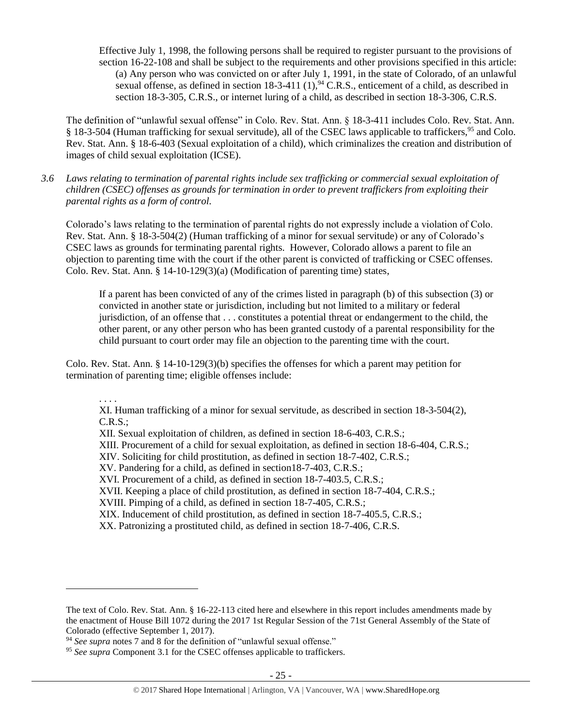Effective July 1, 1998, the following persons shall be required to register pursuant to the provisions of section 16-22-108 and shall be subject to the requirements and other provisions specified in this article: (a) Any person who was convicted on or after July 1, 1991, in the state of Colorado, of an unlawful sexual offense, as defined in section  $18-3-411$  (1), <sup>94</sup> C.R.S., enticement of a child, as described in section 18-3-305, C.R.S., or internet luring of a child, as described in section 18-3-306, C.R.S.

The definition of "unlawful sexual offense" in Colo. Rev. Stat. Ann. § 18-3-411 includes Colo. Rev. Stat. Ann. § 18-3-504 (Human trafficking for sexual servitude), all of the CSEC laws applicable to traffickers,<sup>95</sup> and Colo. Rev. Stat. Ann. § 18-6-403 (Sexual exploitation of a child), which criminalizes the creation and distribution of images of child sexual exploitation (ICSE).

*3.6 Laws relating to termination of parental rights include sex trafficking or commercial sexual exploitation of children (CSEC) offenses as grounds for termination in order to prevent traffickers from exploiting their parental rights as a form of control.* 

Colorado's laws relating to the termination of parental rights do not expressly include a violation of Colo. Rev. Stat. Ann. § 18-3-504(2) (Human trafficking of a minor for sexual servitude) or any of Colorado's CSEC laws as grounds for terminating parental rights. However, Colorado allows a parent to file an objection to parenting time with the court if the other parent is convicted of trafficking or CSEC offenses. Colo. Rev. Stat. Ann.  $\S 14-10-129(3)(a)$  (Modification of parenting time) states,

If a parent has been convicted of any of the crimes listed in paragraph (b) of this subsection (3) or convicted in another state or jurisdiction, including but not limited to a military or federal jurisdiction, of an offense that . . . constitutes a potential threat or endangerment to the child, the other parent, or any other person who has been granted custody of a parental responsibility for the child pursuant to court order may file an objection to the parenting time with the court.

Colo. Rev. Stat. Ann. § 14-10-129(3)(b) specifies the offenses for which a parent may petition for termination of parenting time; eligible offenses include:

. . . .

 $\overline{\phantom{a}}$ 

XI. Human trafficking of a minor for sexual servitude, as described in section 18-3-504(2), C.R.S.;

XII. Sexual exploitation of children, as defined in section 18-6-403, C.R.S.; XIII. Procurement of a child for sexual exploitation, as defined in section 18-6-404, C.R.S.; XIV. Soliciting for child prostitution, as defined in section 18-7-402, C.R.S.; XV. Pandering for a child, as defined in section18-7-403, C.R.S.; XVI. Procurement of a child, as defined in section 18-7-403.5, C.R.S.; XVII. Keeping a place of child prostitution, as defined in section 18-7-404, C.R.S.; XVIII. Pimping of a child, as defined in section 18-7-405, C.R.S.; XIX. Inducement of child prostitution, as defined in section 18-7-405.5, C.R.S.; XX. Patronizing a prostituted child, as defined in section 18-7-406, C.R.S.

The text of Colo. Rev. Stat. Ann. § 16-22-113 cited here and elsewhere in this report includes amendments made by the enactment of House Bill 1072 during the 2017 1st Regular Session of the 71st General Assembly of the State of Colorado (effective September 1, 2017).

<sup>94</sup> *See supra* notes [7](#page-1-0) an[d 8](#page-1-2) for the definition of "unlawful sexual offense."

<sup>&</sup>lt;sup>95</sup> See supra Component 3.1 for the CSEC offenses applicable to traffickers.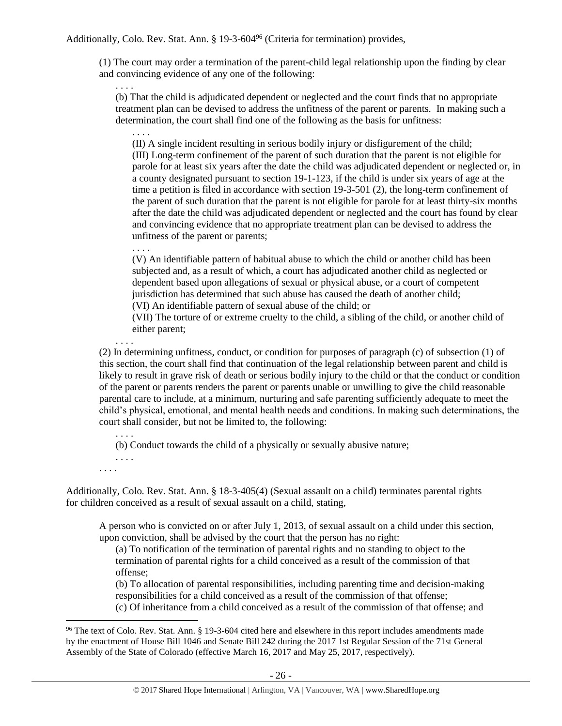Additionally, Colo. Rev. Stat. Ann. § 19-3-604<sup>96</sup> (Criteria for termination) provides,

(1) The court may order a termination of the parent-child legal relationship upon the finding by clear and convincing evidence of any one of the following:

. . . . (b) That the child is adjudicated dependent or neglected and the court finds that no appropriate treatment plan can be devised to address the unfitness of the parent or parents. In making such a determination, the court shall find one of the following as the basis for unfitness:

. . . . (II) A single incident resulting in serious bodily injury or disfigurement of the child; (III) Long-term confinement of the parent of such duration that the parent is not eligible for parole for at least six years after the date the child was adjudicated dependent or neglected or, in a county designated pursuant to section 19-1-123, if the child is under six years of age at the time a petition is filed in accordance with section 19-3-501 (2), the long-term confinement of the parent of such duration that the parent is not eligible for parole for at least thirty-six months after the date the child was adjudicated dependent or neglected and the court has found by clear and convincing evidence that no appropriate treatment plan can be devised to address the unfitness of the parent or parents;

(V) An identifiable pattern of habitual abuse to which the child or another child has been subjected and, as a result of which, a court has adjudicated another child as neglected or dependent based upon allegations of sexual or physical abuse, or a court of competent jurisdiction has determined that such abuse has caused the death of another child;

(VI) An identifiable pattern of sexual abuse of the child; or

(VII) The torture of or extreme cruelty to the child, a sibling of the child, or another child of either parent;

(2) In determining unfitness, conduct, or condition for purposes of paragraph (c) of subsection (1) of this section, the court shall find that continuation of the legal relationship between parent and child is likely to result in grave risk of death or serious bodily injury to the child or that the conduct or condition of the parent or parents renders the parent or parents unable or unwilling to give the child reasonable parental care to include, at a minimum, nurturing and safe parenting sufficiently adequate to meet the child's physical, emotional, and mental health needs and conditions. In making such determinations, the court shall consider, but not be limited to, the following:

(b) Conduct towards the child of a physically or sexually abusive nature;

. . . . . . . .

 $\overline{\phantom{a}}$ 

. . . .

. . . .

. . . .

Additionally, Colo. Rev. Stat. Ann. § 18-3-405(4) (Sexual assault on a child) terminates parental rights for children conceived as a result of sexual assault on a child, stating,

A person who is convicted on or after July 1, 2013, of sexual assault on a child under this section, upon conviction, shall be advised by the court that the person has no right:

(a) To notification of the termination of parental rights and no standing to object to the termination of parental rights for a child conceived as a result of the commission of that offense;

(b) To allocation of parental responsibilities, including parenting time and decision-making responsibilities for a child conceived as a result of the commission of that offense;

(c) Of inheritance from a child conceived as a result of the commission of that offense; and

<sup>&</sup>lt;sup>96</sup> The text of Colo. Rev. Stat. Ann. § 19-3-604 cited here and elsewhere in this report includes amendments made by the enactment of House Bill 1046 and Senate Bill 242 during the 2017 1st Regular Session of the 71st General Assembly of the State of Colorado (effective March 16, 2017 and May 25, 2017, respectively).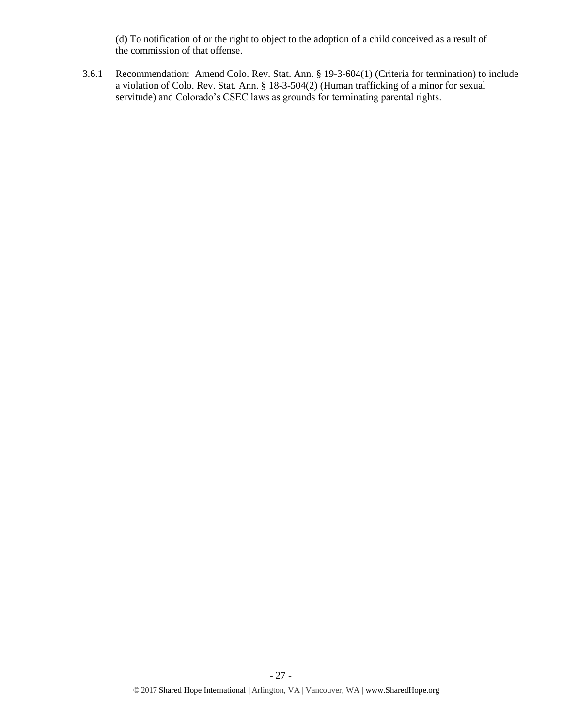(d) To notification of or the right to object to the adoption of a child conceived as a result of the commission of that offense.

3.6.1 Recommendation: Amend Colo. Rev. Stat. Ann. § 19-3-604(1) (Criteria for termination) to include a violation of Colo. Rev. Stat. Ann. § 18-3-504(2) (Human trafficking of a minor for sexual servitude) and Colorado's CSEC laws as grounds for terminating parental rights.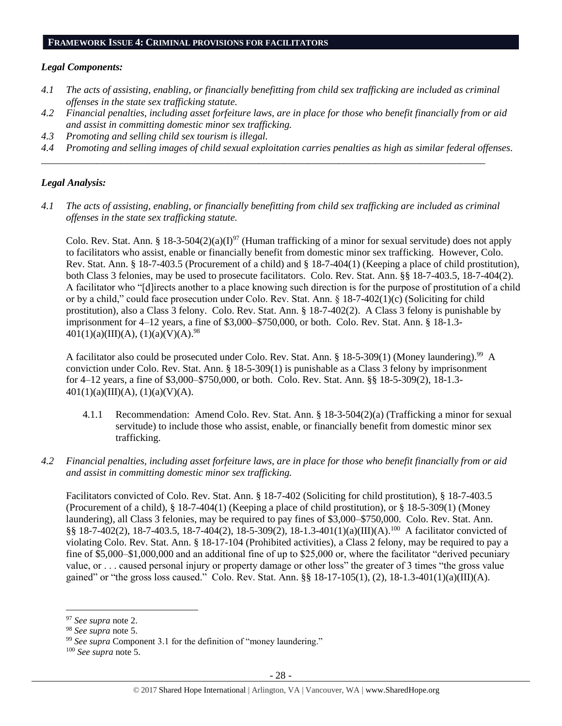#### **FRAMEWORK ISSUE 4: CRIMINAL PROVISIONS FOR FACILITATORS**

## *Legal Components:*

- *4.1 The acts of assisting, enabling, or financially benefitting from child sex trafficking are included as criminal offenses in the state sex trafficking statute.*
- *4.2 Financial penalties, including asset forfeiture laws, are in place for those who benefit financially from or aid and assist in committing domestic minor sex trafficking.*
- *4.3 Promoting and selling child sex tourism is illegal.*
- *4.4 Promoting and selling images of child sexual exploitation carries penalties as high as similar federal offenses.*

*\_\_\_\_\_\_\_\_\_\_\_\_\_\_\_\_\_\_\_\_\_\_\_\_\_\_\_\_\_\_\_\_\_\_\_\_\_\_\_\_\_\_\_\_\_\_\_\_\_\_\_\_\_\_\_\_\_\_\_\_\_\_\_\_\_\_\_\_\_\_\_\_\_\_\_\_\_\_\_\_\_\_\_\_\_\_\_\_*

## *Legal Analysis:*

*4.1 The acts of assisting, enabling, or financially benefitting from child sex trafficking are included as criminal offenses in the state sex trafficking statute.*

Colo. Rev. Stat. Ann. § 18-3-504(2)(a)(I)<sup>97</sup> (Human trafficking of a minor for sexual servitude) does not apply to facilitators who assist, enable or financially benefit from domestic minor sex trafficking. However, Colo. Rev. Stat. Ann. § 18-7-403.5 (Procurement of a child) and § 18-7-404(1) (Keeping a place of child prostitution), both Class 3 felonies, may be used to prosecute facilitators. Colo. Rev. Stat. Ann. §§ 18-7-403.5, 18-7-404(2). A facilitator who "[d]irects another to a place knowing such direction is for the purpose of prostitution of a child or by a child," could face prosecution under Colo. Rev. Stat. Ann. § 18-7-402(1)(c) (Soliciting for child prostitution), also a Class 3 felony. Colo. Rev. Stat. Ann. § 18-7-402(2). A Class 3 felony is punishable by imprisonment for 4–12 years, a fine of \$3,000–\$750,000, or both. Colo. Rev. Stat. Ann. § 18-1.3-  $401(1)(a)(III)(A), (1)(a)(V)(A).^{98}$ 

A facilitator also could be prosecuted under Colo. Rev. Stat. Ann. § 18-5-309(1) (Money laundering).<sup>99</sup> A conviction under Colo. Rev. Stat. Ann. § 18-5-309(1) is punishable as a Class 3 felony by imprisonment for 4–12 years, a fine of \$3,000–\$750,000, or both. Colo. Rev. Stat. Ann. §§ 18-5-309(2), 18-1.3-  $401(1)(a)(III)(A), (1)(a)(V)(A).$ 

- 4.1.1 Recommendation: Amend Colo. Rev. Stat. Ann. § 18-3-504(2)(a) (Trafficking a minor for sexual servitude) to include those who assist, enable, or financially benefit from domestic minor sex trafficking.
- *4.2 Financial penalties, including asset forfeiture laws, are in place for those who benefit financially from or aid and assist in committing domestic minor sex trafficking.*

Facilitators convicted of Colo. Rev. Stat. Ann. § 18-7-402 (Soliciting for child prostitution), § 18-7-403.5 (Procurement of a child), § 18-7-404(1) (Keeping a place of child prostitution), or § 18-5-309(1) (Money laundering), all Class 3 felonies, may be required to pay fines of \$3,000–\$750,000. Colo. Rev. Stat. Ann. §§ 18-7-402(2), 18-7-403.5, 18-7-404(2), 18-5-309(2), 18-1.3-401(1)(a)(III)(A).<sup>100</sup> A facilitator convicted of violating Colo. Rev. Stat. Ann. § 18-17-104 (Prohibited activities), a Class 2 felony, may be required to pay a fine of \$5,000–\$1,000,000 and an additional fine of up to \$25,000 or, where the facilitator "derived pecuniary value, or . . . caused personal injury or property damage or other loss" the greater of 3 times "the gross value gained" or "the gross loss caused." Colo. Rev. Stat. Ann.  $\S$ § 18-17-105(1), (2), 18-1.3-401(1)(a)(III)(A).

<sup>97</sup> *See supra* note [2.](#page-0-0)

<sup>98</sup> *See supra* note [5.](#page-1-1)

<sup>99</sup> *See supra* Component 3.1 for the definition of "money laundering."

<sup>100</sup> *See supra* not[e 5.](#page-1-1)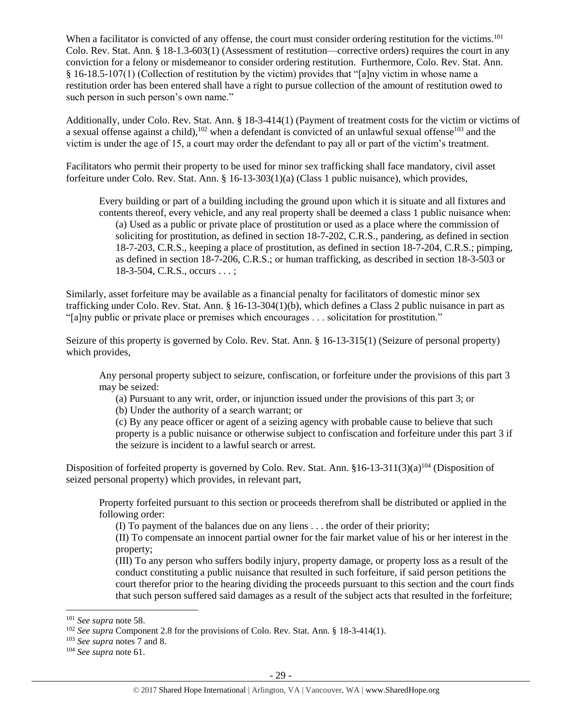When a facilitator is convicted of any offense, the court must consider ordering restitution for the victims.<sup>101</sup> Colo. Rev. Stat. Ann. § 18-1.3-603(1) (Assessment of restitution—corrective orders) requires the court in any conviction for a felony or misdemeanor to consider ordering restitution. Furthermore, Colo. Rev. Stat. Ann. § 16-18.5-107(1) (Collection of restitution by the victim) provides that "[a]ny victim in whose name a restitution order has been entered shall have a right to pursue collection of the amount of restitution owed to such person in such person's own name."

Additionally, under Colo. Rev. Stat. Ann. § 18-3-414(1) (Payment of treatment costs for the victim or victims of a sexual offense against a child),<sup>102</sup> when a defendant is convicted of an unlawful sexual offense<sup>103</sup> and the victim is under the age of 15, a court may order the defendant to pay all or part of the victim's treatment.

Facilitators who permit their property to be used for minor sex trafficking shall face mandatory, civil asset forfeiture under Colo. Rev. Stat. Ann. § 16-13-303(1)(a) (Class 1 public nuisance), which provides,

Every building or part of a building including the ground upon which it is situate and all fixtures and contents thereof, every vehicle, and any real property shall be deemed a class 1 public nuisance when: (a) Used as a public or private place of prostitution or used as a place where the commission of soliciting for prostitution, as defined in section 18-7-202, C.R.S., pandering, as defined in section 18-7-203, C.R.S., keeping a place of prostitution, as defined in section 18-7-204, C.R.S.; pimping, as defined in section 18-7-206, C.R.S.; or human trafficking, as described in section 18-3-503 or 18-3-504, C.R.S., occurs . . . ;

Similarly, asset forfeiture may be available as a financial penalty for facilitators of domestic minor sex trafficking under Colo. Rev. Stat. Ann. § 16-13-304(1)(b), which defines a Class 2 public nuisance in part as "[a]ny public or private place or premises which encourages . . . solicitation for prostitution."

Seizure of this property is governed by Colo. Rev. Stat. Ann. § 16-13-315(1) (Seizure of personal property) which provides,

Any personal property subject to seizure, confiscation, or forfeiture under the provisions of this part 3 may be seized:

(a) Pursuant to any writ, order, or injunction issued under the provisions of this part 3; or

(b) Under the authority of a search warrant; or

(c) By any peace officer or agent of a seizing agency with probable cause to believe that such property is a public nuisance or otherwise subject to confiscation and forfeiture under this part 3 if the seizure is incident to a lawful search or arrest.

Disposition of forfeited property is governed by Colo. Rev. Stat. Ann.  $$16-13-311(3)(a)^{104}$  (Disposition of seized personal property) which provides, in relevant part,

Property forfeited pursuant to this section or proceeds therefrom shall be distributed or applied in the following order:

(I) To payment of the balances due on any liens . . . the order of their priority;

(II) To compensate an innocent partial owner for the fair market value of his or her interest in the property;

(III) To any person who suffers bodily injury, property damage, or property loss as a result of the conduct constituting a public nuisance that resulted in such forfeiture, if said person petitions the court therefor prior to the hearing dividing the proceeds pursuant to this section and the court finds that such person suffered said damages as a result of the subject acts that resulted in the forfeiture;

<sup>101</sup> *See supra* not[e 58.](#page-15-0)

<sup>&</sup>lt;sup>102</sup> *See supra* Component 2.8 for the provisions of Colo. Rev. Stat. Ann. § 18-3-414(1).

<sup>103</sup> *See supra* note[s 7](#page-1-0) and [8.](#page-1-2)

<sup>104</sup> *See supra* not[e 61.](#page-16-0)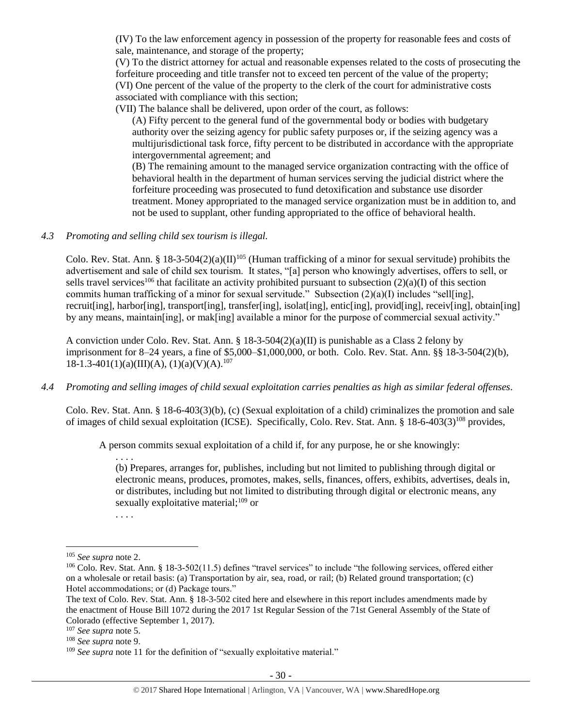(IV) To the law enforcement agency in possession of the property for reasonable fees and costs of sale, maintenance, and storage of the property;

(V) To the district attorney for actual and reasonable expenses related to the costs of prosecuting the forfeiture proceeding and title transfer not to exceed ten percent of the value of the property; (VI) One percent of the value of the property to the clerk of the court for administrative costs associated with compliance with this section;

(VII) The balance shall be delivered, upon order of the court, as follows:

(A) Fifty percent to the general fund of the governmental body or bodies with budgetary authority over the seizing agency for public safety purposes or, if the seizing agency was a multijurisdictional task force, fifty percent to be distributed in accordance with the appropriate intergovernmental agreement; and

(B) The remaining amount to the managed service organization contracting with the office of behavioral health in the department of human services serving the judicial district where the forfeiture proceeding was prosecuted to fund detoxification and substance use disorder treatment. Money appropriated to the managed service organization must be in addition to, and not be used to supplant, other funding appropriated to the office of behavioral health.

### *4.3 Promoting and selling child sex tourism is illegal.*

Colo. Rev. Stat. Ann. § 18-3-504(2)(a)(II)<sup>105</sup> (Human trafficking of a minor for sexual servitude) prohibits the advertisement and sale of child sex tourism. It states, "[a] person who knowingly advertises, offers to sell, or sells travel services<sup>106</sup> that facilitate an activity prohibited pursuant to subsection  $(2)(a)(I)$  of this section commits human trafficking of a minor for sexual servitude." Subsection (2)(a)(I) includes "sell[ing], recruit[ing], harbor[ing], transport[ing], transfer[ing], isolat[ing], entic[ing], provid[ing], receiv[ing], obtain[ing] by any means, maintain[ing], or mak[ing] available a minor for the purpose of commercial sexual activity."

A conviction under Colo. Rev. Stat. Ann. §  $18-3-504(2)(a)(II)$  is punishable as a Class 2 felony by imprisonment for 8–24 years, a fine of \$5,000–\$1,000,000, or both. Colo. Rev. Stat. Ann. §§ 18-3-504(2)(b),  $18-1.3-401(1)(a)(III)(A), (1)(a)(V)(A).<sup>107</sup>$ 

## *4.4 Promoting and selling images of child sexual exploitation carries penalties as high as similar federal offenses.*

Colo. Rev. Stat. Ann. § 18-6-403(3)(b), (c) (Sexual exploitation of a child) criminalizes the promotion and sale of images of child sexual exploitation (ICSE). Specifically, Colo. Rev. Stat. Ann. § 18-6-403(3)<sup>108</sup> provides,

A person commits sexual exploitation of a child if, for any purpose, he or she knowingly:

. . . . (b) Prepares, arranges for, publishes, including but not limited to publishing through digital or electronic means, produces, promotes, makes, sells, finances, offers, exhibits, advertises, deals in, or distributes, including but not limited to distributing through digital or electronic means, any sexually exploitative material; $^{109}$  or

. . . .

<sup>105</sup> *See supra* not[e 2.](#page-0-0)

<sup>&</sup>lt;sup>106</sup> Colo. Rev. Stat. Ann. § 18-3-502(11.5) defines "travel services" to include "the following services, offered either on a wholesale or retail basis: (a) Transportation by air, sea, road, or rail; (b) Related ground transportation; (c) Hotel accommodations; or (d) Package tours."

The text of Colo. Rev. Stat. Ann. § 18-3-502 cited here and elsewhere in this report includes amendments made by the enactment of House Bill 1072 during the 2017 1st Regular Session of the 71st General Assembly of the State of Colorado (effective September 1, 2017).

<sup>107</sup> *See supra* not[e 5.](#page-1-1)

<sup>108</sup> *See supra* not[e 9.](#page-2-1)

<sup>&</sup>lt;sup>109</sup> See supra not[e 11](#page-2-2) for the definition of "sexually exploitative material."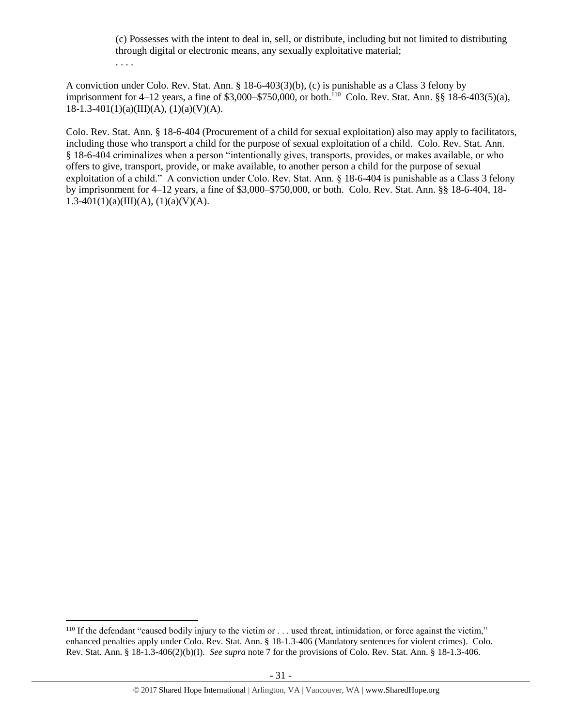(c) Possesses with the intent to deal in, sell, or distribute, including but not limited to distributing through digital or electronic means, any sexually exploitative material; . . . .

A conviction under Colo. Rev. Stat. Ann. § 18-6-403(3)(b), (c) is punishable as a Class 3 felony by imprisonment for 4–12 years, a fine of \$3,000–\$750,000, or both.<sup>110</sup> Colo. Rev. Stat. Ann. §§ 18-6-403(5)(a),  $18-1.3-401(1)(a)(III)(A), (1)(a)(V)(A).$ 

Colo. Rev. Stat. Ann. § 18-6-404 (Procurement of a child for sexual exploitation) also may apply to facilitators, including those who transport a child for the purpose of sexual exploitation of a child. Colo. Rev. Stat. Ann. § 18-6-404 criminalizes when a person "intentionally gives, transports, provides, or makes available, or who offers to give, transport, provide, or make available, to another person a child for the purpose of sexual exploitation of a child." A conviction under Colo. Rev. Stat. Ann. § 18-6-404 is punishable as a Class 3 felony by imprisonment for 4–12 years, a fine of \$3,000–\$750,000, or both. Colo. Rev. Stat. Ann. §§ 18-6-404, 18- 1.3-401(1)(a)(III)(A), (1)(a)(V)(A).

<sup>&</sup>lt;sup>110</sup> If the defendant "caused bodily injury to the victim or . . . used threat, intimidation, or force against the victim," enhanced penalties apply under Colo. Rev. Stat. Ann. § 18-1.3-406 (Mandatory sentences for violent crimes). Colo. Rev. Stat. Ann. § 18-1.3-406(2)(b)(I). *See supra* not[e 7](#page-1-0) for the provisions of Colo. Rev. Stat. Ann. § 18-1.3-406.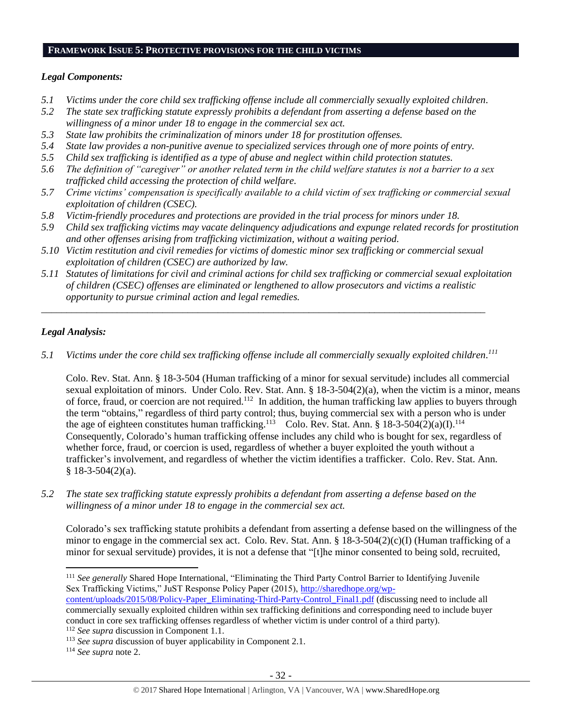## **FRAMEWORK ISSUE 5: PROTECTIVE PROVISIONS FOR THE CHILD VICTIMS**

## *Legal Components:*

- *5.1 Victims under the core child sex trafficking offense include all commercially sexually exploited children.*
- *5.2 The state sex trafficking statute expressly prohibits a defendant from asserting a defense based on the willingness of a minor under 18 to engage in the commercial sex act.*
- *5.3 State law prohibits the criminalization of minors under 18 for prostitution offenses.*
- *5.4 State law provides a non-punitive avenue to specialized services through one of more points of entry.*
- *5.5 Child sex trafficking is identified as a type of abuse and neglect within child protection statutes.*
- *5.6 The definition of "caregiver" or another related term in the child welfare statutes is not a barrier to a sex trafficked child accessing the protection of child welfare.*
- *5.7 Crime victims' compensation is specifically available to a child victim of sex trafficking or commercial sexual exploitation of children (CSEC).*
- *5.8 Victim-friendly procedures and protections are provided in the trial process for minors under 18.*
- *5.9 Child sex trafficking victims may vacate delinquency adjudications and expunge related records for prostitution and other offenses arising from trafficking victimization, without a waiting period.*
- *5.10 Victim restitution and civil remedies for victims of domestic minor sex trafficking or commercial sexual exploitation of children (CSEC) are authorized by law.*

*\_\_\_\_\_\_\_\_\_\_\_\_\_\_\_\_\_\_\_\_\_\_\_\_\_\_\_\_\_\_\_\_\_\_\_\_\_\_\_\_\_\_\_\_\_\_\_\_\_\_\_\_\_\_\_\_\_\_\_\_\_\_\_\_\_\_\_\_\_\_\_\_\_\_\_\_\_\_\_\_\_\_\_\_\_\_\_\_*

*5.11 Statutes of limitations for civil and criminal actions for child sex trafficking or commercial sexual exploitation of children (CSEC) offenses are eliminated or lengthened to allow prosecutors and victims a realistic opportunity to pursue criminal action and legal remedies.*

## *Legal Analysis:*

*5.1 Victims under the core child sex trafficking offense include all commercially sexually exploited children. 111*

Colo. Rev. Stat. Ann. § 18-3-504 (Human trafficking of a minor for sexual servitude) includes all commercial sexual exploitation of minors. Under Colo. Rev. Stat. Ann. § 18-3-504(2)(a), when the victim is a minor, means of force, fraud, or coercion are not required.<sup>112</sup> In addition, the human trafficking law applies to buyers through the term "obtains," regardless of third party control; thus, buying commercial sex with a person who is under the age of eighteen constitutes human trafficking.<sup>113</sup> Colo. Rev. Stat. Ann. § 18-3-504(2)(a)(I).<sup>114</sup> Consequently, Colorado's human trafficking offense includes any child who is bought for sex, regardless of whether force, fraud, or coercion is used, regardless of whether a buyer exploited the youth without a trafficker's involvement, and regardless of whether the victim identifies a trafficker. Colo. Rev. Stat. Ann.  $§$  18-3-504(2)(a).

*5.2 The state sex trafficking statute expressly prohibits a defendant from asserting a defense based on the willingness of a minor under 18 to engage in the commercial sex act.*

Colorado's sex trafficking statute prohibits a defendant from asserting a defense based on the willingness of the minor to engage in the commercial sex act. Colo. Rev. Stat. Ann. §  $18-3-504(2)(c)$ (I) (Human trafficking of a minor for sexual servitude) provides, it is not a defense that "[t]he minor consented to being sold, recruited,

<sup>114</sup> *See supra* not[e 2.](#page-0-0)

<sup>111</sup> *See generally* Shared Hope International, "Eliminating the Third Party Control Barrier to Identifying Juvenile Sex Trafficking Victims," JuST Response Policy Paper (2015), [http://sharedhope.org/wp](http://sharedhope.org/wp-content/uploads/2015/08/Policy-Paper_Eliminating-Third-Party-Control_Final1.pdf)[content/uploads/2015/08/Policy-Paper\\_Eliminating-Third-Party-Control\\_Final1.pdf](http://sharedhope.org/wp-content/uploads/2015/08/Policy-Paper_Eliminating-Third-Party-Control_Final1.pdf) (discussing need to include all commercially sexually exploited children within sex trafficking definitions and corresponding need to include buyer conduct in core sex trafficking offenses regardless of whether victim is under control of a third party).

<sup>112</sup> *See supra* discussion in Component 1.1.

<sup>113</sup> *See supra* discussion of buyer applicability in Component 2.1.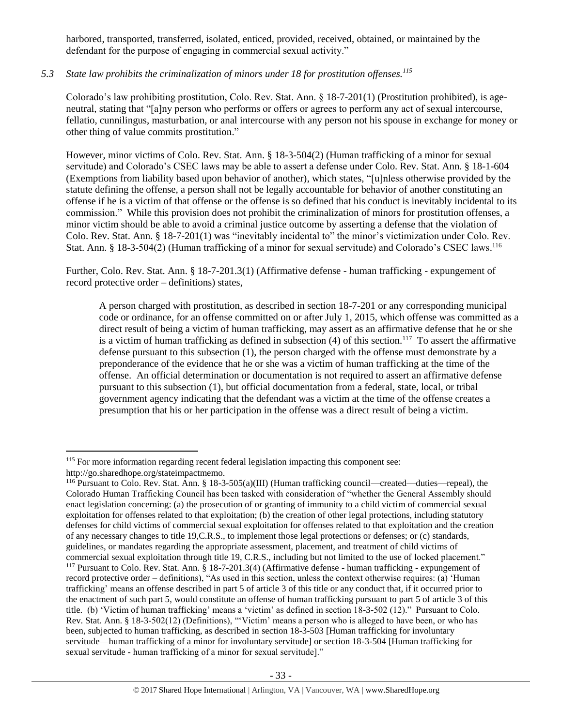harbored, transported, transferred, isolated, enticed, provided, received, obtained, or maintained by the defendant for the purpose of engaging in commercial sexual activity."

# *5.3 State law prohibits the criminalization of minors under 18 for prostitution offenses.<sup>115</sup>*

Colorado's law prohibiting prostitution, Colo. Rev. Stat. Ann. § 18-7-201(1) (Prostitution prohibited), is ageneutral, stating that "[a]ny person who performs or offers or agrees to perform any act of sexual intercourse, fellatio, cunnilingus, masturbation, or anal intercourse with any person not his spouse in exchange for money or other thing of value commits prostitution."

However, minor victims of Colo. Rev. Stat. Ann. § 18-3-504(2) (Human trafficking of a minor for sexual servitude) and Colorado's CSEC laws may be able to assert a defense under Colo. Rev. Stat. Ann. § 18-1-604 (Exemptions from liability based upon behavior of another), which states, "[u]nless otherwise provided by the statute defining the offense, a person shall not be legally accountable for behavior of another constituting an offense if he is a victim of that offense or the offense is so defined that his conduct is inevitably incidental to its commission." While this provision does not prohibit the criminalization of minors for prostitution offenses, a minor victim should be able to avoid a criminal justice outcome by asserting a defense that the violation of Colo. Rev. Stat. Ann. § 18-7-201(1) was "inevitably incidental to" the minor's victimization under Colo. Rev. Stat. Ann. § 18-3-504(2) (Human trafficking of a minor for sexual servitude) and Colorado's CSEC laws.<sup>116</sup>

Further, Colo. Rev. Stat. Ann. § 18-7-201.3(1) (Affirmative defense - human trafficking - expungement of record protective order – definitions) states,

A person charged with prostitution, as described in section 18-7-201 or any corresponding municipal code or ordinance, for an offense committed on or after July 1, 2015, which offense was committed as a direct result of being a victim of human trafficking, may assert as an affirmative defense that he or she is a victim of human trafficking as defined in subsection  $(4)$  of this section.<sup>117</sup> To assert the affirmative defense pursuant to this subsection (1), the person charged with the offense must demonstrate by a preponderance of the evidence that he or she was a victim of human trafficking at the time of the offense. An official determination or documentation is not required to assert an affirmative defense pursuant to this subsection (1), but official documentation from a federal, state, local, or tribal government agency indicating that the defendant was a victim at the time of the offense creates a presumption that his or her participation in the offense was a direct result of being a victim.

l <sup>115</sup> For more information regarding recent federal legislation impacting this component see: http://go.sharedhope.org/stateimpactmemo.

<sup>116</sup> Pursuant to Colo. Rev. Stat. Ann. § 18-3-505(a)(III) (Human trafficking council—created—duties—repeal), the Colorado Human Trafficking Council has been tasked with consideration of "whether the General Assembly should enact legislation concerning: (a) the prosecution of or granting of immunity to a child victim of commercial sexual exploitation for offenses related to that exploitation; (b) the creation of other legal protections, including statutory defenses for child victims of commercial sexual exploitation for offenses related to that exploitation and the creation of any necessary changes to title 19,C.R.S., to implement those legal protections or defenses; or (c) standards, guidelines, or mandates regarding the appropriate assessment, placement, and treatment of child victims of commercial sexual exploitation through title 19, C.R.S., including but not limited to the use of locked placement." <sup>117</sup> Pursuant to Colo. Rev. Stat. Ann. § 18-7-201.3(4) (Affirmative defense - human trafficking - expungement of record protective order – definitions), "As used in this section, unless the context otherwise requires: (a) 'Human trafficking' means an offense described in part 5 of article 3 of this title or any conduct that, if it occurred prior to the enactment of such part 5, would constitute an offense of human trafficking pursuant to part 5 of article 3 of this title. (b) 'Victim of human trafficking' means a 'victim' as defined in section 18-3-502 (12)." Pursuant to Colo. Rev. Stat. Ann. § 18-3-502(12) (Definitions), "'Victim' means a person who is alleged to have been, or who has been, subjected to human trafficking, as described in section 18-3-503 [Human trafficking for involuntary servitude—human trafficking of a minor for involuntary servitude] or section 18-3-504 [Human trafficking for sexual servitude - human trafficking of a minor for sexual servitude]."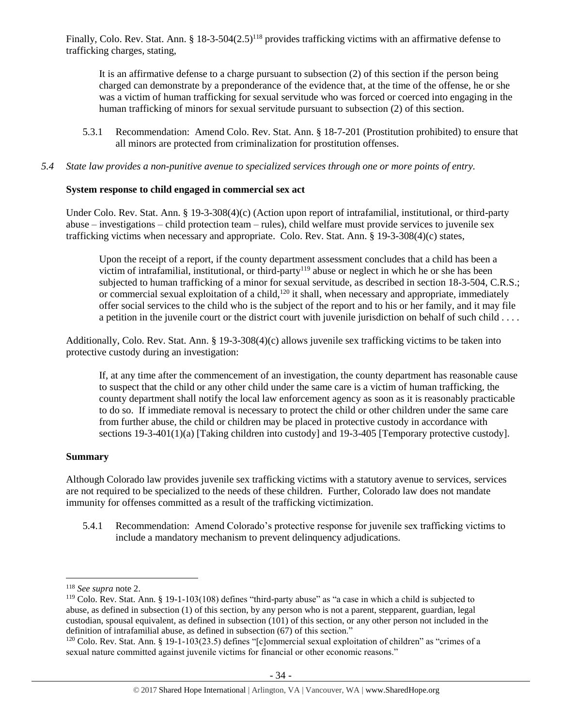Finally, Colo. Rev. Stat. Ann. § 18-3-504(2.5)<sup>118</sup> provides trafficking victims with an affirmative defense to trafficking charges, stating,

It is an affirmative defense to a charge pursuant to subsection (2) of this section if the person being charged can demonstrate by a preponderance of the evidence that, at the time of the offense, he or she was a victim of human trafficking for sexual servitude who was forced or coerced into engaging in the human trafficking of minors for sexual servitude pursuant to subsection (2) of this section.

5.3.1 Recommendation: Amend Colo. Rev. Stat. Ann. § 18-7-201 (Prostitution prohibited) to ensure that all minors are protected from criminalization for prostitution offenses.

*5.4 State law provides a non-punitive avenue to specialized services through one or more points of entry.*

## **System response to child engaged in commercial sex act**

Under Colo. Rev. Stat. Ann. § 19-3-308(4)(c) (Action upon report of intrafamilial, institutional, or third-party abuse – investigations – child protection team – rules), child welfare must provide services to juvenile sex trafficking victims when necessary and appropriate. Colo. Rev. Stat. Ann. § 19-3-308(4)(c) states,

Upon the receipt of a report, if the county department assessment concludes that a child has been a victim of intrafamilial, institutional, or third-party<sup>119</sup> abuse or neglect in which he or she has been subjected to human trafficking of a minor for sexual servitude, as described in section 18-3-504, C.R.S.; or commercial sexual exploitation of a child,<sup>120</sup> it shall, when necessary and appropriate, immediately offer social services to the child who is the subject of the report and to his or her family, and it may file a petition in the juvenile court or the district court with juvenile jurisdiction on behalf of such child . . . .

Additionally, Colo. Rev. Stat. Ann. § 19-3-308(4)(c) allows juvenile sex trafficking victims to be taken into protective custody during an investigation:

If, at any time after the commencement of an investigation, the county department has reasonable cause to suspect that the child or any other child under the same care is a victim of human trafficking, the county department shall notify the local law enforcement agency as soon as it is reasonably practicable to do so. If immediate removal is necessary to protect the child or other children under the same care from further abuse, the child or children may be placed in protective custody in accordance with sections 19-3-401(1)(a) [Taking children into custody] and 19-3-405 [Temporary protective custody].

## **Summary**

Although Colorado law provides juvenile sex trafficking victims with a statutory avenue to services, services are not required to be specialized to the needs of these children. Further, Colorado law does not mandate immunity for offenses committed as a result of the trafficking victimization.

5.4.1 Recommendation: Amend Colorado's protective response for juvenile sex trafficking victims to include a mandatory mechanism to prevent delinquency adjudications.

<sup>118</sup> *See supra* not[e 2.](#page-0-0)

<sup>&</sup>lt;sup>119</sup> Colo. Rev. Stat. Ann. § 19-1-103(108) defines "third-party abuse" as "a case in which a child is subjected to abuse, as defined in subsection (1) of this section, by any person who is not a parent, stepparent, guardian, legal custodian, spousal equivalent, as defined in subsection (101) of this section, or any other person not included in the definition of intrafamilial abuse, as defined in subsection (67) of this section."

<sup>&</sup>lt;sup>120</sup> Colo. Rev. Stat. Ann. § 19-1-103(23.5) defines "[c]ommercial sexual exploitation of children" as "crimes of a sexual nature committed against juvenile victims for financial or other economic reasons."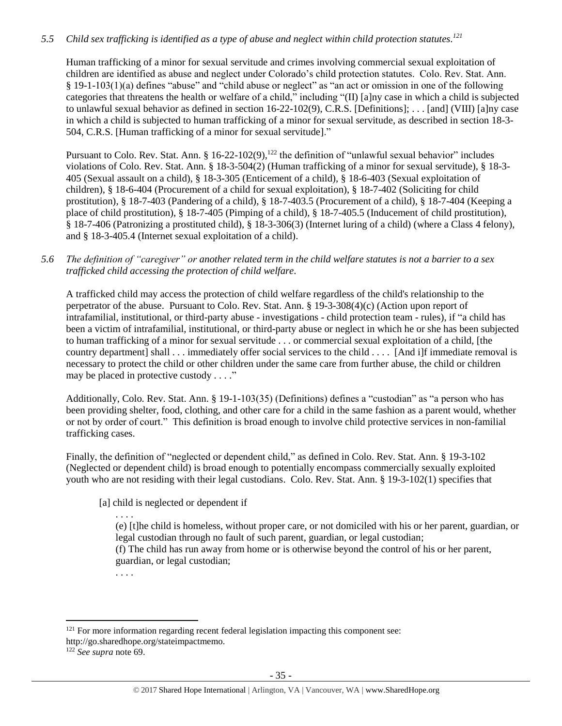# *5.5 Child sex trafficking is identified as a type of abuse and neglect within child protection statutes. 121*

Human trafficking of a minor for sexual servitude and crimes involving commercial sexual exploitation of children are identified as abuse and neglect under Colorado's child protection statutes. Colo. Rev. Stat. Ann. § 19-1-103(1)(a) defines "abuse" and "child abuse or neglect" as "an act or omission in one of the following categories that threatens the health or welfare of a child," including "(II) [a]ny case in which a child is subjected to unlawful sexual behavior as defined in section 16-22-102(9), C.R.S. [Definitions]; . . . [and] (VIII) [a]ny case in which a child is subjected to human trafficking of a minor for sexual servitude, as described in section 18-3- 504, C.R.S. [Human trafficking of a minor for sexual servitude]."

Pursuant to Colo. Rev. Stat. Ann. § 16-22-102(9),<sup>122</sup> the definition of "unlawful sexual behavior" includes violations of Colo. Rev. Stat. Ann. § 18-3-504(2) (Human trafficking of a minor for sexual servitude), § 18-3- 405 (Sexual assault on a child), § 18-3-305 (Enticement of a child), § 18-6-403 (Sexual exploitation of children), § 18-6-404 (Procurement of a child for sexual exploitation), § 18-7-402 (Soliciting for child prostitution), § 18-7-403 (Pandering of a child), § 18-7-403.5 (Procurement of a child), § 18-7-404 (Keeping a place of child prostitution), § 18-7-405 (Pimping of a child), § 18-7-405.5 (Inducement of child prostitution), § 18-7-406 (Patronizing a prostituted child), § 18-3-306(3) (Internet luring of a child) (where a Class 4 felony), and § 18-3-405.4 (Internet sexual exploitation of a child).

## *5.6 The definition of "caregiver" or another related term in the child welfare statutes is not a barrier to a sex trafficked child accessing the protection of child welfare.*

A trafficked child may access the protection of child welfare regardless of the child's relationship to the perpetrator of the abuse. Pursuant to Colo. Rev. Stat. Ann. § 19-3-308(4)(c) (Action upon report of intrafamilial, institutional, or third-party abuse - investigations - child protection team - rules), if "a child has been a victim of intrafamilial, institutional, or third-party abuse or neglect in which he or she has been subjected to human trafficking of a minor for sexual servitude . . . or commercial sexual exploitation of a child, [the country department] shall . . . immediately offer social services to the child . . . . [And i]f immediate removal is necessary to protect the child or other children under the same care from further abuse, the child or children may be placed in protective custody . . . ."

Additionally, Colo. Rev. Stat. Ann. § 19-1-103(35) (Definitions) defines a "custodian" as "a person who has been providing shelter, food, clothing, and other care for a child in the same fashion as a parent would, whether or not by order of court." This definition is broad enough to involve child protective services in non-familial trafficking cases.

Finally, the definition of "neglected or dependent child," as defined in Colo. Rev. Stat. Ann. § 19-3-102 (Neglected or dependent child) is broad enough to potentially encompass commercially sexually exploited youth who are not residing with their legal custodians. Colo. Rev. Stat. Ann. § 19-3-102(1) specifies that

## [a] child is neglected or dependent if

. . . .

(e) [t]he child is homeless, without proper care, or not domiciled with his or her parent, guardian, or legal custodian through no fault of such parent, guardian, or legal custodian; (f) The child has run away from home or is otherwise beyond the control of his or her parent,

guardian, or legal custodian;

. . . .

<sup>&</sup>lt;sup>121</sup> For more information regarding recent federal legislation impacting this component see: http://go.sharedhope.org/stateimpactmemo.

<sup>122</sup> *See supra* not[e 69.](#page-17-0)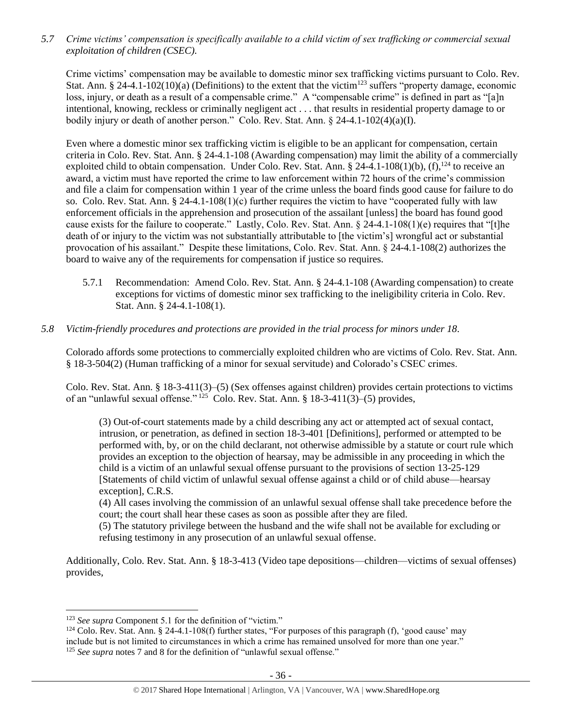*5.7 Crime victims' compensation is specifically available to a child victim of sex trafficking or commercial sexual exploitation of children (CSEC).*

Crime victims' compensation may be available to domestic minor sex trafficking victims pursuant to Colo. Rev. Stat. Ann. § 24-4.1-102(10)(a) (Definitions) to the extent that the victim<sup>123</sup> suffers "property damage, economic loss, injury, or death as a result of a compensable crime." A "compensable crime" is defined in part as "[a]n intentional, knowing, reckless or criminally negligent act . . . that results in residential property damage to or bodily injury or death of another person." Colo. Rev. Stat. Ann. § 24-4.1-102(4)(a)(I).

Even where a domestic minor sex trafficking victim is eligible to be an applicant for compensation, certain criteria in Colo. Rev. Stat. Ann. § 24-4.1-108 (Awarding compensation) may limit the ability of a commercially exploited child to obtain compensation. Under Colo. Rev. Stat. Ann. § 24-4.1-108(1)(b), (f),  $124$  to receive an award, a victim must have reported the crime to law enforcement within 72 hours of the crime's commission and file a claim for compensation within 1 year of the crime unless the board finds good cause for failure to do so. Colo. Rev. Stat. Ann.  $\S 24-4.1-108(1)(c)$  further requires the victim to have "cooperated fully with law enforcement officials in the apprehension and prosecution of the assailant [unless] the board has found good cause exists for the failure to cooperate." Lastly, Colo. Rev. Stat. Ann.  $\S 24-4.1-108(1)(e)$  requires that "[t]he death of or injury to the victim was not substantially attributable to [the victim's] wrongful act or substantial provocation of his assailant." Despite these limitations, Colo. Rev. Stat. Ann. § 24-4.1-108(2) authorizes the board to waive any of the requirements for compensation if justice so requires.

- 5.7.1 Recommendation: Amend Colo. Rev. Stat. Ann. § 24-4.1-108 (Awarding compensation) to create exceptions for victims of domestic minor sex trafficking to the ineligibility criteria in Colo. Rev. Stat. Ann. § 24-4.1-108(1).
- *5.8 Victim-friendly procedures and protections are provided in the trial process for minors under 18.*

Colorado affords some protections to commercially exploited children who are victims of Colo. Rev. Stat. Ann. § 18-3-504(2) (Human trafficking of a minor for sexual servitude) and Colorado's CSEC crimes.

Colo. Rev. Stat. Ann. § 18-3-411(3)–(5) (Sex offenses against children) provides certain protections to victims of an "unlawful sexual offense." <sup>125</sup> Colo. Rev. Stat. Ann. § 18-3-411(3)–(5) provides,

(3) Out-of-court statements made by a child describing any act or attempted act of sexual contact, intrusion, or penetration, as defined in section 18-3-401 [Definitions], performed or attempted to be performed with, by, or on the child declarant, not otherwise admissible by a statute or court rule which provides an exception to the objection of hearsay, may be admissible in any proceeding in which the child is a victim of an unlawful sexual offense pursuant to the provisions of section 13-25-129 [Statements of child victim of unlawful sexual offense against a child or of child abuse—hearsay exception], C.R.S.

(4) All cases involving the commission of an unlawful sexual offense shall take precedence before the court; the court shall hear these cases as soon as possible after they are filed.

(5) The statutory privilege between the husband and the wife shall not be available for excluding or refusing testimony in any prosecution of an unlawful sexual offense.

Additionally, Colo. Rev. Stat. Ann. § 18-3-413 (Video tape depositions—children—victims of sexual offenses) provides,

<sup>&</sup>lt;sup>123</sup> See supra Component 5.1 for the definition of "victim."

<sup>&</sup>lt;sup>124</sup> Colo. Rev. Stat. Ann. § 24-4.1-108(f) further states, "For purposes of this paragraph (f), 'good cause' may include but is not limited to circumstances in which a crime has remained unsolved for more than one year." <sup>125</sup> *See supra* note[s 7](#page-1-0) and [8](#page-1-2) for the definition of "unlawful sexual offense."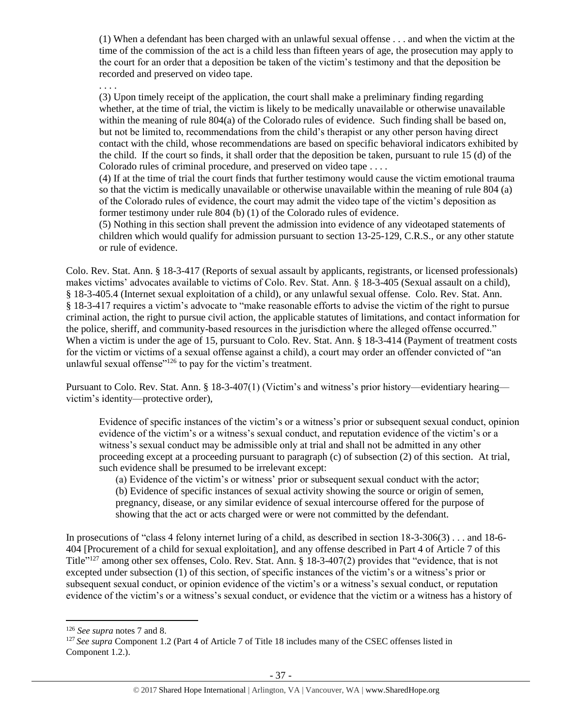(1) When a defendant has been charged with an unlawful sexual offense . . . and when the victim at the time of the commission of the act is a child less than fifteen years of age, the prosecution may apply to the court for an order that a deposition be taken of the victim's testimony and that the deposition be recorded and preserved on video tape.

. . . .

(3) Upon timely receipt of the application, the court shall make a preliminary finding regarding whether, at the time of trial, the victim is likely to be medically unavailable or otherwise unavailable within the meaning of rule 804(a) of the Colorado rules of evidence. Such finding shall be based on, but not be limited to, recommendations from the child's therapist or any other person having direct contact with the child, whose recommendations are based on specific behavioral indicators exhibited by the child. If the court so finds, it shall order that the deposition be taken, pursuant to rule 15 (d) of the Colorado rules of criminal procedure, and preserved on video tape . . . .

(4) If at the time of trial the court finds that further testimony would cause the victim emotional trauma so that the victim is medically unavailable or otherwise unavailable within the meaning of rule 804 (a) of the Colorado rules of evidence, the court may admit the video tape of the victim's deposition as former testimony under rule 804 (b) (1) of the Colorado rules of evidence.

(5) Nothing in this section shall prevent the admission into evidence of any videotaped statements of children which would qualify for admission pursuant to section 13-25-129, C.R.S., or any other statute or rule of evidence.

Colo. Rev. Stat. Ann. § 18-3-417 (Reports of sexual assault by applicants, registrants, or licensed professionals) makes victims' advocates available to victims of Colo. Rev. Stat. Ann. § 18-3-405 (Sexual assault on a child), § 18-3-405.4 (Internet sexual exploitation of a child), or any unlawful sexual offense. Colo. Rev. Stat. Ann. § 18-3-417 requires a victim's advocate to "make reasonable efforts to advise the victim of the right to pursue criminal action, the right to pursue civil action, the applicable statutes of limitations, and contact information for the police, sheriff, and community-based resources in the jurisdiction where the alleged offense occurred." When a victim is under the age of 15, pursuant to Colo. Rev. Stat. Ann. § 18-3-414 (Payment of treatment costs for the victim or victims of a sexual offense against a child), a court may order an offender convicted of "an unlawful sexual offense<sup>"126</sup> to pay for the victim's treatment.

Pursuant to Colo. Rev. Stat. Ann. § 18-3-407(1) (Victim's and witness's prior history—evidentiary hearing victim's identity—protective order),

Evidence of specific instances of the victim's or a witness's prior or subsequent sexual conduct, opinion evidence of the victim's or a witness's sexual conduct, and reputation evidence of the victim's or a witness's sexual conduct may be admissible only at trial and shall not be admitted in any other proceeding except at a proceeding pursuant to paragraph (c) of subsection (2) of this section. At trial, such evidence shall be presumed to be irrelevant except:

(a) Evidence of the victim's or witness' prior or subsequent sexual conduct with the actor; (b) Evidence of specific instances of sexual activity showing the source or origin of semen, pregnancy, disease, or any similar evidence of sexual intercourse offered for the purpose of showing that the act or acts charged were or were not committed by the defendant.

In prosecutions of "class 4 felony internet luring of a child, as described in section 18-3-306(3) . . . and 18-6- 404 [Procurement of a child for sexual exploitation], and any offense described in Part 4 of Article 7 of this Title"<sup>127</sup> among other sex offenses, Colo. Rev. Stat. Ann. § 18-3-407(2) provides that "evidence, that is not excepted under subsection (1) of this section, of specific instances of the victim's or a witness's prior or subsequent sexual conduct, or opinion evidence of the victim's or a witness's sexual conduct, or reputation evidence of the victim's or a witness's sexual conduct, or evidence that the victim or a witness has a history of

<sup>126</sup> *See supra* note[s 7](#page-1-0) and [8.](#page-1-2)

<sup>&</sup>lt;sup>127</sup> See supra Component 1.2 (Part 4 of Article 7 of Title 18 includes many of the CSEC offenses listed in Component 1.2.).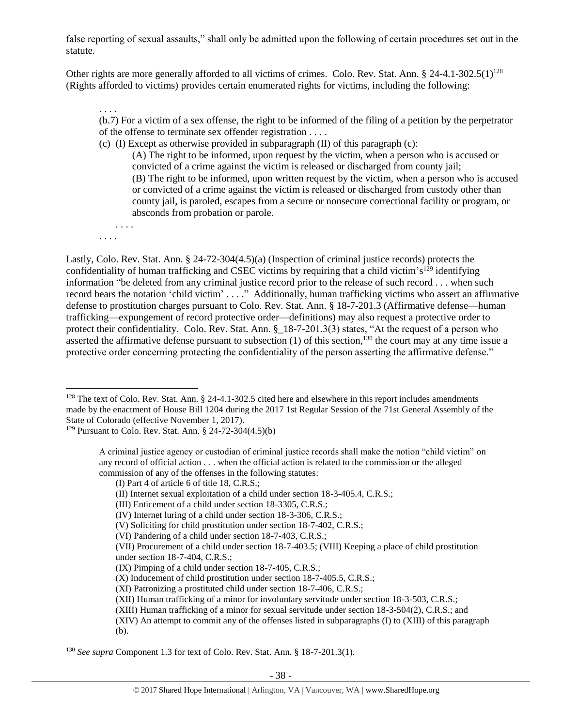false reporting of sexual assaults," shall only be admitted upon the following of certain procedures set out in the statute.

Other rights are more generally afforded to all victims of crimes. Colo. Rev. Stat. Ann. § 24-4.1-302.5(1)<sup>128</sup> (Rights afforded to victims) provides certain enumerated rights for victims, including the following:

(b.7) For a victim of a sex offense, the right to be informed of the filing of a petition by the perpetrator of the offense to terminate sex offender registration . . . .

(c) (I) Except as otherwise provided in subparagraph  $(II)$  of this paragraph  $(c)$ : (A) The right to be informed, upon request by the victim, when a person who is accused or convicted of a crime against the victim is released or discharged from county jail; (B) The right to be informed, upon written request by the victim, when a person who is accused or convicted of a crime against the victim is released or discharged from custody other than county jail, is paroled, escapes from a secure or nonsecure correctional facility or program, or absconds from probation or parole.

. . . . . . . .

 $\overline{\phantom{a}}$ 

. . . .

Lastly, Colo. Rev. Stat. Ann. § 24-72-304(4.5)(a) (Inspection of criminal justice records) protects the confidentiality of human trafficking and CSEC victims by requiring that a child victim's<sup>129</sup> identifying information "be deleted from any criminal justice record prior to the release of such record . . . when such record bears the notation 'child victim' . . . ." Additionally, human trafficking victims who assert an affirmative defense to prostitution charges pursuant to Colo. Rev. Stat. Ann. § 18-7-201.3 (Affirmative defense—human trafficking—expungement of record protective order—definitions) may also request a protective order to protect their confidentiality. Colo. Rev. Stat. Ann. § 18-7-201.3(3) states, "At the request of a person who asserted the affirmative defense pursuant to subsection  $(1)$  of this section,<sup>130</sup> the court may at any time issue a protective order concerning protecting the confidentiality of the person asserting the affirmative defense."

- (II) Internet sexual exploitation of a child under section 18-3-405.4, C.R.S.;
- (III) Enticement of a child under section 18-3305, C.R.S.;
- (IV) Internet luring of a child under section 18-3-306, C.R.S.;
- (V) Soliciting for child prostitution under section 18-7-402, C.R.S.;
- (VI) Pandering of a child under section 18-7-403, C.R.S.;
- (VII) Procurement of a child under section 18-7-403.5; (VIII) Keeping a place of child prostitution
- under section 18-7-404, C.R.S.;
- (IX) Pimping of a child under section 18-7-405, C.R.S.;
- (X) Inducement of child prostitution under section 18-7-405.5, C.R.S.;
- (XI) Patronizing a prostituted child under section 18-7-406, C.R.S.;
- (XII) Human trafficking of a minor for involuntary servitude under section 18-3-503, C.R.S.;
- (XIII) Human trafficking of a minor for sexual servitude under section 18-3-504(2), C.R.S.; and
- (XIV) An attempt to commit any of the offenses listed in subparagraphs (I) to (XIII) of this paragraph (b).

<sup>130</sup> *See supra* Component 1.3 for text of Colo. Rev. Stat. Ann. § 18-7-201.3(1).

<sup>&</sup>lt;sup>128</sup> The text of Colo. Rev. Stat. Ann. § 24-4.1-302.5 cited here and elsewhere in this report includes amendments made by the enactment of House Bill 1204 during the 2017 1st Regular Session of the 71st General Assembly of the State of Colorado (effective November 1, 2017).

<sup>129</sup> Pursuant to Colo. Rev. Stat. Ann. § 24-72-304(4.5)(b)

A criminal justice agency or custodian of criminal justice records shall make the notion "child victim" on any record of official action . . . when the official action is related to the commission or the alleged commission of any of the offenses in the following statutes:

<sup>(</sup>I) Part 4 of article 6 of title 18, C.R.S.;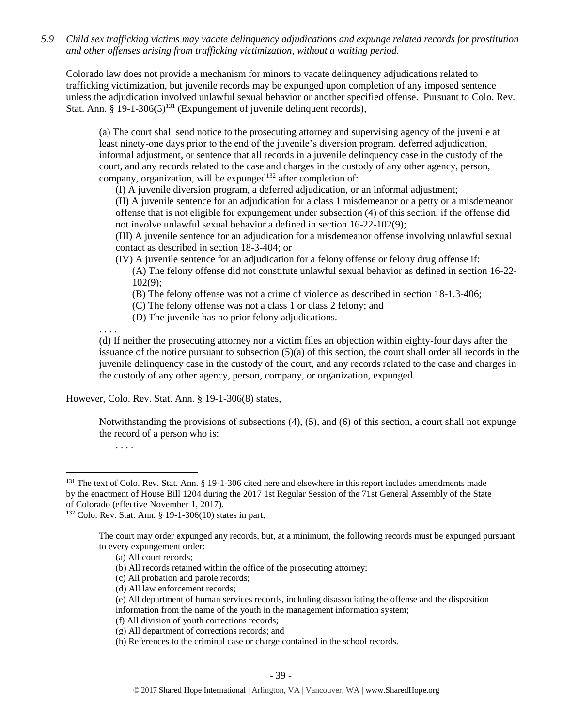*5.9 Child sex trafficking victims may vacate delinquency adjudications and expunge related records for prostitution and other offenses arising from trafficking victimization, without a waiting period.*

Colorado law does not provide a mechanism for minors to vacate delinquency adjudications related to trafficking victimization, but juvenile records may be expunged upon completion of any imposed sentence unless the adjudication involved unlawful sexual behavior or another specified offense. Pursuant to Colo. Rev. Stat. Ann.  $\S$  19-1-306(5)<sup>131</sup> (Expungement of juvenile delinquent records),

(a) The court shall send notice to the prosecuting attorney and supervising agency of the juvenile at least ninety-one days prior to the end of the juvenile's diversion program, deferred adjudication, informal adjustment, or sentence that all records in a juvenile delinquency case in the custody of the court, and any records related to the case and charges in the custody of any other agency, person, company, organization, will be expunged<sup>132</sup> after completion of:

(I) A juvenile diversion program, a deferred adjudication, or an informal adjustment;

(II) A juvenile sentence for an adjudication for a class 1 misdemeanor or a petty or a misdemeanor offense that is not eligible for expungement under subsection (4) of this section, if the offense did not involve unlawful sexual behavior a defined in section 16-22-102(9);

(III) A juvenile sentence for an adjudication for a misdemeanor offense involving unlawful sexual contact as described in section 18-3-404; or

(IV) A juvenile sentence for an adjudication for a felony offense or felony drug offense if:

(A) The felony offense did not constitute unlawful sexual behavior as defined in section 16-22- 102(9);

(B) The felony offense was not a crime of violence as described in section 18-1.3-406;

(C) The felony offense was not a class 1 or class 2 felony; and

(D) The juvenile has no prior felony adjudications.

. . . .

(d) If neither the prosecuting attorney nor a victim files an objection within eighty-four days after the issuance of the notice pursuant to subsection (5)(a) of this section, the court shall order all records in the juvenile delinquency case in the custody of the court, and any records related to the case and charges in the custody of any other agency, person, company, or organization, expunged.

However, Colo. Rev. Stat. Ann. § 19-1-306(8) states,

Notwithstanding the provisions of subsections (4), (5), and (6) of this section, a court shall not expunge the record of a person who is:

. . . .

l

<sup>&</sup>lt;sup>131</sup> The text of Colo. Rev. Stat. Ann. § 19-1-306 cited here and elsewhere in this report includes amendments made by the enactment of House Bill 1204 during the 2017 1st Regular Session of the 71st General Assembly of the State of Colorado (effective November 1, 2017).

<sup>132</sup> Colo. Rev. Stat. Ann. § 19-1-306(10) states in part,

The court may order expunged any records, but, at a minimum, the following records must be expunged pursuant to every expungement order:

<sup>(</sup>a) All court records;

<sup>(</sup>b) All records retained within the office of the prosecuting attorney;

<sup>(</sup>c) All probation and parole records;

<sup>(</sup>d) All law enforcement records;

<sup>(</sup>e) All department of human services records, including disassociating the offense and the disposition information from the name of the youth in the management information system;

<sup>(</sup>f) All division of youth corrections records;

<sup>(</sup>g) All department of corrections records; and

<sup>(</sup>h) References to the criminal case or charge contained in the school records.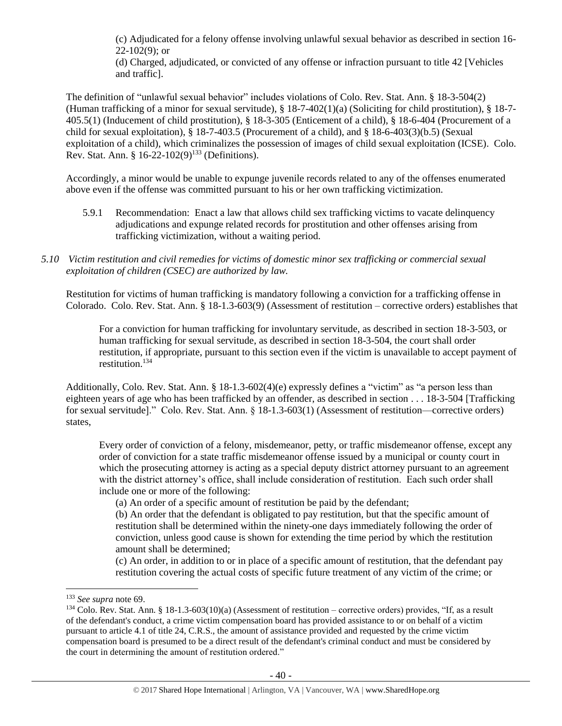(c) Adjudicated for a felony offense involving unlawful sexual behavior as described in section 16-  $22-102(9)$ ; or

(d) Charged, adjudicated, or convicted of any offense or infraction pursuant to title 42 [Vehicles and traffic].

The definition of "unlawful sexual behavior" includes violations of Colo. Rev. Stat. Ann. § 18-3-504(2) (Human trafficking of a minor for sexual servitude),  $\S$  18-7-402(1)(a) (Soliciting for child prostitution),  $\S$  18-7-405.5(1) (Inducement of child prostitution), § 18-3-305 (Enticement of a child), § 18-6-404 (Procurement of a child for sexual exploitation), § 18-7-403.5 (Procurement of a child), and § 18-6-403(3)(b.5) (Sexual exploitation of a child), which criminalizes the possession of images of child sexual exploitation (ICSE). Colo. Rev. Stat. Ann. §  $16-22-102(9)^{133}$  (Definitions).

Accordingly, a minor would be unable to expunge juvenile records related to any of the offenses enumerated above even if the offense was committed pursuant to his or her own trafficking victimization.

- 5.9.1 Recommendation: Enact a law that allows child sex trafficking victims to vacate delinquency adjudications and expunge related records for prostitution and other offenses arising from trafficking victimization, without a waiting period.
- *5.10 Victim restitution and civil remedies for victims of domestic minor sex trafficking or commercial sexual exploitation of children (CSEC) are authorized by law.*

Restitution for victims of human trafficking is mandatory following a conviction for a trafficking offense in Colorado. Colo. Rev. Stat. Ann. § 18-1.3-603(9) (Assessment of restitution – corrective orders) establishes that

For a conviction for human trafficking for involuntary servitude, as described in section 18-3-503, or human trafficking for sexual servitude, as described in section 18-3-504, the court shall order restitution, if appropriate, pursuant to this section even if the victim is unavailable to accept payment of restitution.<sup>134</sup>

Additionally, Colo. Rev. Stat. Ann. § 18-1.3-602(4)(e) expressly defines a "victim" as "a person less than eighteen years of age who has been trafficked by an offender, as described in section . . . 18-3-504 [Trafficking for sexual servitude]." Colo. Rev. Stat. Ann. § 18-1.3-603(1) (Assessment of restitution—corrective orders) states,

Every order of conviction of a felony, misdemeanor, petty, or traffic misdemeanor offense, except any order of conviction for a state traffic misdemeanor offense issued by a municipal or county court in which the prosecuting attorney is acting as a special deputy district attorney pursuant to an agreement with the district attorney's office, shall include consideration of restitution. Each such order shall include one or more of the following:

(a) An order of a specific amount of restitution be paid by the defendant;

(b) An order that the defendant is obligated to pay restitution, but that the specific amount of restitution shall be determined within the ninety-one days immediately following the order of conviction, unless good cause is shown for extending the time period by which the restitution amount shall be determined;

(c) An order, in addition to or in place of a specific amount of restitution, that the defendant pay restitution covering the actual costs of specific future treatment of any victim of the crime; or

<sup>133</sup> *See supra* not[e 69.](#page-17-0)

 $134$  Colo. Rev. Stat. Ann. § 18-1.3-603(10)(a) (Assessment of restitution – corrective orders) provides, "If, as a result of the defendant's conduct, a crime victim compensation board has provided assistance to or on behalf of a victim pursuant to article 4.1 of title 24, C.R.S., the amount of assistance provided and requested by the crime victim compensation board is presumed to be a direct result of the defendant's criminal conduct and must be considered by the court in determining the amount of restitution ordered."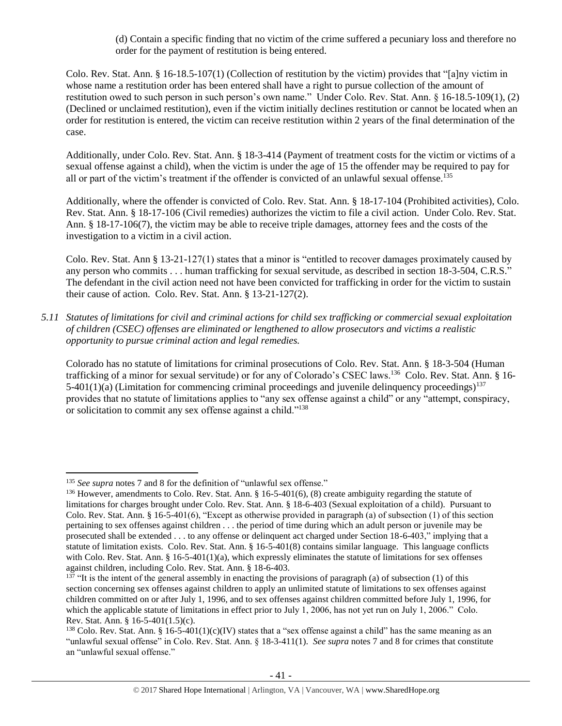(d) Contain a specific finding that no victim of the crime suffered a pecuniary loss and therefore no order for the payment of restitution is being entered.

Colo. Rev. Stat. Ann. § 16-18.5-107(1) (Collection of restitution by the victim) provides that "[a]ny victim in whose name a restitution order has been entered shall have a right to pursue collection of the amount of restitution owed to such person in such person's own name." Under Colo. Rev. Stat. Ann. § 16-18.5-109(1), (2) (Declined or unclaimed restitution), even if the victim initially declines restitution or cannot be located when an order for restitution is entered, the victim can receive restitution within 2 years of the final determination of the case.

Additionally, under Colo. Rev. Stat. Ann. § 18-3-414 (Payment of treatment costs for the victim or victims of a sexual offense against a child), when the victim is under the age of 15 the offender may be required to pay for all or part of the victim's treatment if the offender is convicted of an unlawful sexual offense.<sup>135</sup>

Additionally, where the offender is convicted of Colo. Rev. Stat. Ann. § 18-17-104 (Prohibited activities), Colo. Rev. Stat. Ann. § 18-17-106 (Civil remedies) authorizes the victim to file a civil action. Under Colo. Rev. Stat. Ann. § 18-17-106(7), the victim may be able to receive triple damages, attorney fees and the costs of the investigation to a victim in a civil action.

Colo. Rev. Stat. Ann § 13-21-127(1) states that a minor is "entitled to recover damages proximately caused by any person who commits . . . human trafficking for sexual servitude, as described in section 18-3-504, C.R.S." The defendant in the civil action need not have been convicted for trafficking in order for the victim to sustain their cause of action. Colo. Rev. Stat. Ann. § 13-21-127(2).

*5.11 Statutes of limitations for civil and criminal actions for child sex trafficking or commercial sexual exploitation of children (CSEC) offenses are eliminated or lengthened to allow prosecutors and victims a realistic opportunity to pursue criminal action and legal remedies.*

Colorado has no statute of limitations for criminal prosecutions of Colo. Rev. Stat. Ann. § 18-3-504 (Human trafficking of a minor for sexual servitude) or for any of Colorado's CSEC laws.<sup>136</sup> Colo. Rev. Stat. Ann. § 16-5-401(1)(a) (Limitation for commencing criminal proceedings and juvenile delinquency proceedings)<sup>137</sup> provides that no statute of limitations applies to "any sex offense against a child" or any "attempt, conspiracy, or solicitation to commit any sex offense against a child."<sup>138</sup>

l

<sup>&</sup>lt;sup>135</sup> *See supra* note[s 7](#page-1-0) and [8](#page-1-2) for the definition of "unlawful sex offense."

<sup>&</sup>lt;sup>136</sup> However, amendments to Colo. Rev. Stat. Ann. § 16-5-401(6), (8) create ambiguity regarding the statute of limitations for charges brought under Colo. Rev. Stat. Ann. § 18-6-403 (Sexual exploitation of a child). Pursuant to Colo. Rev. Stat. Ann. § 16-5-401(6), "Except as otherwise provided in paragraph (a) of subsection (1) of this section pertaining to sex offenses against children . . . the period of time during which an adult person or juvenile may be prosecuted shall be extended . . . to any offense or delinquent act charged under Section 18-6-403," implying that a statute of limitation exists. Colo. Rev. Stat. Ann. § 16-5-401(8) contains similar language. This language conflicts with Colo. Rev. Stat. Ann. § 16-5-401(1)(a), which expressly eliminates the statute of limitations for sex offenses against children, including Colo. Rev. Stat. Ann. § 18-6-403.

<sup>&</sup>lt;sup>137</sup> "It is the intent of the general assembly in enacting the provisions of paragraph (a) of subsection (1) of this section concerning sex offenses against children to apply an unlimited statute of limitations to sex offenses against children committed on or after July 1, 1996, and to sex offenses against children committed before July 1, 1996, for which the applicable statute of limitations in effect prior to July 1, 2006, has not yet run on July 1, 2006." Colo. Rev. Stat. Ann. § 16-5-401(1.5)(c).

<sup>&</sup>lt;sup>138</sup> Colo. Rev. Stat. Ann. § 16-5-401(1)(c)(IV) states that a "sex offense against a child" has the same meaning as an "unlawful sexual offense" in Colo. Rev. Stat. Ann. § 18-3-411(1). *See supra* notes [7](#page-1-0) an[d 8](#page-1-2) for crimes that constitute an "unlawful sexual offense."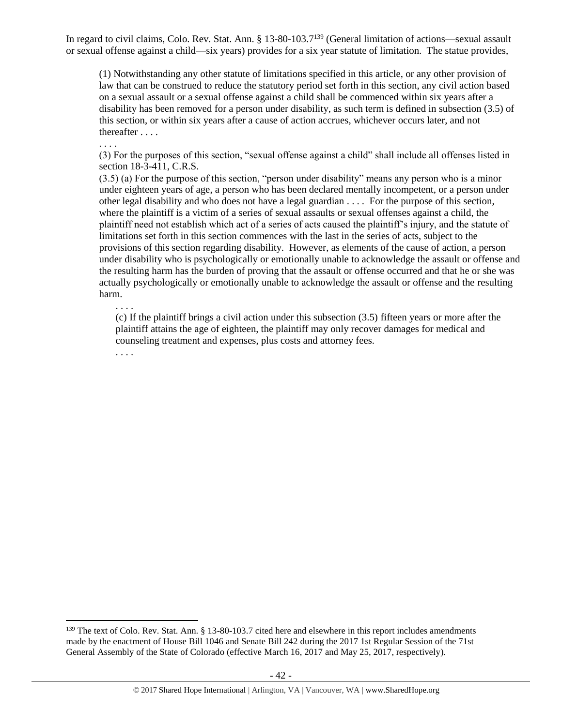In regard to civil claims, Colo. Rev. Stat. Ann. § 13-80-103.7<sup>139</sup> (General limitation of actions—sexual assault or sexual offense against a child—six years) provides for a six year statute of limitation. The statue provides,

(1) Notwithstanding any other statute of limitations specified in this article, or any other provision of law that can be construed to reduce the statutory period set forth in this section, any civil action based on a sexual assault or a sexual offense against a child shall be commenced within six years after a disability has been removed for a person under disability, as such term is defined in subsection (3.5) of this section, or within six years after a cause of action accrues, whichever occurs later, and not thereafter . . . .

(3) For the purposes of this section, "sexual offense against a child" shall include all offenses listed in section 18-3-411, C.R.S.

(3.5) (a) For the purpose of this section, "person under disability" means any person who is a minor under eighteen years of age, a person who has been declared mentally incompetent, or a person under other legal disability and who does not have a legal guardian . . . . For the purpose of this section, where the plaintiff is a victim of a series of sexual assaults or sexual offenses against a child, the plaintiff need not establish which act of a series of acts caused the plaintiff's injury, and the statute of limitations set forth in this section commences with the last in the series of acts, subject to the provisions of this section regarding disability. However, as elements of the cause of action, a person under disability who is psychologically or emotionally unable to acknowledge the assault or offense and the resulting harm has the burden of proving that the assault or offense occurred and that he or she was actually psychologically or emotionally unable to acknowledge the assault or offense and the resulting harm.

. . . . (c) If the plaintiff brings a civil action under this subsection (3.5) fifteen years or more after the plaintiff attains the age of eighteen, the plaintiff may only recover damages for medical and counseling treatment and expenses, plus costs and attorney fees.

. . . .

 $\overline{\phantom{a}}$ 

. . . .

<sup>&</sup>lt;sup>139</sup> The text of Colo. Rev. Stat. Ann. § 13-80-103.7 cited here and elsewhere in this report includes amendments made by the enactment of House Bill 1046 and Senate Bill 242 during the 2017 1st Regular Session of the 71st General Assembly of the State of Colorado (effective March 16, 2017 and May 25, 2017, respectively).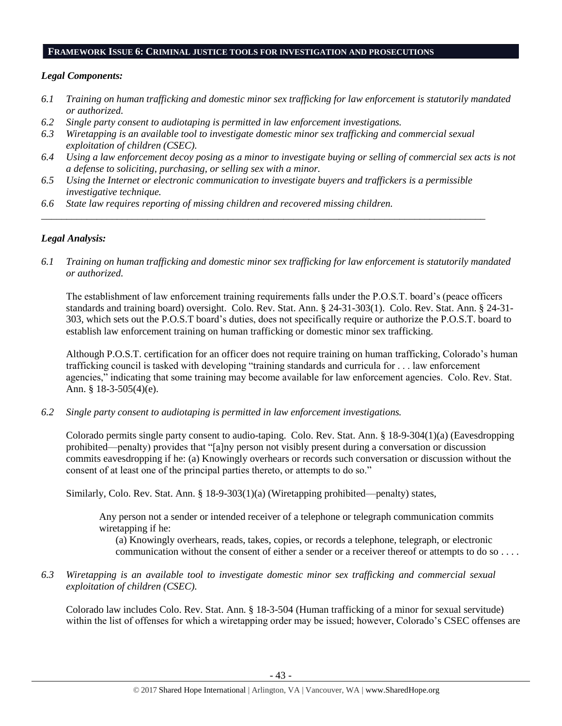### **FRAMEWORK ISSUE 6: CRIMINAL JUSTICE TOOLS FOR INVESTIGATION AND PROSECUTIONS**

## *Legal Components:*

- *6.1 Training on human trafficking and domestic minor sex trafficking for law enforcement is statutorily mandated or authorized.*
- *6.2 Single party consent to audiotaping is permitted in law enforcement investigations.*
- *6.3 Wiretapping is an available tool to investigate domestic minor sex trafficking and commercial sexual exploitation of children (CSEC).*
- *6.4 Using a law enforcement decoy posing as a minor to investigate buying or selling of commercial sex acts is not a defense to soliciting, purchasing, or selling sex with a minor.*
- *6.5 Using the Internet or electronic communication to investigate buyers and traffickers is a permissible investigative technique.*

*\_\_\_\_\_\_\_\_\_\_\_\_\_\_\_\_\_\_\_\_\_\_\_\_\_\_\_\_\_\_\_\_\_\_\_\_\_\_\_\_\_\_\_\_\_\_\_\_\_\_\_\_\_\_\_\_\_\_\_\_\_\_\_\_\_\_\_\_\_\_\_\_\_\_\_\_\_\_\_\_\_\_\_\_\_\_\_\_*

*6.6 State law requires reporting of missing children and recovered missing children.* 

## *Legal Analysis:*

*6.1 Training on human trafficking and domestic minor sex trafficking for law enforcement is statutorily mandated or authorized.*

The establishment of law enforcement training requirements falls under the P.O.S.T. board's (peace officers standards and training board) oversight. Colo. Rev. Stat. Ann. § 24-31-303(1). Colo. Rev. Stat. Ann. § 24-31- 303, which sets out the P.O.S.T board's duties, does not specifically require or authorize the P.O.S.T. board to establish law enforcement training on human trafficking or domestic minor sex trafficking.

Although P.O.S.T. certification for an officer does not require training on human trafficking, Colorado's human trafficking council is tasked with developing "training standards and curricula for . . . law enforcement agencies," indicating that some training may become available for law enforcement agencies. Colo. Rev. Stat. Ann. § 18-3-505(4)(e).

*6.2 Single party consent to audiotaping is permitted in law enforcement investigations.*

Colorado permits single party consent to audio-taping. Colo. Rev. Stat. Ann. § 18-9-304(1)(a) (Eavesdropping prohibited—penalty) provides that "[a]ny person not visibly present during a conversation or discussion commits eavesdropping if he: (a) Knowingly overhears or records such conversation or discussion without the consent of at least one of the principal parties thereto, or attempts to do so."

Similarly, Colo. Rev. Stat. Ann. § 18-9-303(1)(a) (Wiretapping prohibited—penalty) states,

Any person not a sender or intended receiver of a telephone or telegraph communication commits wiretapping if he:

(a) Knowingly overhears, reads, takes, copies, or records a telephone, telegraph, or electronic communication without the consent of either a sender or a receiver thereof or attempts to do so . . . .

*6.3 Wiretapping is an available tool to investigate domestic minor sex trafficking and commercial sexual exploitation of children (CSEC).* 

Colorado law includes Colo. Rev. Stat. Ann. § 18-3-504 (Human trafficking of a minor for sexual servitude) within the list of offenses for which a wiretapping order may be issued; however, Colorado's CSEC offenses are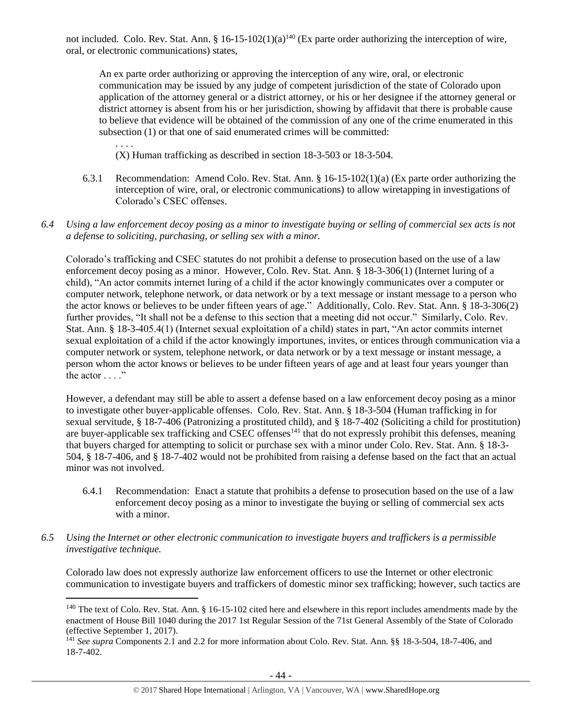not included. Colo. Rev. Stat. Ann. § 16-15-102(1)(a)<sup>140</sup> (Ex parte order authorizing the interception of wire, oral, or electronic communications) states,

An ex parte order authorizing or approving the interception of any wire, oral, or electronic communication may be issued by any judge of competent jurisdiction of the state of Colorado upon application of the attorney general or a district attorney, or his or her designee if the attorney general or district attorney is absent from his or her jurisdiction, showing by affidavit that there is probable cause to believe that evidence will be obtained of the commission of any one of the crime enumerated in this subsection (1) or that one of said enumerated crimes will be committed:

. . . . (X) Human trafficking as described in section 18-3-503 or 18-3-504.

- 6.3.1 Recommendation: Amend Colo. Rev. Stat. Ann. § 16-15-102(1)(a) (Ex parte order authorizing the interception of wire, oral, or electronic communications) to allow wiretapping in investigations of Colorado's CSEC offenses.
- *6.4 Using a law enforcement decoy posing as a minor to investigate buying or selling of commercial sex acts is not a defense to soliciting, purchasing, or selling sex with a minor.*

Colorado's trafficking and CSEC statutes do not prohibit a defense to prosecution based on the use of a law enforcement decoy posing as a minor. However, Colo. Rev. Stat. Ann. § 18-3-306(1) (Internet luring of a child), "An actor commits internet luring of a child if the actor knowingly communicates over a computer or computer network, telephone network, or data network or by a text message or instant message to a person who the actor knows or believes to be under fifteen years of age." Additionally, Colo. Rev. Stat. Ann. § 18-3-306(2) further provides, "It shall not be a defense to this section that a meeting did not occur." Similarly, Colo. Rev. Stat. Ann. § 18-3-405.4(1) (Internet sexual exploitation of a child) states in part, "An actor commits internet sexual exploitation of a child if the actor knowingly importunes, invites, or entices through communication via a computer network or system, telephone network, or data network or by a text message or instant message, a person whom the actor knows or believes to be under fifteen years of age and at least four years younger than the actor  $\ldots$  ."

However, a defendant may still be able to assert a defense based on a law enforcement decoy posing as a minor to investigate other buyer-applicable offenses. Colo. Rev. Stat. Ann. § 18-3-504 (Human trafficking in for sexual servitude, § 18-7-406 (Patronizing a prostituted child), and § 18-7-402 (Soliciting a child for prostitution) are buyer-applicable sex trafficking and CSEC offenses<sup>141</sup> that do not expressly prohibit this defenses, meaning that buyers charged for attempting to solicit or purchase sex with a minor under Colo. Rev. Stat. Ann. § 18-3- 504, § 18-7-406, and § 18-7-402 would not be prohibited from raising a defense based on the fact that an actual minor was not involved.

- 6.4.1 Recommendation: Enact a statute that prohibits a defense to prosecution based on the use of a law enforcement decoy posing as a minor to investigate the buying or selling of commercial sex acts with a minor.
- *6.5 Using the Internet or other electronic communication to investigate buyers and traffickers is a permissible investigative technique.*

 $\overline{a}$ 

Colorado law does not expressly authorize law enforcement officers to use the Internet or other electronic communication to investigate buyers and traffickers of domestic minor sex trafficking; however, such tactics are

 $140$  The text of Colo. Rev. Stat. Ann. § 16-15-102 cited here and elsewhere in this report includes amendments made by the enactment of House Bill 1040 during the 2017 1st Regular Session of the 71st General Assembly of the State of Colorado (effective September 1, 2017).

<sup>141</sup> *See supra* Components 2.1 and 2.2 for more information about Colo. Rev. Stat. Ann. §§ 18-3-504, 18-7-406, and 18-7-402.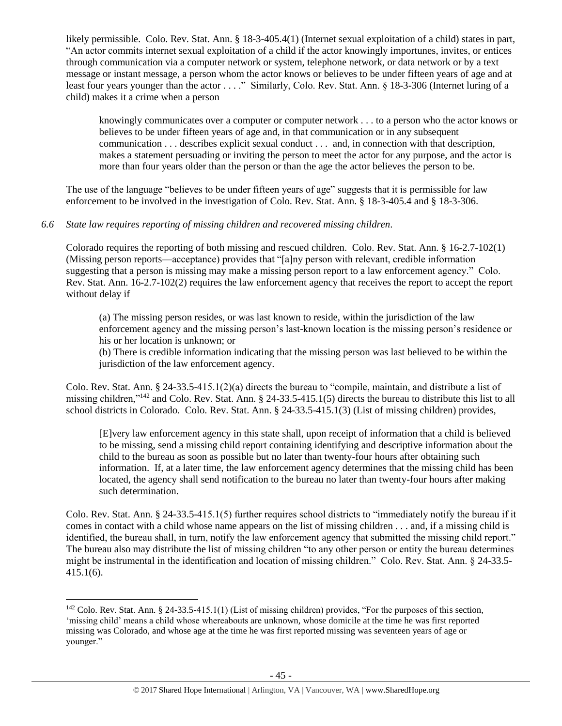likely permissible. Colo. Rev. Stat. Ann. § 18-3-405.4(1) (Internet sexual exploitation of a child) states in part, "An actor commits internet sexual exploitation of a child if the actor knowingly importunes, invites, or entices through communication via a computer network or system, telephone network, or data network or by a text message or instant message, a person whom the actor knows or believes to be under fifteen years of age and at least four years younger than the actor . . . ." Similarly, Colo. Rev. Stat. Ann. § 18-3-306 (Internet luring of a child) makes it a crime when a person

knowingly communicates over a computer or computer network . . . to a person who the actor knows or believes to be under fifteen years of age and, in that communication or in any subsequent communication . . . describes explicit sexual conduct . . . and, in connection with that description, makes a statement persuading or inviting the person to meet the actor for any purpose, and the actor is more than four years older than the person or than the age the actor believes the person to be.

The use of the language "believes to be under fifteen years of age" suggests that it is permissible for law enforcement to be involved in the investigation of Colo. Rev. Stat. Ann. § 18-3-405.4 and § 18-3-306.

# *6.6 State law requires reporting of missing children and recovered missing children.*

Colorado requires the reporting of both missing and rescued children. Colo. Rev. Stat. Ann. § 16-2.7-102(1) (Missing person reports—acceptance) provides that "[a]ny person with relevant, credible information suggesting that a person is missing may make a missing person report to a law enforcement agency." Colo. Rev. Stat. Ann. 16-2.7-102(2) requires the law enforcement agency that receives the report to accept the report without delay if

(a) The missing person resides, or was last known to reside, within the jurisdiction of the law enforcement agency and the missing person's last-known location is the missing person's residence or his or her location is unknown; or

(b) There is credible information indicating that the missing person was last believed to be within the jurisdiction of the law enforcement agency.

Colo. Rev. Stat. Ann. § 24-33.5-415.1(2)(a) directs the bureau to "compile, maintain, and distribute a list of missing children,"<sup>142</sup> and Colo. Rev. Stat. Ann. § 24-33.5-415.1(5) directs the bureau to distribute this list to all school districts in Colorado. Colo. Rev. Stat. Ann. § 24-33.5-415.1(3) (List of missing children) provides,

[E]very law enforcement agency in this state shall, upon receipt of information that a child is believed to be missing, send a missing child report containing identifying and descriptive information about the child to the bureau as soon as possible but no later than twenty-four hours after obtaining such information. If, at a later time, the law enforcement agency determines that the missing child has been located, the agency shall send notification to the bureau no later than twenty-four hours after making such determination.

Colo. Rev. Stat. Ann. § 24-33.5-415.1(5) further requires school districts to "immediately notify the bureau if it comes in contact with a child whose name appears on the list of missing children . . . and, if a missing child is identified, the bureau shall, in turn, notify the law enforcement agency that submitted the missing child report." The bureau also may distribute the list of missing children "to any other person or entity the bureau determines might be instrumental in the identification and location of missing children." Colo. Rev. Stat. Ann. § 24-33.5- 415.1(6).

l  $142$  Colo. Rev. Stat. Ann. § 24-33.5-415.1(1) (List of missing children) provides, "For the purposes of this section, 'missing child' means a child whose whereabouts are unknown, whose domicile at the time he was first reported missing was Colorado, and whose age at the time he was first reported missing was seventeen years of age or younger."